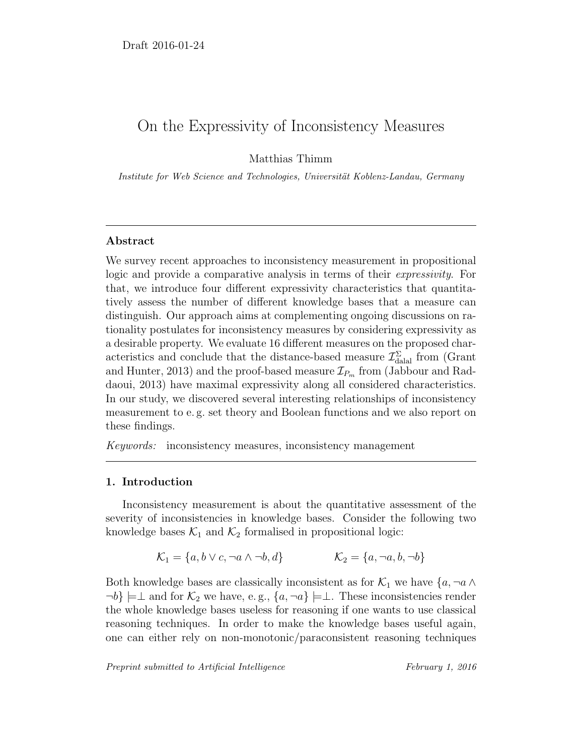# On the Expressivity of Inconsistency Measures

Matthias Thimm

Institute for Web Science and Technologies, Universität Koblenz-Landau, Germany

### Abstract

We survey recent approaches to inconsistency measurement in propositional logic and provide a comparative analysis in terms of their expressivity. For that, we introduce four different expressivity characteristics that quantitatively assess the number of different knowledge bases that a measure can distinguish. Our approach aims at complementing ongoing discussions on rationality postulates for inconsistency measures by considering expressivity as a desirable property. We evaluate 16 different measures on the proposed characteristics and conclude that the distance-based measure  $\mathcal{I}^{\Sigma}_{\text{dala}}$  from (Grant and Hunter, 2013) and the proof-based measure  $\mathcal{I}_{P_m}$  from (Jabbour and Raddaoui, 2013) have maximal expressivity along all considered characteristics. In our study, we discovered several interesting relationships of inconsistency measurement to e. g. set theory and Boolean functions and we also report on these findings.

Keywords: inconsistency measures, inconsistency management

### 1. Introduction

Inconsistency measurement is about the quantitative assessment of the severity of inconsistencies in knowledge bases. Consider the following two knowledge bases  $\mathcal{K}_1$  and  $\mathcal{K}_2$  formalised in propositional logic:

$$
\mathcal{K}_1 = \{a, b \lor c, \neg a \land \neg b, d\} \qquad \mathcal{K}_2 = \{a, \neg a, b, \neg b\}
$$

Both knowledge bases are classically inconsistent as for  $\mathcal{K}_1$  we have  $\{a, \neg a \wedge a\}$  $\neg b$  =  $\bot$  and for  $\mathcal{K}_2$  we have, e.g.,  $\{a, \neg a\}$  =  $\bot$ . These inconsistencies render the whole knowledge bases useless for reasoning if one wants to use classical reasoning techniques. In order to make the knowledge bases useful again, one can either rely on non-monotonic/paraconsistent reasoning techniques

Preprint submitted to Artificial Intelligence February 1, 2016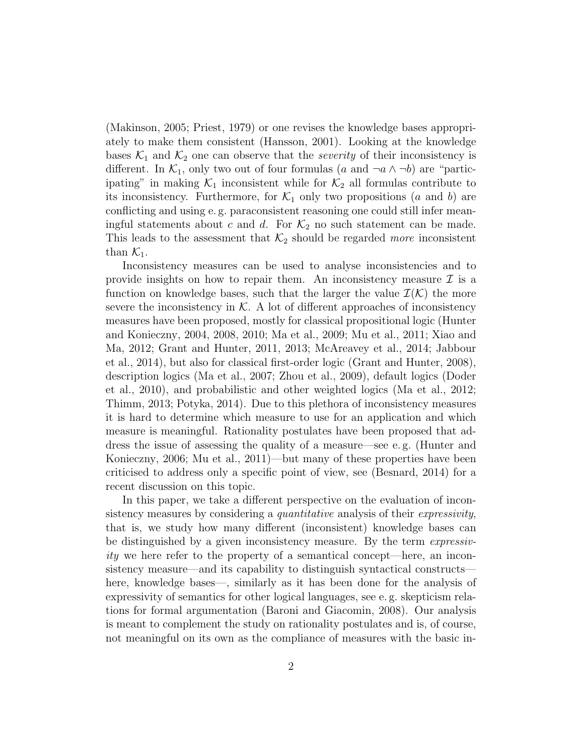(Makinson, 2005; Priest, 1979) or one revises the knowledge bases appropriately to make them consistent (Hansson, 2001). Looking at the knowledge bases  $\mathcal{K}_1$  and  $\mathcal{K}_2$  one can observe that the *severity* of their inconsistency is different. In  $\mathcal{K}_1$ , only two out of four formulas (a and  $\neg a \wedge \neg b$ ) are "participating" in making  $\mathcal{K}_1$  inconsistent while for  $\mathcal{K}_2$  all formulas contribute to its inconsistency. Furthermore, for  $\mathcal{K}_1$  only two propositions (a and b) are conflicting and using e. g. paraconsistent reasoning one could still infer meaningful statements about c and d. For  $\mathcal{K}_2$  no such statement can be made. This leads to the assessment that  $\mathcal{K}_2$  should be regarded more inconsistent than  $\mathcal{K}_1$ .

Inconsistency measures can be used to analyse inconsistencies and to provide insights on how to repair them. An inconsistency measure  $\mathcal I$  is a function on knowledge bases, such that the larger the value  $\mathcal{I}(\mathcal{K})$  the more severe the inconsistency in  $K$ . A lot of different approaches of inconsistency measures have been proposed, mostly for classical propositional logic (Hunter and Konieczny, 2004, 2008, 2010; Ma et al., 2009; Mu et al., 2011; Xiao and Ma, 2012; Grant and Hunter, 2011, 2013; McAreavey et al., 2014; Jabbour et al., 2014), but also for classical first-order logic (Grant and Hunter, 2008), description logics (Ma et al., 2007; Zhou et al., 2009), default logics (Doder et al., 2010), and probabilistic and other weighted logics (Ma et al., 2012; Thimm, 2013; Potyka, 2014). Due to this plethora of inconsistency measures it is hard to determine which measure to use for an application and which measure is meaningful. Rationality postulates have been proposed that address the issue of assessing the quality of a measure—see e. g. (Hunter and Konieczny, 2006; Mu et al., 2011)—but many of these properties have been criticised to address only a specific point of view, see (Besnard, 2014) for a recent discussion on this topic.

In this paper, we take a different perspective on the evaluation of inconsistency measures by considering a *quantitative* analysis of their *expressivity*, that is, we study how many different (inconsistent) knowledge bases can be distinguished by a given inconsistency measure. By the term *expressiv*ity we here refer to the property of a semantical concept—here, an inconsistency measure—and its capability to distinguish syntactical constructs here, knowledge bases—, similarly as it has been done for the analysis of expressivity of semantics for other logical languages, see e. g. skepticism relations for formal argumentation (Baroni and Giacomin, 2008). Our analysis is meant to complement the study on rationality postulates and is, of course, not meaningful on its own as the compliance of measures with the basic in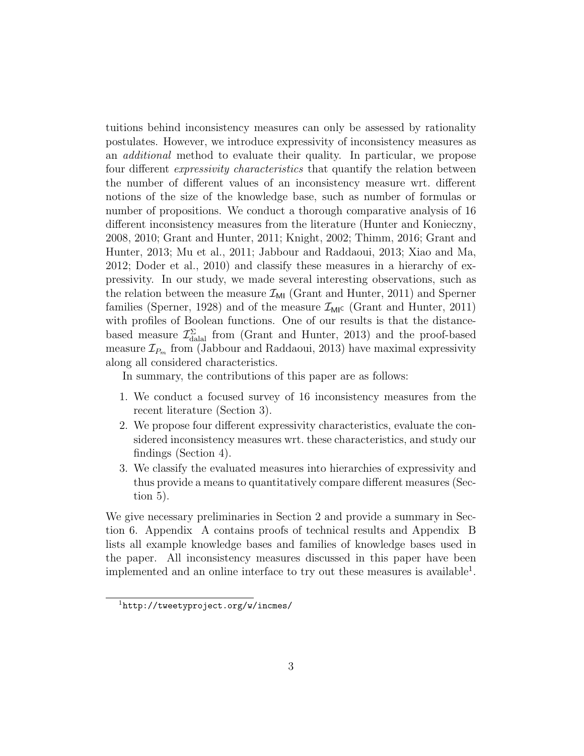tuitions behind inconsistency measures can only be assessed by rationality postulates. However, we introduce expressivity of inconsistency measures as an additional method to evaluate their quality. In particular, we propose four different expressivity characteristics that quantify the relation between the number of different values of an inconsistency measure wrt. different notions of the size of the knowledge base, such as number of formulas or number of propositions. We conduct a thorough comparative analysis of 16 different inconsistency measures from the literature (Hunter and Konieczny, 2008, 2010; Grant and Hunter, 2011; Knight, 2002; Thimm, 2016; Grant and Hunter, 2013; Mu et al., 2011; Jabbour and Raddaoui, 2013; Xiao and Ma, 2012; Doder et al., 2010) and classify these measures in a hierarchy of expressivity. In our study, we made several interesting observations, such as the relation between the measure  $\mathcal{I}_{\text{MI}}$  (Grant and Hunter, 2011) and Sperner families (Sperner, 1928) and of the measure  $\mathcal{I}_{\text{MI}}$  (Grant and Hunter, 2011) with profiles of Boolean functions. One of our results is that the distancebased measure  $\mathcal{I}_{\text{dala}}^{\Sigma}$  from (Grant and Hunter, 2013) and the proof-based measure  $\mathcal{I}_{P_m}$  from (Jabbour and Raddaoui, 2013) have maximal expressivity along all considered characteristics.

In summary, the contributions of this paper are as follows:

- 1. We conduct a focused survey of 16 inconsistency measures from the recent literature (Section 3).
- 2. We propose four different expressivity characteristics, evaluate the considered inconsistency measures wrt. these characteristics, and study our findings (Section 4).
- 3. We classify the evaluated measures into hierarchies of expressivity and thus provide a means to quantitatively compare different measures (Section 5).

We give necessary preliminaries in Section 2 and provide a summary in Section 6. Appendix A contains proofs of technical results and Appendix B lists all example knowledge bases and families of knowledge bases used in the paper. All inconsistency measures discussed in this paper have been implemented and an online interface to try out these measures is available<sup>1</sup>.

<sup>1</sup>http://tweetyproject.org/w/incmes/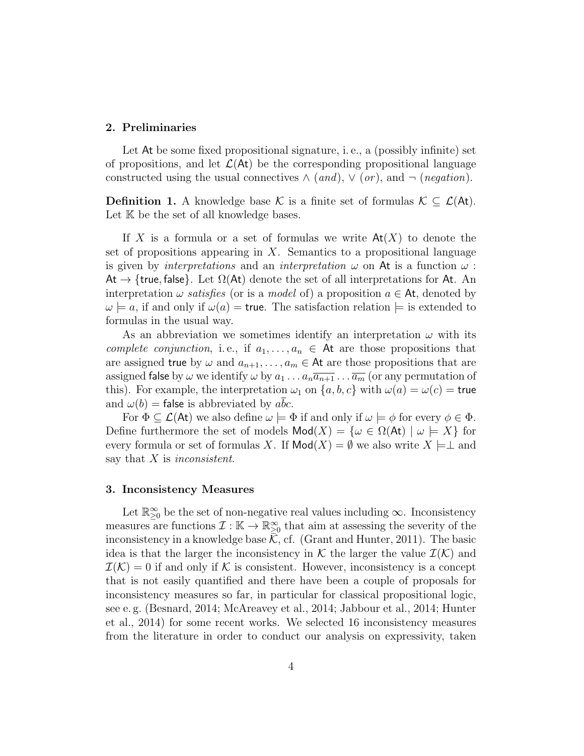#### 2. Preliminaries

Let At be some fixed propositional signature, i. e., a (possibly infinite) set of propositions, and let  $\mathcal{L}(\mathsf{At})$  be the corresponding propositional language constructed using the usual connectives  $\wedge$  (and),  $\vee$  (or), and  $\neg$  (negation).

**Definition 1.** A knowledge base K is a finite set of formulas  $K \subseteq \mathcal{L}(At)$ . Let  $K$  be the set of all knowledge bases.

If X is a formula or a set of formulas we write  $\mathsf{At}(X)$  to denote the set of propositions appearing in  $X$ . Semantics to a propositional language is given by *interpretations* and an *interpretation*  $\omega$  on At is a function  $\omega$ : At  $\rightarrow$  {true, false}. Let  $\Omega(\mathsf{At})$  denote the set of all interpretations for At. An interpretation  $\omega$  satisfies (or is a model of) a proposition  $a \in At$ , denoted by  $\omega \models a$ , if and only if  $\omega(a) =$  true. The satisfaction relation  $\models$  is extended to formulas in the usual way.

As an abbreviation we sometimes identify an interpretation  $\omega$  with its complete conjunction, i.e., if  $a_1, \ldots, a_n \in \mathsf{At}$  are those propositions that are assigned true by  $\omega$  and  $a_{n+1}, \ldots, a_m \in \mathsf{At}$  are those propositions that are assigned false by  $\omega$  we identify  $\omega$  by  $a_1 \dots a_n \overline{a_{n+1}} \dots \overline{a_m}$  (or any permutation of this). For example, the interpretation  $\omega_1$  on  $\{a, b, c\}$  with  $\omega(a) = \omega(c)$  = true and  $\omega(b)$  = false is abbreviated by abc.

For  $\Phi \subseteq \mathcal{L}(\mathsf{At})$  we also define  $\omega \models \Phi$  if and only if  $\omega \models \phi$  for every  $\phi \in \Phi$ . Define furthermore the set of models  $\text{Mod}(X) = \{ \omega \in \Omega(\text{At}) \mid \omega \models X \}$  for every formula or set of formulas X. If  $\text{Mod}(X) = \emptyset$  we also write  $X \models \perp$  and say that  $X$  is inconsistent.

#### 3. Inconsistency Measures

Let  $\mathbb{R}_{\geq 0}^{\infty}$  be the set of non-negative real values including  $\infty$ . Inconsistency measures are functions  $\mathcal{I}: \mathbb{K} \to \mathbb{R}^\infty_{\geq 0}$  that aim at assessing the severity of the inconsistency in a knowledge base  $\mathcal{K}$ , cf. (Grant and Hunter, 2011). The basic idea is that the larger the inconsistency in K the larger the value  $\mathcal{I}(\mathcal{K})$  and  $\mathcal{I}(\mathcal{K})=0$  if and only if K is consistent. However, inconsistency is a concept that is not easily quantified and there have been a couple of proposals for inconsistency measures so far, in particular for classical propositional logic, see e. g. (Besnard, 2014; McAreavey et al., 2014; Jabbour et al., 2014; Hunter et al., 2014) for some recent works. We selected 16 inconsistency measures from the literature in order to conduct our analysis on expressivity, taken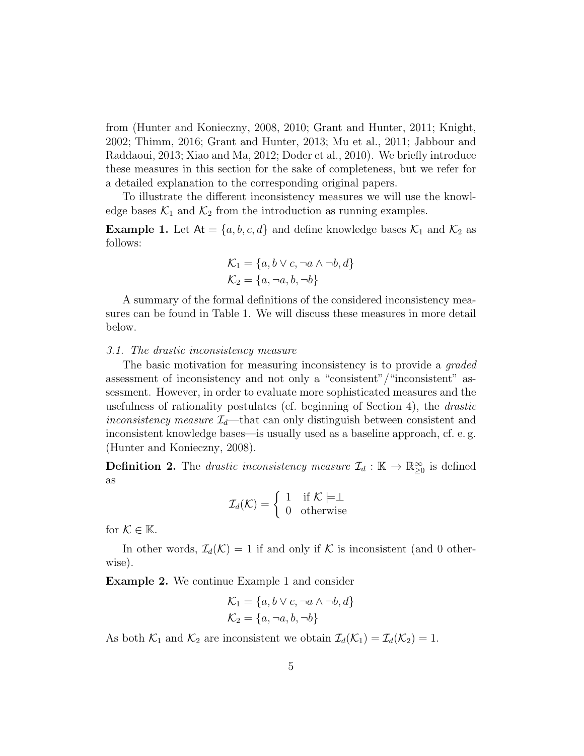from (Hunter and Konieczny, 2008, 2010; Grant and Hunter, 2011; Knight, 2002; Thimm, 2016; Grant and Hunter, 2013; Mu et al., 2011; Jabbour and Raddaoui, 2013; Xiao and Ma, 2012; Doder et al., 2010). We briefly introduce these measures in this section for the sake of completeness, but we refer for a detailed explanation to the corresponding original papers.

To illustrate the different inconsistency measures we will use the knowledge bases  $\mathcal{K}_1$  and  $\mathcal{K}_2$  from the introduction as running examples.

**Example 1.** Let  $At = \{a, b, c, d\}$  and define knowledge bases  $\mathcal{K}_1$  and  $\mathcal{K}_2$  as follows:

$$
\mathcal{K}_1 = \{a, b \lor c, \neg a \land \neg b, d\}
$$

$$
\mathcal{K}_2 = \{a, \neg a, b, \neg b\}
$$

A summary of the formal definitions of the considered inconsistency measures can be found in Table 1. We will discuss these measures in more detail below.

#### 3.1. The drastic inconsistency measure

The basic motivation for measuring inconsistency is to provide a graded assessment of inconsistency and not only a "consistent"/"inconsistent" assessment. However, in order to evaluate more sophisticated measures and the usefulness of rationality postulates (cf. beginning of Section 4), the drastic inconsistency measure  $\mathcal{I}_d$ —that can only distinguish between consistent and inconsistent knowledge bases—is usually used as a baseline approach, cf. e. g. (Hunter and Konieczny, 2008).

**Definition 2.** The *drastic inconsistency measure*  $\mathcal{I}_d : \mathbb{K} \to \mathbb{R}^{\infty}_{\geq 0}$  is defined as

$$
\mathcal{I}_d(\mathcal{K}) = \left\{ \begin{array}{ll} 1 & \text{if } \mathcal{K} \models \perp \\ 0 & \text{otherwise} \end{array} \right.
$$

for  $\mathcal{K} \in \mathbb{K}$ .

In other words,  $\mathcal{I}_d(\mathcal{K}) = 1$  if and only if K is inconsistent (and 0 otherwise).

Example 2. We continue Example 1 and consider

$$
\mathcal{K}_1 = \{a, b \lor c, \neg a \land \neg b, d\}
$$

$$
\mathcal{K}_2 = \{a, \neg a, b, \neg b\}
$$

As both  $\mathcal{K}_1$  and  $\mathcal{K}_2$  are inconsistent we obtain  $\mathcal{I}_d(\mathcal{K}_1) = \mathcal{I}_d(\mathcal{K}_2) = 1$ .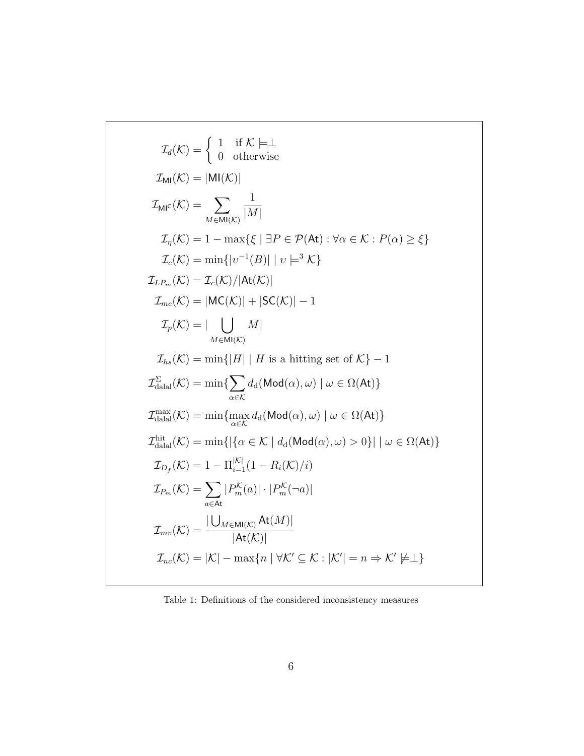$$
\mathcal{I}_{d}(\mathcal{K}) = \begin{cases}\n1 & \text{if } \mathcal{K} \models \bot \\
0 & \text{otherwise}\n\end{cases}
$$
\n
$$
\mathcal{I}_{\text{MI}}(\mathcal{K}) = |\text{MI}(\mathcal{K})|
$$
\n
$$
\mathcal{I}_{\text{MI}}(\mathcal{K}) = \sum_{M \in \text{MI}(\mathcal{K})} \frac{1}{|M|}
$$
\n
$$
\mathcal{I}_{\eta}(\mathcal{K}) = 1 - \max\{\xi \mid \exists P \in \mathcal{P}(\text{At}) : \forall \alpha \in \mathcal{K} : P(\alpha) \ge \xi\}
$$
\n
$$
\mathcal{I}_{c}(\mathcal{K}) = \min\{|v^{-1}(B)| \mid v \models^{3} \mathcal{K}\}
$$
\n
$$
\mathcal{I}_{L P_{m}}(\mathcal{K}) = \mathcal{I}_{c}(\mathcal{K})/|\text{At}(\mathcal{K})|
$$
\n
$$
\mathcal{I}_{mc}(\mathcal{K}) = |\text{MC}(\mathcal{K})| + |\text{SC}(\mathcal{K})| - 1
$$
\n
$$
\mathcal{I}_{p}(\mathcal{K}) = |\text{UL}(K)|
$$
\n
$$
\mathcal{I}_{ns}(\mathcal{K}) = \min\{|H| \mid H \text{ is a hitting set of } \mathcal{K} \} - 1
$$
\n
$$
\mathcal{I}_{\text{dala}}^{ \text{S}}(\mathcal{K}) = \min\{|H| \mid H \text{ is a hitting set of } \mathcal{K} \} - 1
$$
\n
$$
\mathcal{I}_{\text{dala}}^{ \text{S}}(\mathcal{K}) = \min\{\sum_{\alpha \in \mathcal{K}} d_{\text{d}}(\text{Mod}(\alpha), \omega) \mid \omega \in \Omega(\text{At})\}
$$
\n
$$
\mathcal{I}_{\text{dala}}^{ \text{mix}}(\mathcal{K}) = \min\{|\{\alpha \in \mathcal{K} \mid d_{\text{d}}(\text{Mod}(\alpha), \omega) > 0\}| \mid \omega \in \Omega(\text{At})\}
$$
\n
$$
\mathcal{I}_{\text{dala}}(\mathcal{K}) = 1 - \Pi_{\text{i=1}}^{ |\mathcal{K}|} (1 - R_{i}(\mathcal{K})/i)
$$
\n

Table 1: Definitions of the considered inconsistency measures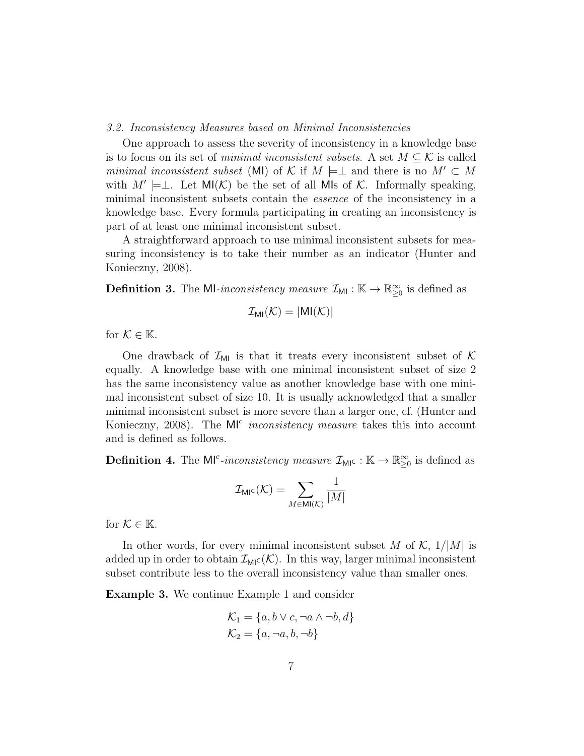#### 3.2. Inconsistency Measures based on Minimal Inconsistencies

One approach to assess the severity of inconsistency in a knowledge base is to focus on its set of *minimal inconsistent subsets*. A set  $M \subseteq \mathcal{K}$  is called minimal inconsistent subset (MI) of K if  $M \models \perp$  and there is no  $M' \subset M$ with  $M' \models \perp$ . Let MI(K) be the set of all MIs of K. Informally speaking, minimal inconsistent subsets contain the essence of the inconsistency in a knowledge base. Every formula participating in creating an inconsistency is part of at least one minimal inconsistent subset.

A straightforward approach to use minimal inconsistent subsets for measuring inconsistency is to take their number as an indicator (Hunter and Konieczny, 2008).

**Definition 3.** The MI-inconsistency measure  $\mathcal{I}_{\text{MI}} : \mathbb{K} \to \mathbb{R}^{\infty}_{\geq 0}$  is defined as

$$
\mathcal{I}_{MI}(\mathcal{K}) = |MI(\mathcal{K})|
$$

for  $\mathcal{K} \in \mathbb{K}$ .

One drawback of  $\mathcal{I}_{\text{MI}}$  is that it treats every inconsistent subset of K equally. A knowledge base with one minimal inconsistent subset of size 2 has the same inconsistency value as another knowledge base with one minimal inconsistent subset of size 10. It is usually acknowledged that a smaller minimal inconsistent subset is more severe than a larger one, cf. (Hunter and Konieczny, 2008). The  $M^{c}$  *inconsistency measure* takes this into account and is defined as follows.

**Definition 4.** The M<sup>c</sup>-inconsistency measure  $\mathcal{I}_{\text{MI}^{\text{C}}} : \mathbb{K} \to \mathbb{R}^{\infty}_{\geq 0}$  is defined as

$$
\mathcal{I}_{\text{MIC}}(\mathcal{K}) = \sum_{M \in \text{MI}(\mathcal{K})} \frac{1}{|M|}
$$

for  $\mathcal{K} \in \mathbb{K}$ .

In other words, for every minimal inconsistent subset M of  $\mathcal{K}$ ,  $1/|M|$  is added up in order to obtain  $\mathcal{I}_{\text{MIC}}(\mathcal{K})$ . In this way, larger minimal inconsistent subset contribute less to the overall inconsistency value than smaller ones.

Example 3. We continue Example 1 and consider

$$
\mathcal{K}_1 = \{a, b \lor c, \neg a \land \neg b, d\}
$$

$$
\mathcal{K}_2 = \{a, \neg a, b, \neg b\}
$$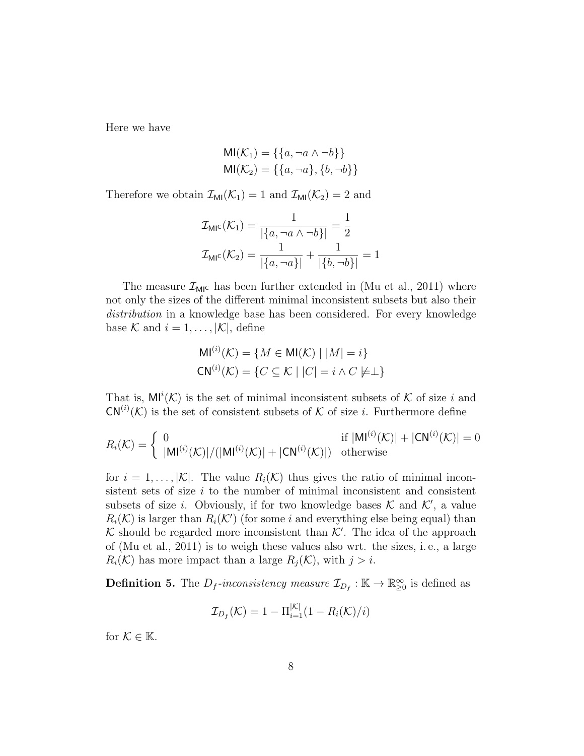Here we have

$$
MI(K_1) = \{\{a, \neg a \land \neg b\}\}\
$$
  

$$
MI(K_2) = \{\{a, \neg a\}, \{b, \neg b\}\}\
$$

Therefore we obtain  $\mathcal{I}_{\text{MI}}(\mathcal{K}_1) = 1$  and  $\mathcal{I}_{\text{MI}}(\mathcal{K}_2) = 2$  and

$$
\mathcal{I}_{\text{MIC}}(\mathcal{K}_1) = \frac{1}{|\{a, \neg a \wedge \neg b\}|} = \frac{1}{2}
$$

$$
\mathcal{I}_{\text{MIC}}(\mathcal{K}_2) = \frac{1}{|\{a, \neg a\}|} + \frac{1}{|\{b, \neg b\}|} = 1
$$

The measure  $\mathcal{I}_{MI}$  has been further extended in (Mu et al., 2011) where not only the sizes of the different minimal inconsistent subsets but also their distribution in a knowledge base has been considered. For every knowledge base K and  $i = 1, \ldots, |\mathcal{K}|$ , define

$$
MI^{(i)}(\mathcal{K}) = \{ M \in MI(\mathcal{K}) \mid |M| = i \}
$$
  

$$
CN^{(i)}(\mathcal{K}) = \{ C \subseteq K \mid |C| = i \land C \neq \perp \}
$$

That is,  $\text{MI}^i(\mathcal{K})$  is the set of minimal inconsistent subsets of  $\mathcal K$  of size i and  $CN^{(i)}(\mathcal{K})$  is the set of consistent subsets of  $\mathcal K$  of size *i*. Furthermore define

$$
R_i(\mathcal{K}) = \begin{cases} 0 & \text{if } |\mathsf{MI}^{(i)}(\mathcal{K})| + |\mathsf{CN}^{(i)}(\mathcal{K})| + |\mathsf{CN}^{(i)}(\mathcal{K})| + |\mathsf{CN}^{(i)}(\mathcal{K})| = 0\\ |\mathsf{MI}^{(i)}(\mathcal{K})| / (|\mathsf{MI}^{(i)}(\mathcal{K})| + |\mathsf{CN}^{(i)}(\mathcal{K})|) & \text{otherwise} \end{cases}
$$

for  $i = 1, \ldots, |\mathcal{K}|$ . The value  $R_i(\mathcal{K})$  thus gives the ratio of minimal inconsistent sets of size  $i$  to the number of minimal inconsistent and consistent subsets of size *i*. Obviously, if for two knowledge bases  $K$  and  $K'$ , a value  $R_i(\mathcal{K})$  is larger than  $R_i(\mathcal{K}')$  (for some i and everything else being equal) than K should be regarded more inconsistent than  $K'$ . The idea of the approach of (Mu et al., 2011) is to weigh these values also wrt. the sizes, i. e., a large  $R_i(\mathcal{K})$  has more impact than a large  $R_i(\mathcal{K})$ , with  $j > i$ .

**Definition 5.** The  $D_f$ -inconsistency measure  $\mathcal{I}_{D_f} : \mathbb{K} \to \mathbb{R}^{\infty}_{\geq 0}$  is defined as

$$
\mathcal{I}_{D_f}(\mathcal{K}) = 1 - \Pi_{i=1}^{|\mathcal{K}|} (1 - R_i(\mathcal{K})/i)
$$

for  $\mathcal{K} \in \mathbb{K}$ .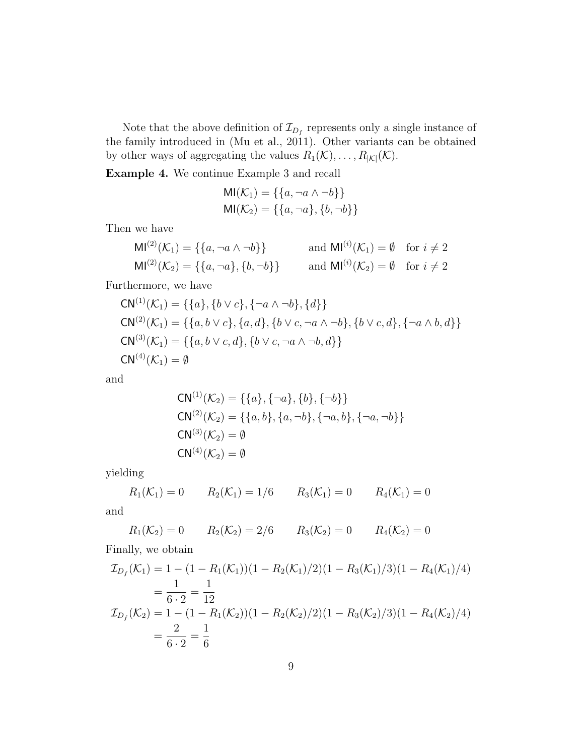Note that the above definition of  $\mathcal{I}_{D_f}$  represents only a single instance of the family introduced in (Mu et al., 2011). Other variants can be obtained by other ways of aggregating the values  $R_1(\mathcal{K}), \ldots, R_{|\mathcal{K}|}(\mathcal{K}).$ 

Example 4. We continue Example 3 and recall

$$
MI(\mathcal{K}_1) = \{\{a, \neg a \land \neg b\}\}\
$$

$$
MI(\mathcal{K}_2) = \{\{a, \neg a\}, \{b, \neg b\}\}\
$$

Then we have

$$
MI^{(2)}(\mathcal{K}_1) = \{ \{a, \neg a \wedge \neg b \} \} \quad \text{and } MI^{(i)}(\mathcal{K}_1) = \emptyset \quad \text{for } i \neq 2
$$
  

$$
MI^{(2)}(\mathcal{K}_2) = \{ \{a, \neg a \}, \{b, \neg b \} \} \quad \text{and } MI^{(i)}(\mathcal{K}_2) = \emptyset \quad \text{for } i \neq 2
$$

Furthermore, we have

$$
CN^{(1)}(\mathcal{K}_1) = \{\{a\}, \{b \lor c\}, \{\neg a \land \neg b\}, \{d\}\}\
$$
  
\n
$$
CN^{(2)}(\mathcal{K}_1) = \{\{a, b \lor c\}, \{a, d\}, \{b \lor c, \neg a \land \neg b\}, \{b \lor c, d\}, \{\neg a \land b, d\}\}\
$$
  
\n
$$
CN^{(3)}(\mathcal{K}_1) = \{\{a, b \lor c, d\}, \{b \lor c, \neg a \land \neg b, d\}\}\
$$
  
\n
$$
CN^{(4)}(\mathcal{K}_1) = \emptyset
$$

and

$$
CN^{(1)}(\mathcal{K}_2) = \{\{a\}, \{\neg a\}, \{b\}, \{\neg b\}\}\
$$
  
\n
$$
CN^{(2)}(\mathcal{K}_2) = \{\{a, b\}, \{a, \neg b\}, \{\neg a, b\}, \{\neg a, \neg b\}\}\
$$
  
\n
$$
CN^{(3)}(\mathcal{K}_2) = \emptyset
$$
  
\n
$$
CN^{(4)}(\mathcal{K}_2) = \emptyset
$$

yielding

$$
R_1(\mathcal{K}_1) = 0
$$
  $R_2(\mathcal{K}_1) = 1/6$   $R_3(\mathcal{K}_1) = 0$   $R_4(\mathcal{K}_1) = 0$ 

and

$$
R_1(\mathcal{K}_2) = 0
$$
  $R_2(\mathcal{K}_2) = 2/6$   $R_3(\mathcal{K}_2) = 0$   $R_4(\mathcal{K}_2) = 0$ 

Finally, we obtain

$$
\mathcal{I}_{D_f}(\mathcal{K}_1) = 1 - (1 - R_1(\mathcal{K}_1))(1 - R_2(\mathcal{K}_1)/2)(1 - R_3(\mathcal{K}_1)/3)(1 - R_4(\mathcal{K}_1)/4)
$$
  
\n
$$
= \frac{1}{6 \cdot 2} = \frac{1}{12}
$$
  
\n
$$
\mathcal{I}_{D_f}(\mathcal{K}_2) = 1 - (1 - R_1(\mathcal{K}_2))(1 - R_2(\mathcal{K}_2)/2)(1 - R_3(\mathcal{K}_2)/3)(1 - R_4(\mathcal{K}_2)/4)
$$
  
\n
$$
= \frac{2}{6 \cdot 2} = \frac{1}{6}
$$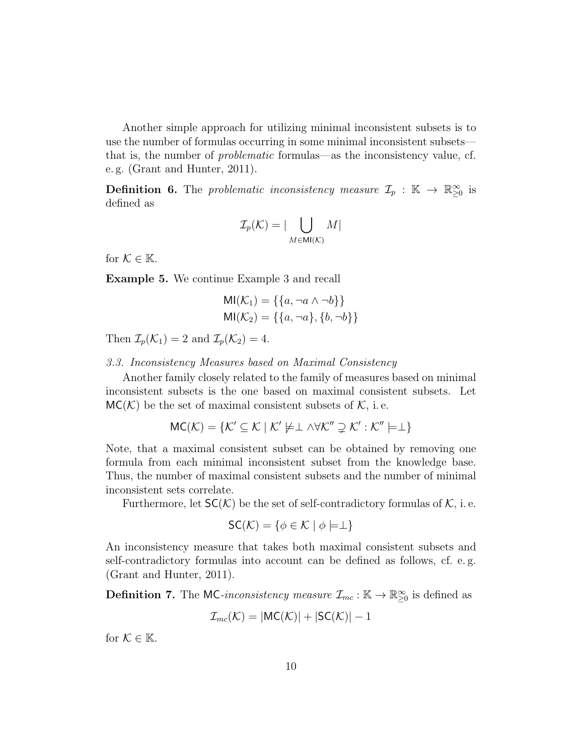Another simple approach for utilizing minimal inconsistent subsets is to use the number of formulas occurring in some minimal inconsistent subsets that is, the number of problematic formulas—as the inconsistency value, cf. e. g. (Grant and Hunter, 2011).

**Definition 6.** The problematic inconsistency measure  $\mathcal{I}_p$  :  $\mathbb{K} \to \mathbb{R}^{\infty}_{\geq 0}$  is defined as

$$
\mathcal{I}_p(\mathcal{K}) = |\bigcup_{M \in \mathsf{MI}(\mathcal{K})} M|
$$

for  $\mathcal{K} \in \mathbb{K}$ .

Example 5. We continue Example 3 and recall

$$
MI(\mathcal{K}_1) = \{\{a, \neg a \land \neg b\}\}\
$$

$$
MI(\mathcal{K}_2) = \{\{a, \neg a\}, \{b, \neg b\}\}\
$$

Then  $\mathcal{I}_p(\mathcal{K}_1) = 2$  and  $\mathcal{I}_p(\mathcal{K}_2) = 4$ .

3.3. Inconsistency Measures based on Maximal Consistency

Another family closely related to the family of measures based on minimal inconsistent subsets is the one based on maximal consistent subsets. Let  $MC(\mathcal{K})$  be the set of maximal consistent subsets of  $\mathcal{K}$ , i.e.

$$
MC(\mathcal{K}) = \{ \mathcal{K}' \subseteq \mathcal{K} \mid \mathcal{K}' \not\models \perp \land \forall \mathcal{K}'' \supsetneq \mathcal{K}' : \mathcal{K}'' \models \perp \}
$$

Note, that a maximal consistent subset can be obtained by removing one formula from each minimal inconsistent subset from the knowledge base. Thus, the number of maximal consistent subsets and the number of minimal inconsistent sets correlate.

Furthermore, let  $SC(K)$  be the set of self-contradictory formulas of K, i. e.

$$
\mathsf{SC}(\mathcal{K}) = \{ \phi \in \mathcal{K} \mid \phi \models \perp \}
$$

An inconsistency measure that takes both maximal consistent subsets and self-contradictory formulas into account can be defined as follows, cf. e. g. (Grant and Hunter, 2011).

**Definition 7.** The MC-inconsistency measure  $\mathcal{I}_{mc} : \mathbb{K} \to \mathbb{R}^{\infty}_{\geq 0}$  is defined as

$$
\mathcal{I}_{mc}(\mathcal{K}) = |MC(\mathcal{K})| + |SC(\mathcal{K})| - 1
$$

for  $\mathcal{K} \in \mathbb{K}$ .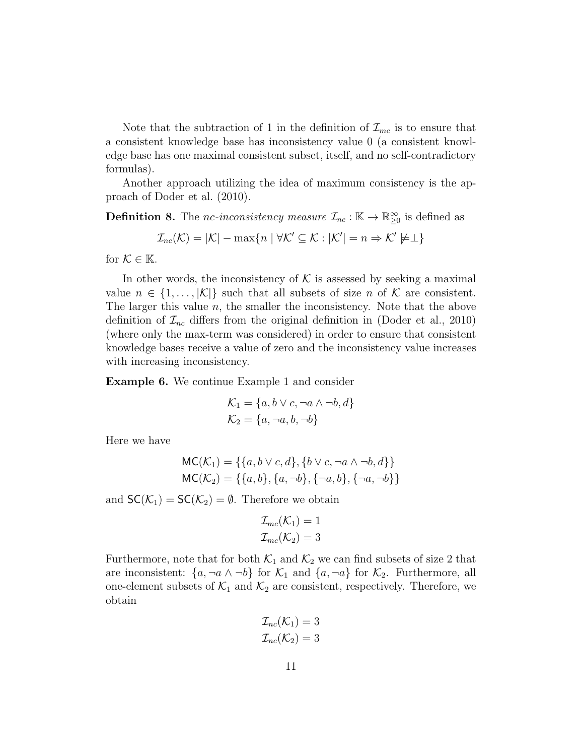Note that the subtraction of 1 in the definition of  $\mathcal{I}_{mc}$  is to ensure that a consistent knowledge base has inconsistency value 0 (a consistent knowledge base has one maximal consistent subset, itself, and no self-contradictory formulas).

Another approach utilizing the idea of maximum consistency is the approach of Doder et al. (2010).

**Definition 8.** The *nc*-inconsistency measure  $\mathcal{I}_{nc} : \mathbb{K} \to \mathbb{R}^{\infty}_{\geq 0}$  is defined as

$$
\mathcal{I}_{nc}(\mathcal{K}) = |\mathcal{K}| - \max\{n \mid \forall \mathcal{K}' \subseteq \mathcal{K} : |\mathcal{K}'| = n \Rightarrow \mathcal{K}' \not\models \perp\}
$$

for  $K \in \mathbb{K}$ .

In other words, the inconsistency of  $K$  is assessed by seeking a maximal value  $n \in \{1, \ldots, |\mathcal{K}|\}$  such that all subsets of size n of K are consistent. The larger this value  $n$ , the smaller the inconsistency. Note that the above definition of  $\mathcal{I}_{nc}$  differs from the original definition in (Doder et al., 2010) (where only the max-term was considered) in order to ensure that consistent knowledge bases receive a value of zero and the inconsistency value increases with increasing inconsistency.

Example 6. We continue Example 1 and consider

$$
\mathcal{K}_1 = \{a, b \lor c, \neg a \land \neg b, d\}
$$

$$
\mathcal{K}_2 = \{a, \neg a, b, \neg b\}
$$

Here we have

$$
MC(K_1) = \{\{a, b \lor c, d\}, \{b \lor c, \neg a \land \neg b, d\}\}\
$$

$$
MC(K_2) = \{\{a, b\}, \{a, \neg b\}, \{\neg a, b\}, \{\neg a, \neg b\}\}\
$$

and  $SC(\mathcal{K}_1) = SC(\mathcal{K}_2) = \emptyset$ . Therefore we obtain

$$
\mathcal{I}_{mc}(\mathcal{K}_1) = 1
$$
  

$$
\mathcal{I}_{mc}(\mathcal{K}_2) = 3
$$

Furthermore, note that for both  $\mathcal{K}_1$  and  $\mathcal{K}_2$  we can find subsets of size 2 that are inconsistent:  $\{a, \neg a \wedge \neg b\}$  for  $\mathcal{K}_1$  and  $\{a, \neg a\}$  for  $\mathcal{K}_2$ . Furthermore, all one-element subsets of  $\mathcal{K}_1$  and  $\mathcal{K}_2$  are consistent, respectively. Therefore, we obtain

$$
\mathcal{I}_{nc}(\mathcal{K}_1) = 3
$$
  

$$
\mathcal{I}_{nc}(\mathcal{K}_2) = 3
$$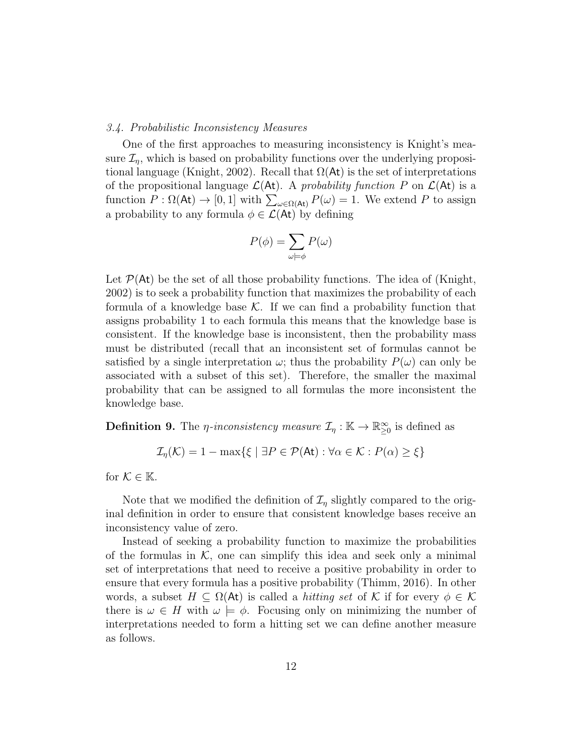#### 3.4. Probabilistic Inconsistency Measures

One of the first approaches to measuring inconsistency is Knight's measure  $\mathcal{I}_n$ , which is based on probability functions over the underlying propositional language (Knight, 2002). Recall that  $\Omega(\mathsf{At})$  is the set of interpretations of the propositional language  $\mathcal{L}(At)$ . A probability function P on  $\mathcal{L}(At)$  is a function  $P : \Omega(\mathsf{At}) \to [0, 1]$  with  $\sum_{\omega \in \Omega(\mathsf{At})} P(\omega) = 1$ . We extend P to assign a probability to any formula  $\phi \in \mathcal{L}(\mathsf{At})$  by defining

$$
P(\phi) = \sum_{\omega \models \phi} P(\omega)
$$

Let  $\mathcal{P}(At)$  be the set of all those probability functions. The idea of (Knight, 2002) is to seek a probability function that maximizes the probability of each formula of a knowledge base  $\mathcal K$ . If we can find a probability function that assigns probability 1 to each formula this means that the knowledge base is consistent. If the knowledge base is inconsistent, then the probability mass must be distributed (recall that an inconsistent set of formulas cannot be satisfied by a single interpretation  $\omega$ ; thus the probability  $P(\omega)$  can only be associated with a subset of this set). Therefore, the smaller the maximal probability that can be assigned to all formulas the more inconsistent the knowledge base.

**Definition 9.** The *η*-inconsistency measure  $\mathcal{I}_\eta : \mathbb{K} \to \mathbb{R}^\infty_{\geq 0}$  is defined as

$$
\mathcal{I}_{\eta}(\mathcal{K}) = 1 - \max\{\xi \mid \exists P \in \mathcal{P}(\mathsf{At}) : \forall \alpha \in \mathcal{K} : P(\alpha) \ge \xi\}
$$

for  $\mathcal{K} \in \mathbb{K}$ .

Note that we modified the definition of  $\mathcal{I}_{\eta}$  slightly compared to the original definition in order to ensure that consistent knowledge bases receive an inconsistency value of zero.

Instead of seeking a probability function to maximize the probabilities of the formulas in  $K$ , one can simplify this idea and seek only a minimal set of interpretations that need to receive a positive probability in order to ensure that every formula has a positive probability (Thimm, 2016). In other words, a subset  $H \subseteq \Omega(\mathsf{At})$  is called a *hitting set* of K if for every  $\phi \in \mathcal{K}$ there is  $\omega \in H$  with  $\omega \models \phi$ . Focusing only on minimizing the number of interpretations needed to form a hitting set we can define another measure as follows.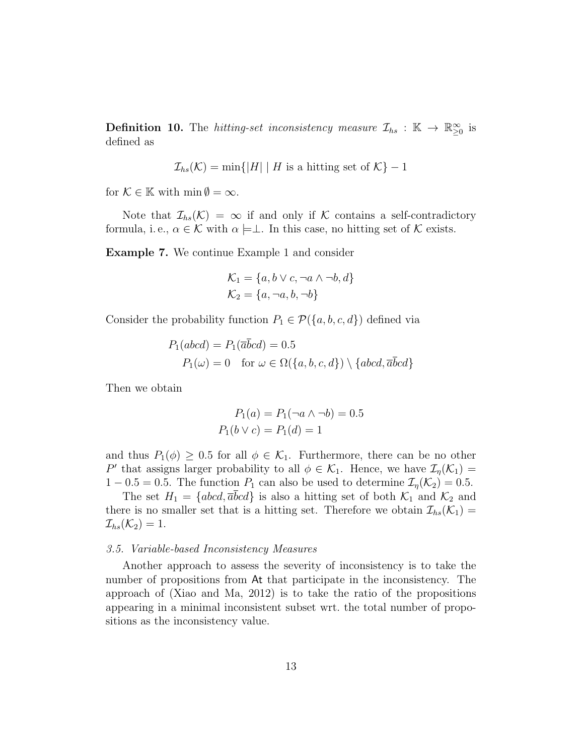**Definition 10.** The *hitting-set inconsistency measure*  $\mathcal{I}_{hs}$  :  $\mathbb{K} \to \mathbb{R}^{\infty}_{\geq 0}$  is defined as

$$
\mathcal{I}_{hs}(\mathcal{K}) = \min\{|H| \mid H \text{ is a hitting set of } \mathcal{K}\} - 1
$$

for  $\mathcal{K} \in \mathbb{K}$  with  $\min \emptyset = \infty$ .

Note that  $\mathcal{I}_{hs}(\mathcal{K}) = \infty$  if and only if K contains a self-contradictory formula, i.e.,  $\alpha \in \mathcal{K}$  with  $\alpha \models \perp$ . In this case, no hitting set of  $\mathcal{K}$  exists.

Example 7. We continue Example 1 and consider

$$
\mathcal{K}_1 = \{a, b \lor c, \neg a \land \neg b, d\}
$$

$$
\mathcal{K}_2 = \{a, \neg a, b, \neg b\}
$$

Consider the probability function  $P_1 \in \mathcal{P}(\{a, b, c, d\})$  defined via

$$
P_1(abcd) = P_1(\overline{a}bcd) = 0.5
$$
  
 
$$
P_1(\omega) = 0 \text{ for } \omega \in \Omega(\{a, b, c, d\}) \setminus \{abcd, \overline{a}\overline{b}cd\}
$$

Then we obtain

$$
P_1(a) = P_1(\neg a \land \neg b) = 0.5
$$
  

$$
P_1(b \lor c) = P_1(d) = 1
$$

and thus  $P_1(\phi) \geq 0.5$  for all  $\phi \in \mathcal{K}_1$ . Furthermore, there can be no other P' that assigns larger probability to all  $\phi \in \mathcal{K}_1$ . Hence, we have  $\mathcal{I}_{\eta}(\mathcal{K}_1)$  =  $1 - 0.5 = 0.5$ . The function  $P_1$  can also be used to determine  $\mathcal{I}_\eta(\mathcal{K}_2) = 0.5$ .

The set  $H_1 = \{abcd, \overline{a}bcd\}$  is also a hitting set of both  $\mathcal{K}_1$  and  $\mathcal{K}_2$  and there is no smaller set that is a hitting set. Therefore we obtain  $\mathcal{I}_{hs}(\mathcal{K}_1)$  =  $\mathcal{I}_{hs}(\mathcal{K}_2)=1.$ 

#### 3.5. Variable-based Inconsistency Measures

Another approach to assess the severity of inconsistency is to take the number of propositions from At that participate in the inconsistency. The approach of (Xiao and Ma, 2012) is to take the ratio of the propositions appearing in a minimal inconsistent subset wrt. the total number of propositions as the inconsistency value.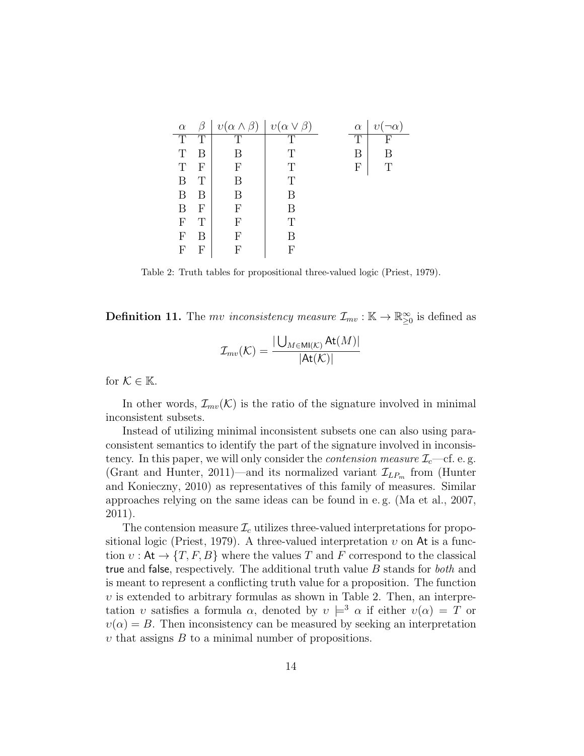| $\alpha$                  |   | $v(\alpha \wedge \beta)$ | $v(\alpha \vee \beta)$ | $\alpha$       | $\eta$ |
|---------------------------|---|--------------------------|------------------------|----------------|--------|
| T                         | Т | T                        | Ͳ                      | $\overline{T}$ | F      |
| T                         |   | В                        | T                      | В              | R      |
| T                         | F | F                        | T                      | F              | Т      |
| B                         |   | В                        | T                      |                |        |
| B                         | R | R                        | R                      |                |        |
| B                         | F | F                        | R                      |                |        |
| $\boldsymbol{\mathrm{F}}$ | Т | F                        | T                      |                |        |
| F                         | В | F                        | R                      |                |        |
| F                         | F | F                        | F                      |                |        |

Table 2: Truth tables for propositional three-valued logic (Priest, 1979).

**Definition 11.** The *mv inconsistency measure*  $\mathcal{I}_{mv} : \mathbb{K} \to \mathbb{R}^{\infty}_{\geq 0}$  is defined as

$$
\mathcal{I}_{mv}(\mathcal{K}) = \frac{|\bigcup_{M \in \text{MI}(\mathcal{K})} \text{At}(M)|}{|\text{At}(\mathcal{K})|}
$$

for  $K \in \mathbb{K}$ .

In other words,  $\mathcal{I}_{mv}(\mathcal{K})$  is the ratio of the signature involved in minimal inconsistent subsets.

Instead of utilizing minimal inconsistent subsets one can also using paraconsistent semantics to identify the part of the signature involved in inconsistency. In this paper, we will only consider the *contension measure*  $\mathcal{I}_{c}$ —cf. e.g. (Grant and Hunter, 2011)—and its normalized variant  $\mathcal{I}_{LP_m}$  from (Hunter and Konieczny, 2010) as representatives of this family of measures. Similar approaches relying on the same ideas can be found in e. g. (Ma et al., 2007, 2011).

The contension measure  $\mathcal{I}_c$  utilizes three-valued interpretations for propositional logic (Priest, 1979). A three-valued interpretation  $v$  on At is a function  $v : \mathsf{At} \to \{T, F, B\}$  where the values T and F correspond to the classical true and false, respectively. The additional truth value B stands for both and is meant to represent a conflicting truth value for a proposition. The function  $v$  is extended to arbitrary formulas as shown in Table 2. Then, an interpretation v satisfies a formula  $\alpha$ , denoted by  $v \models^3 \alpha$  if either  $v(\alpha) = T$  or  $v(\alpha) = B$ . Then inconsistency can be measured by seeking an interpretation  $v$  that assigns  $B$  to a minimal number of propositions.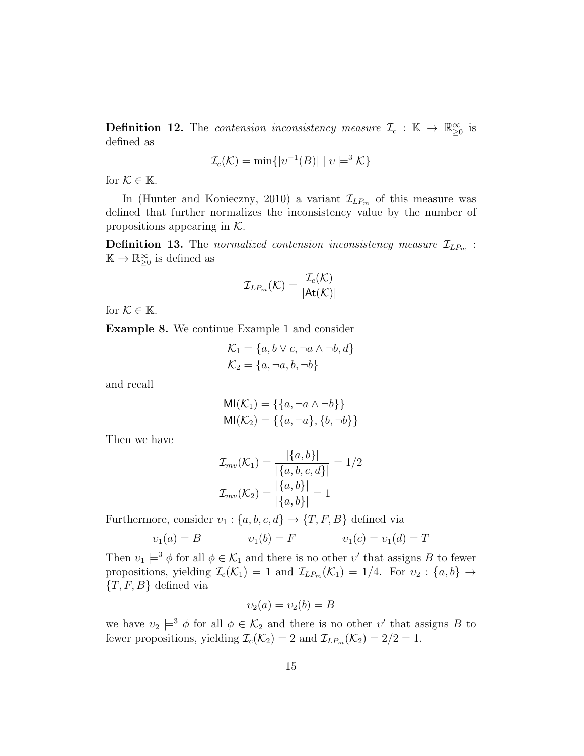**Definition 12.** The *contension inconsistency measure*  $\mathcal{I}_c$  :  $\mathbb{K} \to \mathbb{R}^{\infty}_{\geq 0}$  is defined as

$$
\mathcal{I}_c(\mathcal{K}) = \min\{|v^{-1}(B)| \mid v \models^3 \mathcal{K}\}\
$$

for  $K \in \mathbb{K}$ .

In (Hunter and Konieczny, 2010) a variant  $\mathcal{I}_{LP_m}$  of this measure was defined that further normalizes the inconsistency value by the number of propositions appearing in  $K$ .

**Definition 13.** The normalized contension inconsistency measure  $\mathcal{I}_{LP_m}$ :  $\mathbb{K} \to \mathbb{R}_{\geq 0}^{\infty}$  is defined as

$$
\mathcal{I}_{LP_m}(\mathcal{K}) = \frac{\mathcal{I}_c(\mathcal{K})}{|\mathsf{At}(\mathcal{K})|}
$$

for  $K \in \mathbb{K}$ .

Example 8. We continue Example 1 and consider

$$
\mathcal{K}_1 = \{a, b \lor c, \neg a \land \neg b, d\}
$$

$$
\mathcal{K}_2 = \{a, \neg a, b, \neg b\}
$$

and recall

$$
MI(\mathcal{K}_1) = \{\{a, \neg a \land \neg b\}\}\
$$

$$
MI(\mathcal{K}_2) = \{\{a, \neg a\}, \{b, \neg b\}\}\
$$

Then we have

$$
\mathcal{I}_{mv}(\mathcal{K}_1) = \frac{|\{a, b\}|}{|\{a, b, c, d\}|} = 1/2
$$

$$
\mathcal{I}_{mv}(\mathcal{K}_2) = \frac{|\{a, b\}|}{|\{a, b\}|} = 1
$$

Furthermore, consider  $v_1$ :  $\{a, b, c, d\} \rightarrow \{T, F, B\}$  defined via

$$
v_1(a) = B
$$
  $v_1(b) = F$   $v_1(c) = v_1(d) = T$ 

Then  $v_1 \models^3 \phi$  for all  $\phi \in \mathcal{K}_1$  and there is no other  $v'$  that assigns B to fewer propositions, yielding  $\mathcal{I}_c(\mathcal{K}_1) = 1$  and  $\mathcal{I}_{LP_m}(\mathcal{K}_1) = 1/4$ . For  $v_2 : \{a, b\} \to$  $\{T, F, B\}$  defined via

$$
\upsilon_2(a) = \upsilon_2(b) = B
$$

we have  $v_2 \models^3 \phi$  for all  $\phi \in \mathcal{K}_2$  and there is no other  $v'$  that assigns B to fewer propositions, yielding  $\mathcal{I}_c(\mathcal{K}_2) = 2$  and  $\mathcal{I}_{LP_m}(\mathcal{K}_2) = 2/2 = 1$ .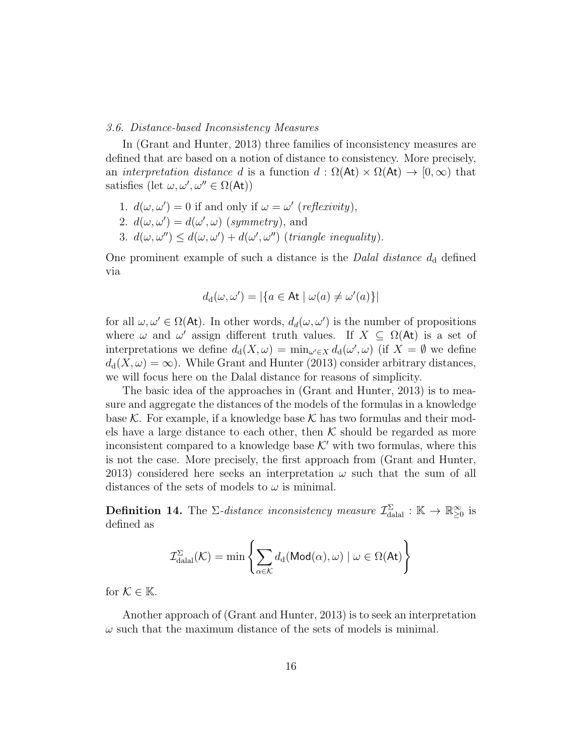#### 3.6. Distance-based Inconsistency Measures

In (Grant and Hunter, 2013) three families of inconsistency measures are defined that are based on a notion of distance to consistency. More precisely, an interpretation distance d is a function  $d : \Omega(\mathsf{At}) \times \Omega(\mathsf{At}) \to [0, \infty)$  that satisfies  $(\text{let } \omega, \omega', \omega'' \in \Omega(\mathsf{At}))$ 

- 1.  $d(\omega, \omega') = 0$  if and only if  $\omega = \omega'$  (reflexivity),
- 2.  $d(\omega, \omega') = d(\omega', \omega)$  (symmetry), and
- 3.  $d(\omega, \omega'') \leq d(\omega, \omega') + d(\omega', \omega'')$  (triangle inequality).

One prominent example of such a distance is the *Dalal distance*  $d_d$  defined via

$$
d_{\mathrm{d}}(\omega, \omega') = |\{a \in \mathsf{At} \mid \omega(a) \neq \omega'(a)\}|
$$

for all  $\omega, \omega' \in \Omega(\mathsf{At})$ . In other words,  $d_d(\omega, \omega')$  is the number of propositions where  $\omega$  and  $\omega'$  assign different truth values. If  $X \subseteq \Omega(\mathsf{At})$  is a set of interpretations we define  $d_d(X, \omega) = \min_{\omega' \in X} d_d(\omega', \omega)$  (if  $X = \emptyset$  we define  $d_d(X, \omega) = \infty$ . While Grant and Hunter (2013) consider arbitrary distances, we will focus here on the Dalal distance for reasons of simplicity.

The basic idea of the approaches in (Grant and Hunter, 2013) is to measure and aggregate the distances of the models of the formulas in a knowledge base K. For example, if a knowledge base K has two formulas and their models have a large distance to each other, then  $K$  should be regarded as more inconsistent compared to a knowledge base  $K'$  with two formulas, where this is not the case. More precisely, the first approach from (Grant and Hunter, 2013) considered here seeks an interpretation  $\omega$  such that the sum of all distances of the sets of models to  $\omega$  is minimal.

**Definition 14.** The  $\Sigma$ -distance inconsistency measure  $\mathcal{I}_{\text{datal}}^{\Sigma} : \mathbb{K} \to \mathbb{R}_{\geq 0}^{\infty}$  is defined as

$$
\mathcal{I}_{\mathrm{dala}}^{\Sigma}(\mathcal{K}) = \min \left\{ \sum_{\alpha \in \mathcal{K}} d_{\mathrm{d}}(\mathsf{Mod}(\alpha), \omega) \mid \omega \in \Omega(\mathsf{At}) \right\}
$$

for  $\mathcal{K} \in \mathbb{K}$ .

Another approach of (Grant and Hunter, 2013) is to seek an interpretation  $\omega$  such that the maximum distance of the sets of models is minimal.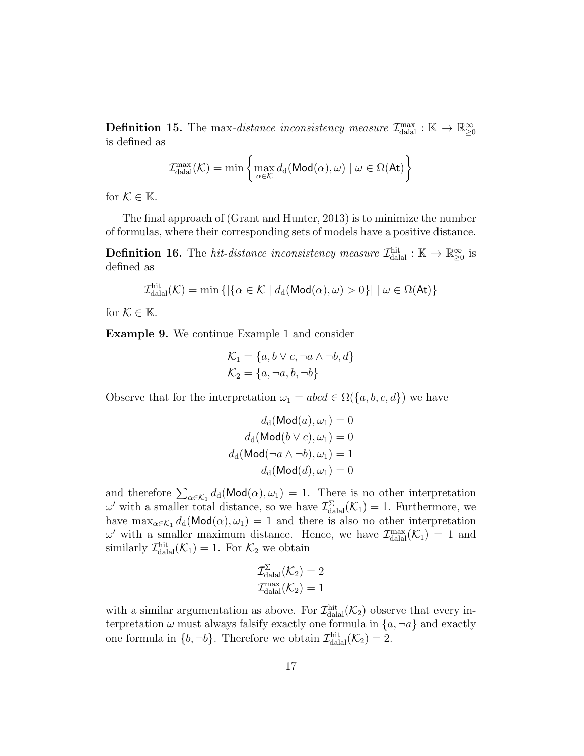**Definition 15.** The max-distance inconsistency measure  $\mathcal{I}_{\text{dala}}^{\text{max}} : \mathbb{K} \to \mathbb{R}^{\infty}_{\geq 0}$ is defined as

$$
\mathcal{I}_{\text{dala}}^{\max}(\mathcal{K}) = \min \left\{ \max_{\alpha \in \mathcal{K}} d_d(\text{Mod}(\alpha), \omega) \mid \omega \in \Omega(\text{At}) \right\}
$$

for  $K \in \mathbb{K}$ .

The final approach of (Grant and Hunter, 2013) is to minimize the number of formulas, where their corresponding sets of models have a positive distance.

**Definition 16.** The *hit-distance inconsistency measure*  $\mathcal{I}_{\text{dala}}^{\text{hit}} : \mathbb{K} \to \mathbb{R}^{\infty}_{\geq 0}$  is defined as

$$
\mathcal{I}_{\text{dala}}^{\text{hit}}(\mathcal{K}) = \min \left\{ \left| \{ \alpha \in \mathcal{K} \mid d_d(\text{Mod}(\alpha), \omega) > 0 \} \right| \mid \omega \in \Omega(\text{At}) \right\}
$$

for  $\mathcal{K} \in \mathbb{K}$ .

Example 9. We continue Example 1 and consider

$$
\mathcal{K}_1 = \{a, b \lor c, \neg a \land \neg b, d\}
$$

$$
\mathcal{K}_2 = \{a, \neg a, b, \neg b\}
$$

Observe that for the interpretation  $\omega_1 = a\overline{b}cd \in \Omega({a, b, c, d})$  we have

$$
d_{\mathrm{d}}(\mathrm{Mod}(a), \omega_1) = 0
$$

$$
d_{\mathrm{d}}(\mathrm{Mod}(b \vee c), \omega_1) = 0
$$

$$
d_{\mathrm{d}}(\mathrm{Mod}(\neg a \wedge \neg b), \omega_1) = 1
$$

$$
d_{\mathrm{d}}(\mathrm{Mod}(d), \omega_1) = 0
$$

and therefore  $\sum_{\alpha \in \mathcal{K}_1} d_{\mathbf{d}}(\text{Mod}(\alpha), \omega_1) = 1$ . There is no other interpretation  $\omega'$  with a smaller total distance, so we have  $\mathcal{I}^{\Sigma}_{\text{dala}}(\mathcal{K}_1) = 1$ . Furthermore, we have  $\max_{\alpha \in \mathcal{K}_1} d_d(\text{Mod}(\alpha), \omega_1) = 1$  and there is also no other interpretation  $\omega'$  with a smaller maximum distance. Hence, we have  $\mathcal{I}_{\text{dual}}^{\text{max}}(\mathcal{K}_1) = 1$  and similarly  $\mathcal{I}_{\text{dual}}^{\text{hit}}(\mathcal{K}_1) = 1$ . For  $\mathcal{K}_2$  we obtain

$$
\mathcal{I}_{\text{dala}}^{\Sigma}(\mathcal{K}_2) = 2
$$

$$
\mathcal{I}_{\text{dala}}^{\max}(\mathcal{K}_2) = 1
$$

with a similar argumentation as above. For  $\mathcal{I}^{\text{hit}}_{\text{dala}}(\mathcal{K}_2)$  observe that every interpretation  $\omega$  must always falsify exactly one formula in  $\{a, \neg a\}$  and exactly one formula in  $\{b, \neg b\}$ . Therefore we obtain  $\mathcal{I}^{\text{hit}}_{\text{dalal}}(\mathcal{K}_2) = 2$ .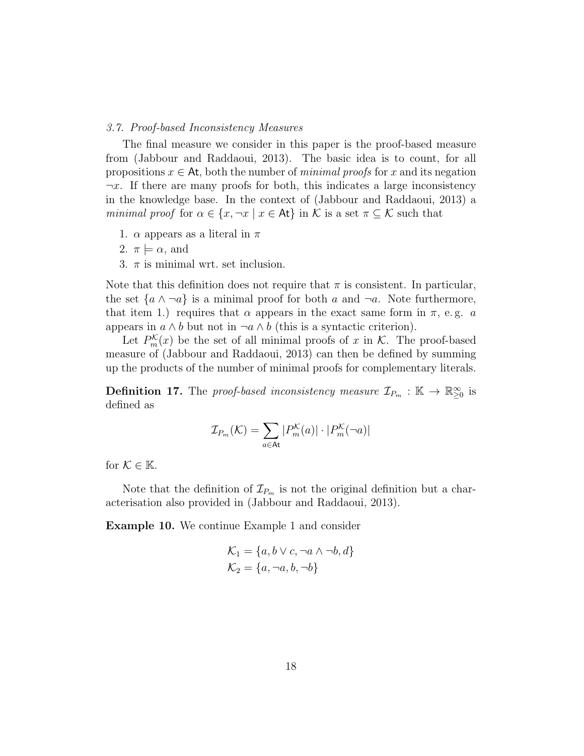#### 3.7. Proof-based Inconsistency Measures

The final measure we consider in this paper is the proof-based measure from (Jabbour and Raddaoui, 2013). The basic idea is to count, for all propositions  $x \in At$ , both the number of *minimal proofs* for x and its negation  $\neg x$ . If there are many proofs for both, this indicates a large inconsistency in the knowledge base. In the context of (Jabbour and Raddaoui, 2013) a minimal proof for  $\alpha \in \{x, \neg x \mid x \in \mathsf{At}\}\$ in K is a set  $\pi \subseteq \mathcal{K}$  such that

- 1.  $\alpha$  appears as a literal in  $\pi$
- 2.  $\pi \models \alpha$ , and
- 3.  $\pi$  is minimal wrt. set inclusion.

Note that this definition does not require that  $\pi$  is consistent. In particular, the set  $\{a \wedge \neg a\}$  is a minimal proof for both a and  $\neg a$ . Note furthermore, that item 1.) requires that  $\alpha$  appears in the exact same form in  $\pi$ , e.g. a appears in  $a \wedge b$  but not in  $\neg a \wedge b$  (this is a syntactic criterion).

Let  $P_m^{\mathcal{K}}(x)$  be the set of all minimal proofs of x in  $\mathcal{K}$ . The proof-based measure of (Jabbour and Raddaoui, 2013) can then be defined by summing up the products of the number of minimal proofs for complementary literals.

**Definition 17.** The proof-based inconsistency measure  $\mathcal{I}_{P_m}$  :  $\mathbb{K} \to \mathbb{R}^{\infty}_{\geq 0}$  is defined as

$$
\mathcal{I}_{P_m}(\mathcal{K}) = \sum_{a \in \mathsf{At}} |P_m^{\mathcal{K}}(a)| \cdot |P_m^{\mathcal{K}}(\neg a)|
$$

for  $\mathcal{K} \in \mathbb{K}$ .

Note that the definition of  $\mathcal{I}_{P_m}$  is not the original definition but a characterisation also provided in (Jabbour and Raddaoui, 2013).

Example 10. We continue Example 1 and consider

$$
\mathcal{K}_1 = \{a, b \lor c, \neg a \land \neg b, d\}
$$

$$
\mathcal{K}_2 = \{a, \neg a, b, \neg b\}
$$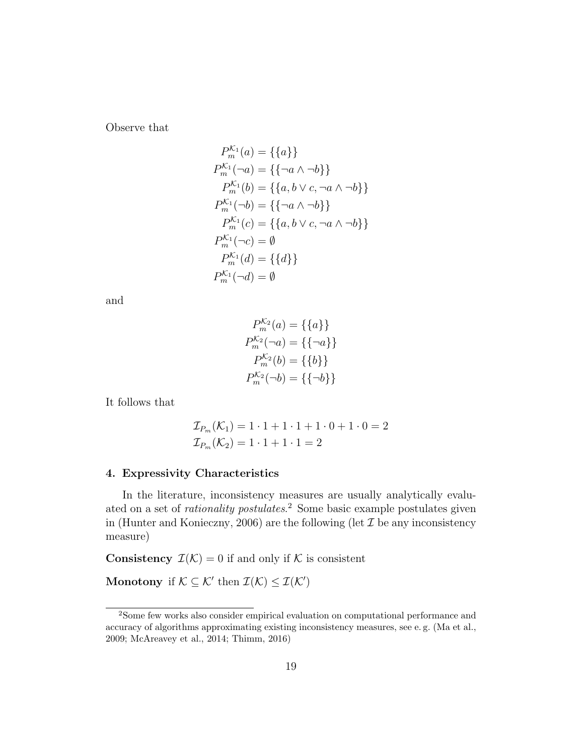Observe that

$$
P_m^{K_1}(a) = \{\{a\}\}\
$$
  
\n
$$
P_m^{K_1}(\neg a) = \{\{\neg a \land \neg b\}\}\
$$
  
\n
$$
P_m^{K_1}(b) = \{\{a, b \lor c, \neg a \land \neg b\}\}\
$$
  
\n
$$
P_m^{K_1}(\neg b) = \{\{\neg a \land \neg b\}\}\
$$
  
\n
$$
P_m^{K_1}(c) = \{\{a, b \lor c, \neg a \land \neg b\}\}\
$$
  
\n
$$
P_m^{K_1}(\neg c) = \emptyset
$$
  
\n
$$
P_m^{K_1}(d) = \{\{d\}\}\
$$
  
\n
$$
P_m^{K_1}(\neg d) = \emptyset
$$

and

$$
P_m^{K_2}(a) = \{\{a\}\}\
$$
  
\n
$$
P_m^{K_2}(\neg a) = \{\{\neg a\}\}\
$$
  
\n
$$
P_m^{K_2}(b) = \{\{b\}\}\
$$
  
\n
$$
P_m^{K_2}(\neg b) = \{\{\neg b\}\}\
$$

It follows that

$$
\mathcal{I}_{P_m}(\mathcal{K}_1) = 1 \cdot 1 + 1 \cdot 1 + 1 \cdot 0 + 1 \cdot 0 = 2
$$
  

$$
\mathcal{I}_{P_m}(\mathcal{K}_2) = 1 \cdot 1 + 1 \cdot 1 = 2
$$

#### 4. Expressivity Characteristics

In the literature, inconsistency measures are usually analytically evaluated on a set of *rationality postulates*.<sup>2</sup> Some basic example postulates given in (Hunter and Konieczny, 2006) are the following (let  $\mathcal I$  be any inconsistency measure)

**Consistency**  $\mathcal{I}(\mathcal{K}) = 0$  if and only if  $\mathcal{K}$  is consistent

Monotony if  $\mathcal{K} \subseteq \mathcal{K}'$  then  $\mathcal{I}(\mathcal{K}) \leq \mathcal{I}(\mathcal{K}')$ 

<sup>2</sup>Some few works also consider empirical evaluation on computational performance and accuracy of algorithms approximating existing inconsistency measures, see e. g. (Ma et al., 2009; McAreavey et al., 2014; Thimm, 2016)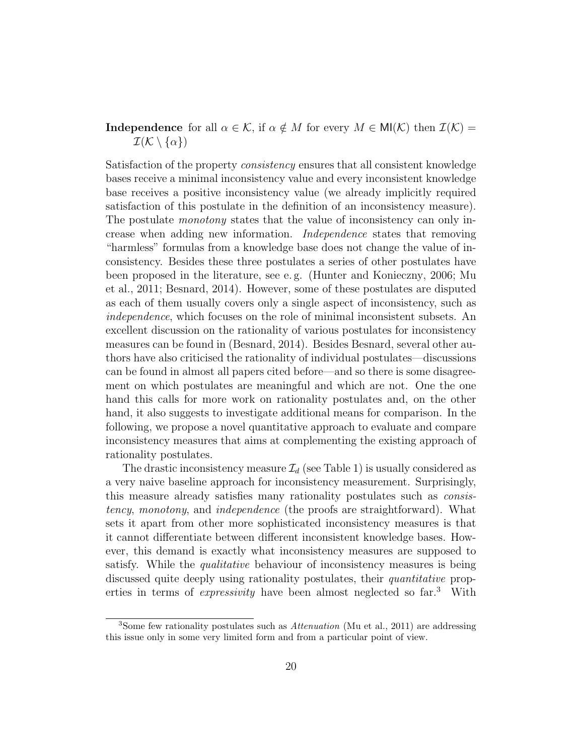### **Independence** for all  $\alpha \in \mathcal{K}$ , if  $\alpha \notin M$  for every  $M \in MI(\mathcal{K})$  then  $\mathcal{I}(\mathcal{K}) =$  $\mathcal{I}(\mathcal{K}\setminus\{\alpha\})$

Satisfaction of the property consistency ensures that all consistent knowledge bases receive a minimal inconsistency value and every inconsistent knowledge base receives a positive inconsistency value (we already implicitly required satisfaction of this postulate in the definition of an inconsistency measure). The postulate monotony states that the value of inconsistency can only increase when adding new information. Independence states that removing "harmless" formulas from a knowledge base does not change the value of inconsistency. Besides these three postulates a series of other postulates have been proposed in the literature, see e. g. (Hunter and Konieczny, 2006; Mu et al., 2011; Besnard, 2014). However, some of these postulates are disputed as each of them usually covers only a single aspect of inconsistency, such as independence, which focuses on the role of minimal inconsistent subsets. An excellent discussion on the rationality of various postulates for inconsistency measures can be found in (Besnard, 2014). Besides Besnard, several other authors have also criticised the rationality of individual postulates—discussions can be found in almost all papers cited before—and so there is some disagreement on which postulates are meaningful and which are not. One the one hand this calls for more work on rationality postulates and, on the other hand, it also suggests to investigate additional means for comparison. In the following, we propose a novel quantitative approach to evaluate and compare inconsistency measures that aims at complementing the existing approach of rationality postulates.

The drastic inconsistency measure  $\mathcal{I}_d$  (see Table 1) is usually considered as a very naive baseline approach for inconsistency measurement. Surprisingly, this measure already satisfies many rationality postulates such as consistency, monotony, and independence (the proofs are straightforward). What sets it apart from other more sophisticated inconsistency measures is that it cannot differentiate between different inconsistent knowledge bases. However, this demand is exactly what inconsistency measures are supposed to satisfy. While the *qualitative* behaviour of inconsistency measures is being discussed quite deeply using rationality postulates, their quantitative properties in terms of expressivity have been almost neglected so far.<sup>3</sup> With

<sup>3</sup>Some few rationality postulates such as Attenuation (Mu et al., 2011) are addressing this issue only in some very limited form and from a particular point of view.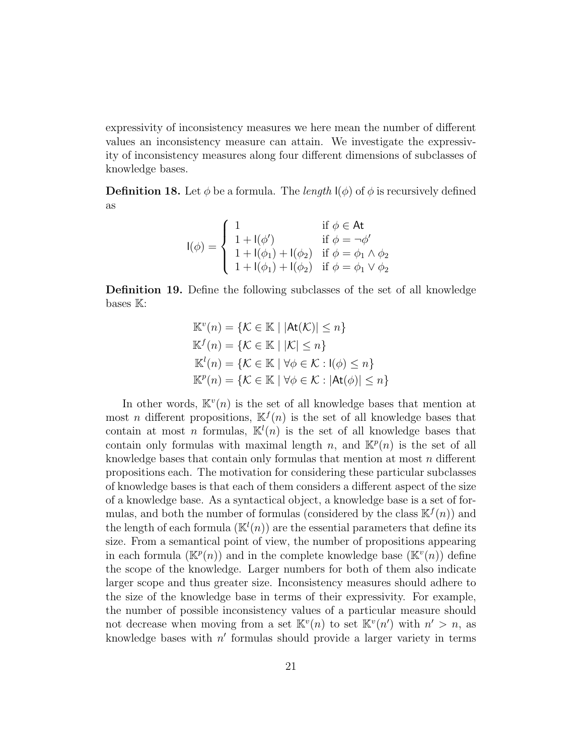expressivity of inconsistency measures we here mean the number of different values an inconsistency measure can attain. We investigate the expressivity of inconsistency measures along four different dimensions of subclasses of knowledge bases.

**Definition 18.** Let  $\phi$  be a formula. The *length*  $I(\phi)$  of  $\phi$  is recursively defined as

$$
I(\phi) = \begin{cases} 1 & \text{if } \phi \in \mathsf{At} \\ 1 + I(\phi') & \text{if } \phi = \neg \phi' \\ 1 + I(\phi_1) + I(\phi_2) & \text{if } \phi = \phi_1 \land \phi_2 \\ 1 + I(\phi_1) + I(\phi_2) & \text{if } \phi = \phi_1 \lor \phi_2 \end{cases}
$$

Definition 19. Define the following subclasses of the set of all knowledge bases **K**:

$$
\mathbb{K}^v(n) = \{ \mathcal{K} \in \mathbb{K} \mid |\text{At}(\mathcal{K})| \le n \}
$$
  

$$
\mathbb{K}^f(n) = \{ \mathcal{K} \in \mathbb{K} \mid |\mathcal{K}| \le n \}
$$
  

$$
\mathbb{K}^l(n) = \{ \mathcal{K} \in \mathbb{K} \mid \forall \phi \in \mathcal{K} : \text{I}(\phi) \le n \}
$$
  

$$
\mathbb{K}^p(n) = \{ \mathcal{K} \in \mathbb{K} \mid \forall \phi \in \mathcal{K} : |\text{At}(\phi)| \le n \}
$$

In other words,  $\mathbb{K}^v(n)$  is the set of all knowledge bases that mention at most *n* different propositions,  $\mathbb{K}^{f}(n)$  is the set of all knowledge bases that contain at most *n* formulas,  $\mathbb{K}^{l}(n)$  is the set of all knowledge bases that contain only formulas with maximal length n, and  $\mathbb{K}^p(n)$  is the set of all knowledge bases that contain only formulas that mention at most n different propositions each. The motivation for considering these particular subclasses of knowledge bases is that each of them considers a different aspect of the size of a knowledge base. As a syntactical object, a knowledge base is a set of formulas, and both the number of formulas (considered by the class  $\mathbb{K}^{f}(n)$ ) and the length of each formula  $(\mathbb{K}^l(n))$  are the essential parameters that define its size. From a semantical point of view, the number of propositions appearing in each formula  $(\mathbb{K}^p(n))$  and in the complete knowledge base  $(\mathbb{K}^v(n))$  define the scope of the knowledge. Larger numbers for both of them also indicate larger scope and thus greater size. Inconsistency measures should adhere to the size of the knowledge base in terms of their expressivity. For example, the number of possible inconsistency values of a particular measure should not decrease when moving from a set  $\mathbb{K}^v(n)$  to set  $\mathbb{K}^v(n')$  with  $n' > n$ , as knowledge bases with  $n'$  formulas should provide a larger variety in terms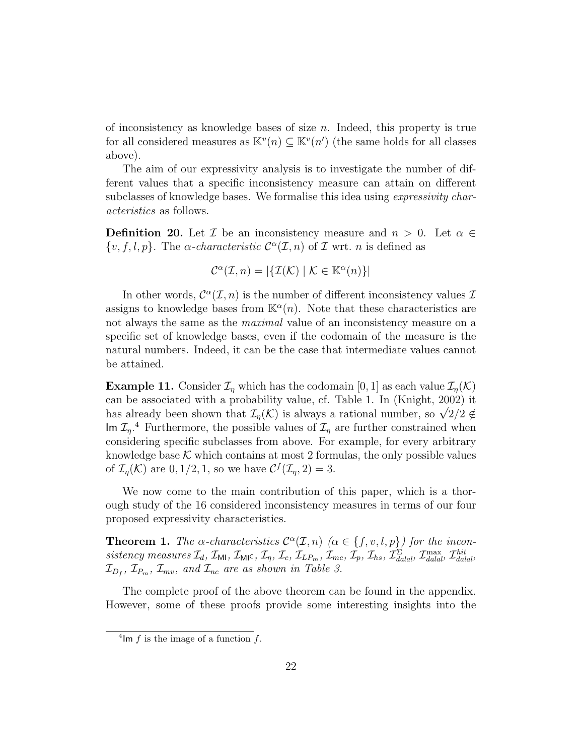of inconsistency as knowledge bases of size n. Indeed, this property is true for all considered measures as  $\mathbb{K}^v(n) \subseteq \mathbb{K}^v(n')$  (the same holds for all classes above).

The aim of our expressivity analysis is to investigate the number of different values that a specific inconsistency measure can attain on different subclasses of knowledge bases. We formalise this idea using *expressivity char*acteristics as follows.

**Definition 20.** Let  $\mathcal{I}$  be an inconsistency measure and  $n > 0$ . Let  $\alpha \in$  $\{v, f, l, p\}$ . The *α-characteristic*  $C^{\alpha}(\mathcal{I}, n)$  of  $\mathcal{I}$  wrt. *n* is defined as

$$
\mathcal{C}^{\alpha}(\mathcal{I}, n) = |\{\mathcal{I}(\mathcal{K}) \mid \mathcal{K} \in \mathbb{K}^{\alpha}(n)\}|
$$

In other words,  $\mathcal{C}^{\alpha}(\mathcal{I},n)$  is the number of different inconsistency values  $\mathcal{I}$ assigns to knowledge bases from  $\mathbb{K}^{\alpha}(n)$ . Note that these characteristics are not always the same as the *maximal* value of an inconsistency measure on a specific set of knowledge bases, even if the codomain of the measure is the natural numbers. Indeed, it can be the case that intermediate values cannot be attained.

**Example 11.** Consider  $\mathcal{I}_{\eta}$  which has the codomain [0, 1] as each value  $\mathcal{I}_{\eta}(\mathcal{K})$ can be associated with a probability value, cf. Table 1. In (Knight, 2002) it can be associated with a probability value, cf. Table 1. In (Knight, 2002) it<br>has already been shown that  $\mathcal{I}_\eta(\mathcal{K})$  is always a rational number, so  $\sqrt{2}/2 \notin$ Im  $\mathcal{I}_{\eta}$ <sup>4</sup> Furthermore, the possible values of  $\mathcal{I}_{\eta}$  are further constrained when considering specific subclasses from above. For example, for every arbitrary knowledge base  $\mathcal K$  which contains at most 2 formulas, the only possible values of  $\mathcal{I}_{\eta}(\mathcal{K})$  are  $0, 1/2, 1$ , so we have  $\mathcal{C}^f(\mathcal{I}_{\eta}, 2) = 3$ .

We now come to the main contribution of this paper, which is a thorough study of the 16 considered inconsistency measures in terms of our four proposed expressivity characteristics.

**Theorem 1.** The  $\alpha$ -characteristics  $\mathcal{C}^{\alpha}(\mathcal{I}, n)$  ( $\alpha \in \{f, v, l, p\}$ ) for the inconsistency measures  $\mathcal{I}_d$ ,  $\mathcal{I}_{\text{MI}}$ ,  $\mathcal{I}_{\text{MI}}$ ,  $\mathcal{I}_{\eta}$ ,  $\mathcal{I}_c$ ,  $\mathcal{I}_{LP_m}$ ,  $\mathcal{I}_{mc}$ ,  $\mathcal{I}_p$ ,  $\mathcal{I}_{hs}$ ,  $\mathcal{I}_{\text{d}al}^{\Sigma}$ ,  $\mathcal{I}_{\text{d}al}^{\text{max}}$ ,  $\mathcal{I}_{\text{d}alal}^{\text{hit}}$ ,  $\mathcal{I}_{D_{f}}, \mathcal{I}_{P_{m}}, \mathcal{I}_{mv}, \textit{ and } \mathcal{I}_{nc} \textit{ are as shown in Table 3.}$ 

The complete proof of the above theorem can be found in the appendix. However, some of these proofs provide some interesting insights into the

<sup>&</sup>lt;sup>4</sup>lm  $f$  is the image of a function  $f$ .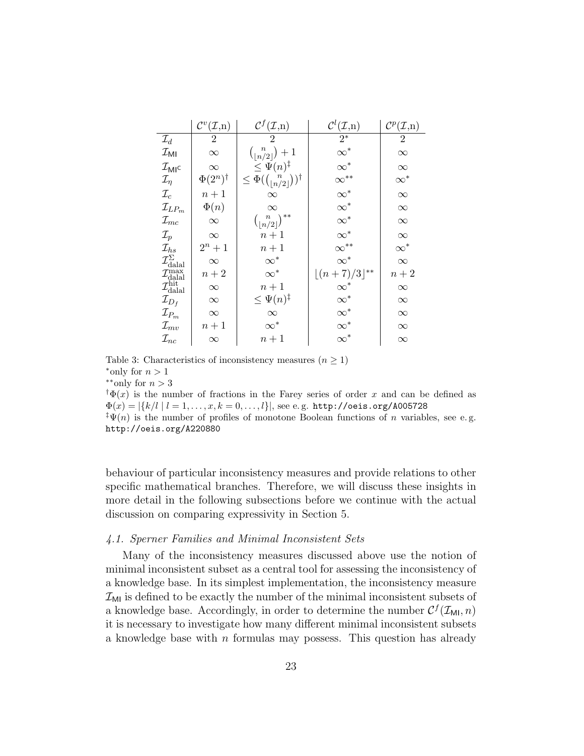|                                                                                                                                               | $\mathcal{C}^v(\mathcal{I},n)$ | $\mathcal{C}^f(\mathcal{I},\mathbf{n})$               | $\mathcal{C}^l(\mathcal{I},n)$ | $\mathcal{C}^p(\mathcal{I},\mathbf{n})$ |
|-----------------------------------------------------------------------------------------------------------------------------------------------|--------------------------------|-------------------------------------------------------|--------------------------------|-----------------------------------------|
| $\mathcal{I}_d$                                                                                                                               | $\overline{2}$                 | $\overline{2}$                                        | $\overline{2^*}$               | $\overline{2}$                          |
| $\mathcal{I}_{\sf MI}$                                                                                                                        | $\infty$                       | $\binom{n}{\lfloor n/2\rfloor}+1$                     | $\infty^*$                     | $\infty$                                |
| $\mathcal{I}_{\mathsf{MI}^{\mathsf{C}}}$                                                                                                      | $\infty$                       | $\leq \Psi(n)^{\ddagger}$                             | $\infty^*$                     | $\infty$                                |
| $\mathcal{I}_\eta$                                                                                                                            | $\Phi(2^n)^\dagger$            | $\leq \Phi(\binom{n}{\lfloor n/2 \rfloor})^{\dagger}$ | $\infty^{**}$                  | $\infty^*$                              |
| $\mathcal{I}_c$                                                                                                                               | $n+1$                          | $\infty$                                              | $\infty^*$                     | $\infty$                                |
| $\mathcal{I}_{LPm}$                                                                                                                           | $\Phi(n)$                      | $\infty$                                              | $\infty^*$                     | $\infty$                                |
| $\mathcal{I}_{mc}$                                                                                                                            | $\infty$                       | $\binom{n}{\lfloor n/2\rfloor}^{**}$                  | $\infty^*$                     | $\infty$                                |
| $\mathcal{I}_p$                                                                                                                               | $\infty$                       | $n+1$                                                 | $\infty^*$                     | $\infty$                                |
| $\mathcal{I}_{hs}$                                                                                                                            | $2^n + 1$                      | $n+1$                                                 | $\infty$ <sup>**</sup>         | $\infty^*$                              |
| $\mathcal{I}_{\text{dala}}^{\Sigma} \ \mathcal{I}_{\text{dala}}^{\max} \ \mathcal{I}_{\text{dala}}^{\min} \ \mathcal{I}_{\text{dala}}^{\min}$ | $\infty$                       | $\infty^*$                                            | $\infty^*$                     | $\infty$                                |
|                                                                                                                                               | $n+2$                          | $\infty^*$                                            | $\lfloor (n+7)/3 \rfloor^{**}$ | $n+2$                                   |
|                                                                                                                                               | $\infty$                       | $n+1$                                                 | $\infty^*$                     | $\infty$                                |
| $\mathcal{I}_{D_f}$                                                                                                                           | $\infty$                       | $\leq \Psi(n)^{\ddagger}$                             | $\infty^*$                     | $\infty$                                |
| $\mathcal{I}_{P_m}$                                                                                                                           | $\infty$                       | $\infty$                                              | $\infty^*$                     | $\infty$                                |
| $\mathcal{I}_{mv}$                                                                                                                            | $n+1$                          | $\infty^*$                                            | $\infty^*$                     | $\infty$                                |
| $\mathcal{I}_{nc}$                                                                                                                            | $\infty$                       | $n+1$                                                 | $\infty^*$                     | $\infty$                                |

Table 3: Characteristics of inconsistency measures  $(n \geq 1)$ \*only for  $n > 1$  $*$ \*\*only for  $n > 3$ 

 $\phi(\tau)$  is the number of fractions in the Farey series of order x and can be defined as  $\Phi(x) = |\{k/l \mid l = 1, \ldots, x, k = 0, \ldots, l\}|$ , see e.g. http://oeis.org/A005728

 $\mathfrak{p}(\mathfrak{m})$  is the number of profiles of monotone Boolean functions of n variables, see e.g. http://oeis.org/A220880

behaviour of particular inconsistency measures and provide relations to other specific mathematical branches. Therefore, we will discuss these insights in more detail in the following subsections before we continue with the actual discussion on comparing expressivity in Section 5.

#### 4.1. Sperner Families and Minimal Inconsistent Sets

Many of the inconsistency measures discussed above use the notion of minimal inconsistent subset as a central tool for assessing the inconsistency of a knowledge base. In its simplest implementation, the inconsistency measure  $\mathcal{I}_{\mathsf{M}I}$  is defined to be exactly the number of the minimal inconsistent subsets of a knowledge base. Accordingly, in order to determine the number  $C^{f}(\mathcal{I}_{\text{MI}}, n)$ it is necessary to investigate how many different minimal inconsistent subsets a knowledge base with  $n$  formulas may possess. This question has already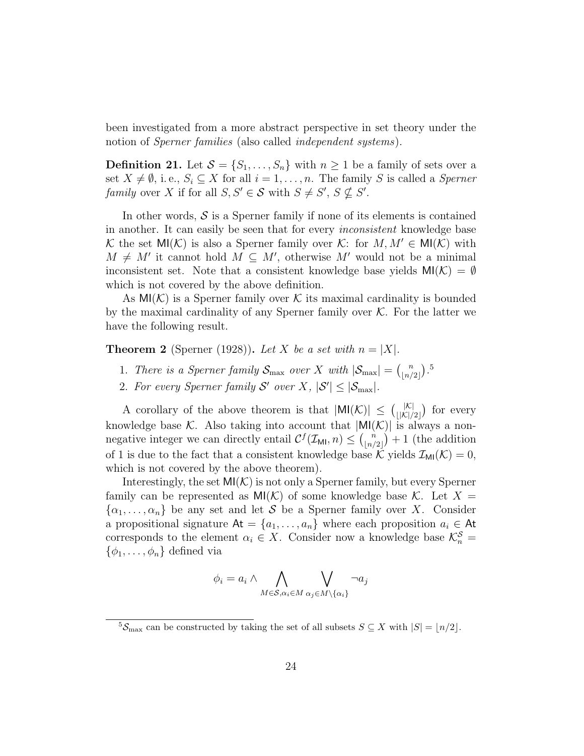been investigated from a more abstract perspective in set theory under the notion of *Sperner families* (also called *independent systems*).

**Definition 21.** Let  $S = \{S_1, \ldots, S_n\}$  with  $n \geq 1$  be a family of sets over a set  $X \neq \emptyset$ , i. e.,  $S_i \subseteq X$  for all  $i = 1, ..., n$ . The family S is called a Sperner family over X if for all  $S, S' \in \mathcal{S}$  with  $S \neq S'$ ,  $S \nsubseteq S'$ .

In other words,  $S$  is a Sperner family if none of its elements is contained in another. It can easily be seen that for every inconsistent knowledge base K the set  $\mathsf{MI}(\mathcal{K})$  is also a Sperner family over K: for  $M, M' \in \mathsf{MI}(\mathcal{K})$  with  $M \neq M'$  it cannot hold  $M \subseteq M'$ , otherwise M' would not be a minimal inconsistent set. Note that a consistent knowledge base yields  $M(\mathcal{K}) = \emptyset$ which is not covered by the above definition.

As  $MI(K)$  is a Sperner family over K its maximal cardinality is bounded by the maximal cardinality of any Sperner family over  $K$ . For the latter we have the following result.

**Theorem 2** (Sperner (1928)). Let X be a set with  $n = |X|$ .

- 1. There is a Sperner family  $S_{\text{max}}$  over X with  $|S_{\text{max}}| = {n \choose |n|}$  $\binom{n}{\lfloor n/2 \rfloor}$ .
- 2. For every Sperner family S' over X,  $|S'| \leq |\mathcal{S}_{\text{max}}|$ .

A corollary of the above theorem is that  $|\text{MI}(\mathcal{K})| \leq (\frac{|\mathcal{K}|}{|\mathcal{K}|})$  $\frac{|\mathcal{K}|}{\mathcal{K}|/2|}$  for every knowledge base K. Also taking into account that  $|M|K\rangle|$  is always a nonnegative integer we can directly entail  $\mathcal{C}^f(\mathcal{I}_{\mathsf{MI}}, n) \leq {n \choose \lfloor n/\ell \rfloor}$  $\binom{n}{\lfloor n/2\rfloor}+1$  (the addition of 1 is due to the fact that a consistent knowledge base K yields  $\mathcal{I}_{\text{MI}}(\mathcal{K}) = 0$ , which is not covered by the above theorem).

Interestingly, the set  $MI(\mathcal{K})$  is not only a Sperner family, but every Sperner family can be represented as  $\mathsf{MI}(\mathcal{K})$  of some knowledge base  $\mathcal{K}$ . Let  $X =$  $\{\alpha_1, \ldots, \alpha_n\}$  be any set and let S be a Sperner family over X. Consider a propositional signature  $At = \{a_1, \ldots, a_n\}$  where each proposition  $a_i \in At$ corresponds to the element  $\alpha_i \in X$ . Consider now a knowledge base  $\mathcal{K}_n^{\mathcal{S}} =$  $\{\phi_1, \ldots, \phi_n\}$  defined via

$$
\phi_i = a_i \wedge \bigwedge_{M \in \mathcal{S}, \alpha_i \in M} \bigvee_{\alpha_j \in M \setminus \{\alpha_i\}} \neg a_j
$$

 $5\mathcal{S}_{\text{max}}$  can be constructed by taking the set of all subsets  $S \subseteq X$  with  $|S| = \lfloor n/2 \rfloor$ .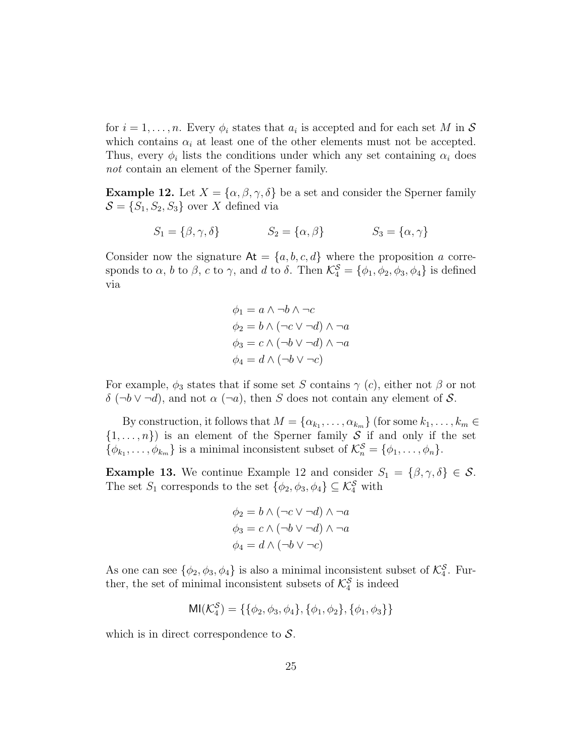for  $i = 1, \ldots, n$ . Every  $\phi_i$  states that  $a_i$  is accepted and for each set M in S which contains  $\alpha_i$  at least one of the other elements must not be accepted. Thus, every  $\phi_i$  lists the conditions under which any set containing  $\alpha_i$  does not contain an element of the Sperner family.

**Example 12.** Let  $X = {\alpha, \beta, \gamma, \delta}$  be a set and consider the Sperner family  $\mathcal{S} = \{S_1, S_2, S_3\}$  over X defined via

$$
S_1 = \{ \beta, \gamma, \delta \} \qquad \qquad S_2 = \{ \alpha, \beta \} \qquad \qquad S_3 = \{ \alpha, \gamma \}
$$

Consider now the signature  $At = \{a, b, c, d\}$  where the proposition a corresponds to  $\alpha$ ,  $b$  to  $\beta$ ,  $c$  to  $\gamma$ , and  $d$  to  $\delta$ . Then  $\mathcal{K}_{4}^{\mathcal{S}} = \{\phi_1, \phi_2, \phi_3, \phi_4\}$  is defined via

$$
\phi_1 = a \land \neg b \land \neg c
$$
  
\n
$$
\phi_2 = b \land (\neg c \lor \neg d) \land \neg a
$$
  
\n
$$
\phi_3 = c \land (\neg b \lor \neg d) \land \neg a
$$
  
\n
$$
\phi_4 = d \land (\neg b \lor \neg c)
$$

For example,  $\phi_3$  states that if some set S contains  $\gamma$  (c), either not  $\beta$  or not  $\delta$  (¬b  $\vee$  ¬d), and not  $\alpha$  (¬a), then S does not contain any element of S.

By construction, it follows that  $M = {\alpha_{k_1}, \ldots, \alpha_{k_m}}$  (for some  $k_1, \ldots, k_m \in$  $\{1,\ldots,n\}$  is an element of the Sperner family S if and only if the set  $\{\phi_{k_1}, \ldots, \phi_{k_m}\}\$ is a minimal inconsistent subset of  $\mathcal{K}_n^{\mathcal{S}} = \{\phi_1, \ldots, \phi_n\}.$ 

**Example 13.** We continue Example 12 and consider  $S_1 = {\beta, \gamma, \delta} \in \mathcal{S}$ . The set  $S_1$  corresponds to the set  $\{\phi_2, \phi_3, \phi_4\} \subseteq \mathcal{K}_4^S$  with

$$
\phi_2 = b \land (\neg c \lor \neg d) \land \neg a
$$

$$
\phi_3 = c \land (\neg b \lor \neg d) \land \neg a
$$

$$
\phi_4 = d \land (\neg b \lor \neg c)
$$

As one can see  $\{\phi_2, \phi_3, \phi_4\}$  is also a minimal inconsistent subset of  $\mathcal{K}_4^{\mathcal{S}}$ . Further, the set of minimal inconsistent subsets of  $\mathcal{K}_{4}^{\mathcal{S}}$  is indeed

$$
MI(\mathcal{K}_4^S) = \{\{\phi_2, \phi_3, \phi_4\}, \{\phi_1, \phi_2\}, \{\phi_1, \phi_3\}\}\
$$

which is in direct correspondence to  $S$ .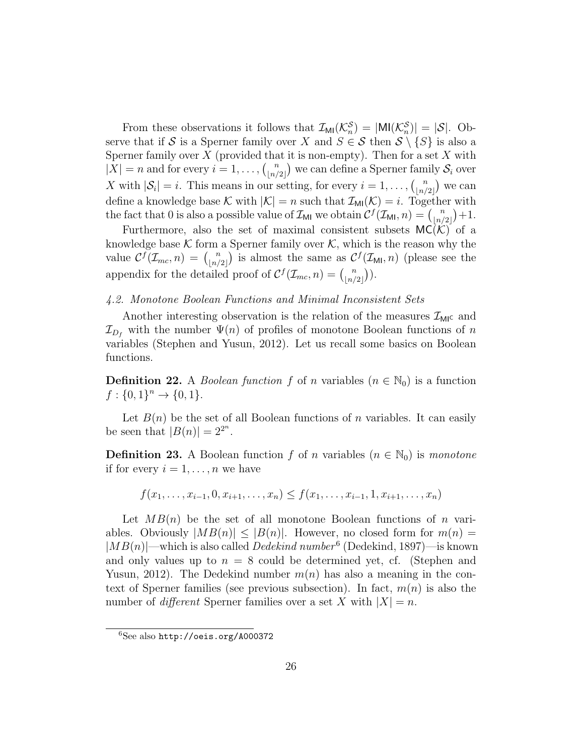From these observations it follows that  $\mathcal{I}_{\text{MI}}(\mathcal{K}_n^{\mathcal{S}}) = |\text{MI}(\mathcal{K}_n^{\mathcal{S}})| = |\mathcal{S}|$ . Observe that if S is a Sperner family over X and  $S \in S$  then  $S \setminus \{S\}$  is also a Sperner family over  $X$  (provided that it is non-empty). Then for a set  $X$  with  $|X| = n$  and for every  $i = 1, \ldots, \binom{n}{\lfloor n \rfloor}$  $\binom{n}{\lfloor n/2 \rfloor}$  we can define a Sperner family  $\mathcal{S}_i$  over X with  $|\mathcal{S}_i| = i$ . This means in our setting, for every  $i = 1, \ldots, {n \choose |n|}$  $\binom{n}{|n/2|}$  we can define a knowledge base K with  $|K| = n$  such that  $\mathcal{I}_{\text{MI}}(\mathcal{K}) = i$ . Together with the fact that 0 is also a possible value of  $\mathcal{I}_{\mathsf{M}1}$  we obtain  $\mathcal{C}^f(\mathcal{I}_{\mathsf{M}1}, n) = {n \choose \lfloor n \rfloor}$  $\binom{n}{\lfloor n/2\rfloor}+1.$ 

Furthermore, also the set of maximal consistent subsets  $MC(K)$  of a knowledge base  $K$  form a Sperner family over  $K$ , which is the reason why the value  $\mathcal{C}^f(\mathcal{I}_{mc}, n) = \binom{n}{n}$  $\binom{n}{\lfloor n/2 \rfloor}$  is almost the same as  $\mathcal{C}^f(\mathcal{I}_{\mathsf{M},n})$  (please see the appendix for the detailed proof of  $\mathcal{C}^{f}(\mathcal{I}_{mc}, n) = \binom{n}{\lfloor n/\rfloor}$  $\binom{n}{\lfloor n/2 \rfloor}$ .

#### 4.2. Monotone Boolean Functions and Minimal Inconsistent Sets

Another interesting observation is the relation of the measures  $\mathcal{I}_{MI}$  and  $\mathcal{I}_{D_f}$  with the number  $\Psi(n)$  of profiles of monotone Boolean functions of n variables (Stephen and Yusun, 2012). Let us recall some basics on Boolean functions.

**Definition 22.** A *Boolean function* f of n variables  $(n \in \mathbb{N}_0)$  is a function  $f: \{0,1\}^n \to \{0,1\}.$ 

Let  $B(n)$  be the set of all Boolean functions of n variables. It can easily be seen that  $|B(n)| = 2^{2^n}$ .

**Definition 23.** A Boolean function f of n variables  $(n \in \mathbb{N}_0)$  is monotone if for every  $i = 1, \ldots, n$  we have

$$
f(x_1, \ldots, x_{i-1}, 0, x_{i+1}, \ldots, x_n) \le f(x_1, \ldots, x_{i-1}, 1, x_{i+1}, \ldots, x_n)
$$

Let  $MB(n)$  be the set of all monotone Boolean functions of n variables. Obviously  $|MB(n)| \leq |B(n)|$ . However, no closed form for  $m(n)$  $|MB(n)|$ —which is also called *Dedekind number*<sup>6</sup> (Dedekind, 1897)—is known and only values up to  $n = 8$  could be determined yet, cf. (Stephen and Yusun, 2012). The Dedekind number  $m(n)$  has also a meaning in the context of Sperner families (see previous subsection). In fact,  $m(n)$  is also the number of *different* Sperner families over a set X with  $|X| = n$ .

<sup>6</sup>See also http://oeis.org/A000372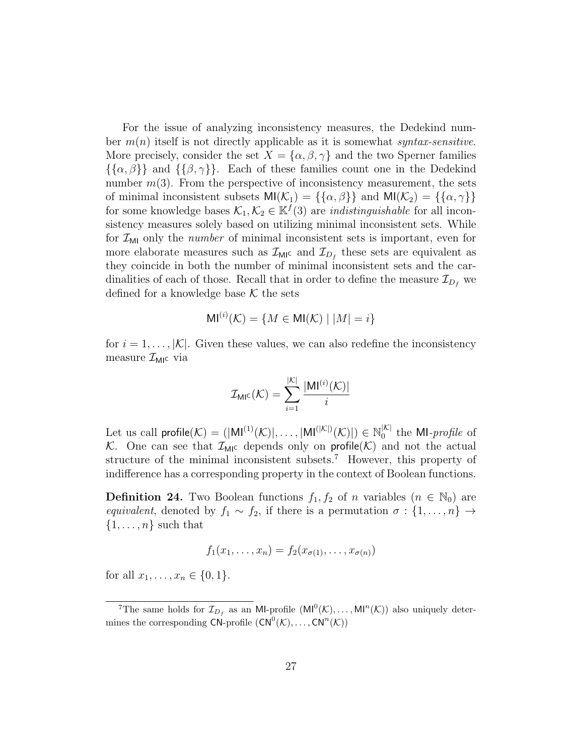For the issue of analyzing inconsistency measures, the Dedekind number  $m(n)$  itself is not directly applicable as it is somewhat syntax-sensitive. More precisely, consider the set  $X = {\alpha, \beta, \gamma}$  and the two Sperner families  $\{\{\alpha,\beta\}\}\$ and  $\{\{\beta,\gamma\}\}\$ . Each of these families count one in the Dedekind number  $m(3)$ . From the perspective of inconsistency measurement, the sets of minimal inconsistent subsets  $M(\mathcal{K}_1) = {\{\{\alpha, \beta\}\}\}\$ and  $M(\mathcal{K}_2) = {\{\{\alpha, \gamma\}\}\}\$ for some knowledge bases  $\mathcal{K}_1, \mathcal{K}_2 \in \mathbb{K}^f(3)$  are *indistinguishable* for all inconsistency measures solely based on utilizing minimal inconsistent sets. While for  $\mathcal{I}_{\text{MI}}$  only the *number* of minimal inconsistent sets is important, even for more elaborate measures such as  $\mathcal{I}_{\text{MIC}}$  and  $\mathcal{I}_{D_f}$  these sets are equivalent as they coincide in both the number of minimal inconsistent sets and the cardinalities of each of those. Recall that in order to define the measure  $\mathcal{I}_{D_f}$  we defined for a knowledge base  $K$  the sets

$$
\mathsf{MI}^{(i)}(\mathcal{K}) = \{ M \in \mathsf{MI}(\mathcal{K}) \mid |M| = i \}
$$

for  $i = 1, \ldots, |\mathcal{K}|$ . Given these values, we can also redefine the inconsistency measure  $\mathcal{I}_{\text{MI}}$ c via

$$
\mathcal{I}_{\text{MIC}}(\mathcal{K}) = \sum_{i=1}^{|\mathcal{K}|} \frac{|\text{MI}^{(i)}(\mathcal{K})|}{i}
$$

Let us call  $\text{profile}(\mathcal{K}) = (|\text{MI}^{(1)}(\mathcal{K})|, \dots, |\text{MI}^{(|\mathcal{K}|)}(\mathcal{K})|) \in \mathbb{N}_0^{|\mathcal{K}|}$  $\int_{0}^{\infty}$  the MI-*profile* of K. One can see that  $\mathcal{I}_{\text{MIC}}$  depends only on profile  $(\mathcal{K})$  and not the actual structure of the minimal inconsistent subsets.<sup>7</sup> However, this property of indifference has a corresponding property in the context of Boolean functions.

**Definition 24.** Two Boolean functions  $f_1, f_2$  of n variables  $(n \in \mathbb{N}_0)$  are equivalent, denoted by  $f_1 \sim f_2$ , if there is a permutation  $\sigma : \{1, \ldots, n\} \to$  $\{1, \ldots, n\}$  such that

$$
f_1(x_1,\ldots,x_n)=f_2(x_{\sigma(1)},\ldots,x_{\sigma(n)})
$$

for all  $x_1, \ldots, x_n \in \{0, 1\}.$ 

<sup>&</sup>lt;sup>7</sup>The same holds for  $\mathcal{I}_{D_f}$  as an MI-profile  $(M^0(\mathcal{K}), \ldots, M^{n}(\mathcal{K}))$  also uniquely determines the corresponding  $CN$ -profile  $(CN^0(\mathcal{K}), \ldots, CN^n(\mathcal{K}))$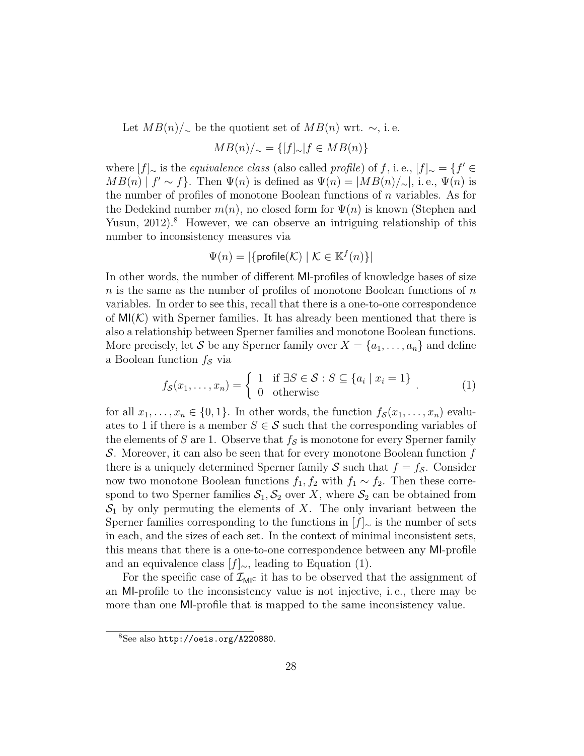Let  $MB(n)/\sim$  be the quotient set of  $MB(n)$  wrt.  $\sim$ , i.e.

$$
MB(n)/_{\sim} = \{ [f]_{\sim} | f \in MB(n) \}
$$

where  $[f]_{\sim}$  is the *equivalence class* (also called *profile*) of f, i.e.,  $[f]_{\sim} = \{f' \in$  $MB(n) | f' \sim f$ . Then  $\Psi(n)$  is defined as  $\Psi(n) = |MB(n)/\sim|$ , i.e.,  $\Psi(n)$  is the number of profiles of monotone Boolean functions of  $n$  variables. As for the Dedekind number  $m(n)$ , no closed form for  $\Psi(n)$  is known (Stephen and Yusun,  $2012$ <sup>8</sup>. However, we can observe an intriguing relationship of this number to inconsistency measures via

$$
\Psi(n) = |\{\text{profile}(\mathcal{K}) \mid \mathcal{K} \in \mathbb{K}^f(n)\}|
$$

In other words, the number of different MI-profiles of knowledge bases of size  $n$  is the same as the number of profiles of monotone Boolean functions of  $n$ variables. In order to see this, recall that there is a one-to-one correspondence of  $\mathsf{MI}(\mathcal{K})$  with Sperner families. It has already been mentioned that there is also a relationship between Sperner families and monotone Boolean functions. More precisely, let S be any Sperner family over  $X = \{a_1, \ldots, a_n\}$  and define a Boolean function  $f_s$  via

$$
f_{\mathcal{S}}(x_1,\ldots,x_n) = \begin{cases} 1 & \text{if } \exists S \in \mathcal{S} : S \subseteq \{a_i \mid x_i = 1\} \\ 0 & \text{otherwise} \end{cases} \tag{1}
$$

for all  $x_1, \ldots, x_n \in \{0, 1\}$ . In other words, the function  $f_{\mathcal{S}}(x_1, \ldots, x_n)$  evaluates to 1 if there is a member  $S \in \mathcal{S}$  such that the corresponding variables of the elements of S are 1. Observe that  $f_{\mathcal{S}}$  is monotone for every Sperner family S. Moreover, it can also be seen that for every monotone Boolean function  $f$ there is a uniquely determined Sperner family S such that  $f = f_{\mathcal{S}}$ . Consider now two monotone Boolean functions  $f_1, f_2$  with  $f_1 \sim f_2$ . Then these correspond to two Sperner families  $S_1, S_2$  over X, where  $S_2$  can be obtained from  $S_1$  by only permuting the elements of X. The only invariant between the Sperner families corresponding to the functions in  $|f|_∞$  is the number of sets in each, and the sizes of each set. In the context of minimal inconsistent sets, this means that there is a one-to-one correspondence between any MI-profile and an equivalence class  $[f]_∼$ , leading to Equation (1).

For the specific case of  $\mathcal{I}_{\mathsf{MI}^c}$  it has to be observed that the assignment of an MI-profile to the inconsistency value is not injective, i. e., there may be more than one MI-profile that is mapped to the same inconsistency value.

<sup>8</sup>See also http://oeis.org/A220880.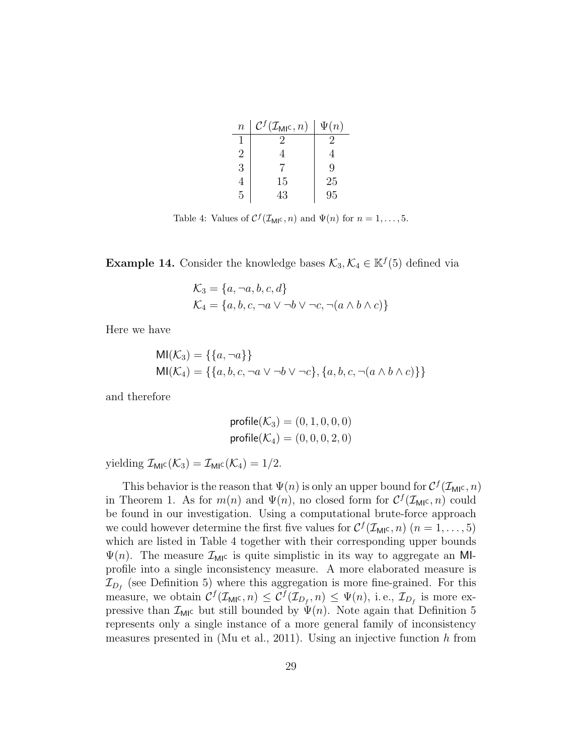| $\boldsymbol{n}$ | $\mathcal{C}^f(\mathcal{I}_{\mathsf{MI}^{\mathsf{C}}},n)$ | $\Psi(n)$ |
|------------------|-----------------------------------------------------------|-----------|
|                  |                                                           | 2         |
| $\overline{2}$   |                                                           | 4         |
| 3                |                                                           | Q         |
| 4                | 15                                                        | 25        |
| 5                | 43                                                        | 95        |

Table 4: Values of  $C^f(\mathcal{I}_{\mathsf{MIC}}, n)$  and  $\Psi(n)$  for  $n = 1, \ldots, 5$ .

**Example 14.** Consider the knowledge bases  $\mathcal{K}_3, \mathcal{K}_4 \in \mathbb{K}^f(5)$  defined via

$$
\mathcal{K}_3 = \{a, \neg a, b, c, d\}
$$
  

$$
\mathcal{K}_4 = \{a, b, c, \neg a \lor \neg b \lor \neg c, \neg (a \land b \land c)\}
$$

Here we have

$$
MI(K_3) = \{\{a, \neg a\}\}\
$$
  

$$
MI(K_4) = \{\{a, b, c, \neg a \lor \neg b \lor \neg c\}, \{a, b, c, \neg (a \land b \land c)\}\}\
$$

and therefore

$$
profile(K_3) = (0, 1, 0, 0, 0)
$$
  
 $profile(K_4) = (0, 0, 0, 2, 0)$ 

yielding  $\mathcal{I}_{\text{MIC}}(\mathcal{K}_3) = \mathcal{I}_{\text{MIC}}(\mathcal{K}_4) = 1/2.$ 

This behavior is the reason that  $\Psi(n)$  is only an upper bound for  $C^{f}(\mathcal{I}_{\mathsf{MI}^{\mathsf{C}}},n)$ in Theorem 1. As for  $m(n)$  and  $\Psi(n)$ , no closed form for  $C^{f}(\mathcal{I}_{\mathsf{MI}^{\mathsf{C}}},n)$  could be found in our investigation. Using a computational brute-force approach we could however determine the first five values for  $C^f(\mathcal{I}_{\text{MIC}}, n)$   $(n = 1, \ldots, 5)$ which are listed in Table 4 together with their corresponding upper bounds  $\Psi(n)$ . The measure  $\mathcal{I}_{\text{MI}}$  is quite simplistic in its way to aggregate an MIprofile into a single inconsistency measure. A more elaborated measure is  $\mathcal{I}_{D_f}$  (see Definition 5) where this aggregation is more fine-grained. For this measure, we obtain  $C^{f}(\mathcal{I}_{\mathsf{MIC}}, n) \leq C^{f}(\mathcal{I}_{D_f}, n) \leq \Psi(n)$ , i.e.,  $\mathcal{I}_{D_f}$  is more expressive than  $\mathcal{I}_{\text{MI}}$  but still bounded by  $\Psi(n)$ . Note again that Definition 5 represents only a single instance of a more general family of inconsistency measures presented in (Mu et al., 2011). Using an injective function  $h$  from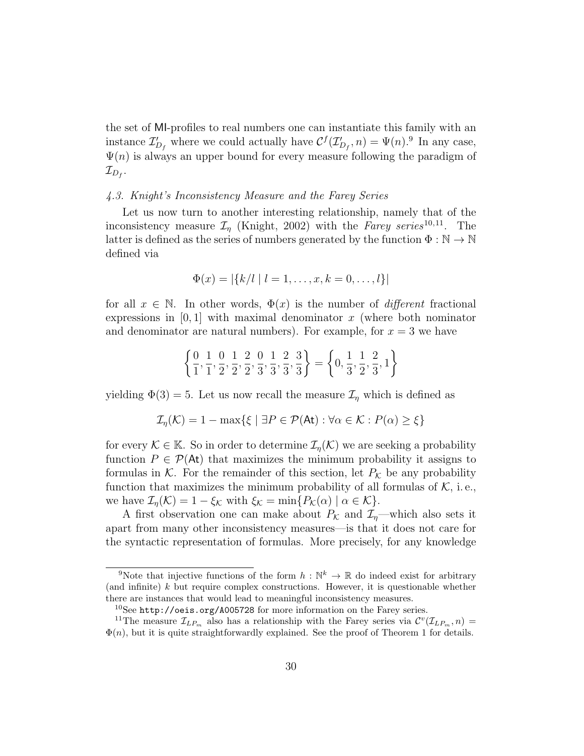the set of MI-profiles to real numbers one can instantiate this family with an instance  $\mathcal{I}'_{D_f}$  where we could actually have  $\mathcal{C}^f(\mathcal{I}'_{D_f}, n) = \Psi(n)$ .<sup>9</sup> In any case,  $\Psi(n)$  is always an upper bound for every measure following the paradigm of  $\mathcal{I}_{D_f}.$ 

#### 4.3. Knight's Inconsistency Measure and the Farey Series

Let us now turn to another interesting relationship, namely that of the inconsistency measure  $\mathcal{I}_\eta$  (Knight, 2002) with the Farey series<sup>10,11</sup>. The latter is defined as the series of numbers generated by the function  $\Phi : \mathbb{N} \to \mathbb{N}$ defined via

$$
\Phi(x) = |\{k/l \mid l = 1, \dots, x, k = 0, \dots, l\}|
$$

for all  $x \in \mathbb{N}$ . In other words,  $\Phi(x)$  is the number of *different* fractional expressions in  $[0, 1]$  with maximal denominator x (where both nominator and denominator are natural numbers). For example, for  $x = 3$  we have

$$
\left\{\frac{0}{1}, \frac{1}{1}, \frac{0}{2}, \frac{1}{2}, \frac{2}{2}, \frac{0}{3}, \frac{1}{3}, \frac{2}{3}, \frac{3}{3}\right\} = \left\{0, \frac{1}{3}, \frac{1}{2}, \frac{2}{3}, 1\right\}
$$

yielding  $\Phi(3) = 5$ . Let us now recall the measure  $\mathcal{I}_{\eta}$  which is defined as

$$
\mathcal{I}_{\eta}(\mathcal{K}) = 1 - \max\{\xi \mid \exists P \in \mathcal{P}(\mathsf{At}) : \forall \alpha \in \mathcal{K} : P(\alpha) \ge \xi\}
$$

for every  $\mathcal{K} \in \mathbb{K}$ . So in order to determine  $\mathcal{I}_n(\mathcal{K})$  we are seeking a probability function  $P \in \mathcal{P}(\mathsf{At})$  that maximizes the minimum probability it assigns to formulas in K. For the remainder of this section, let  $P_K$  be any probability function that maximizes the minimum probability of all formulas of  $K$ , i.e., we have  $\mathcal{I}_{\eta}(\mathcal{K}) = 1 - \xi_{\mathcal{K}}$  with  $\xi_{\mathcal{K}} = \min\{P_{\mathcal{K}}(\alpha) \mid \alpha \in \mathcal{K}\}.$ 

A first observation one can make about  $P_{\mathcal{K}}$  and  $\mathcal{I}_{n}$ —which also sets it apart from many other inconsistency measures—is that it does not care for the syntactic representation of formulas. More precisely, for any knowledge

<sup>&</sup>lt;sup>9</sup>Note that injective functions of the form  $h : \mathbb{N}^k \to \mathbb{R}$  do indeed exist for arbitrary (and infinite)  $k$  but require complex constructions. However, it is questionable whether there are instances that would lead to meaningful inconsistency measures.

 $10$ See http://oeis.org/A005728 for more information on the Farey series.

<sup>&</sup>lt;sup>11</sup>The measure  $\mathcal{I}_{LP_m}$  also has a relationship with the Farey series via  $\mathcal{C}^v(\mathcal{I}_{LP_m}, n)$  $\Phi(n)$ , but it is quite straightforwardly explained. See the proof of Theorem 1 for details.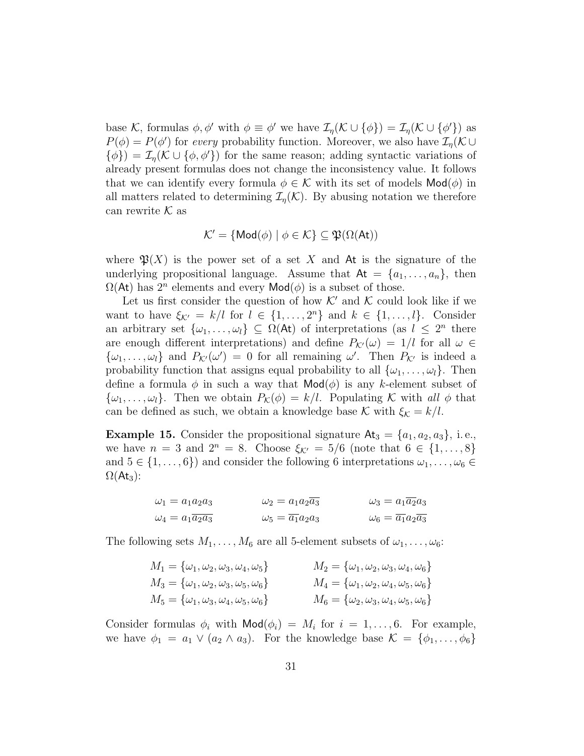base K, formulas  $\phi$ ,  $\phi'$  with  $\phi \equiv \phi'$  we have  $\mathcal{I}_{\eta}(\mathcal{K} \cup {\phi}) = \mathcal{I}_{\eta}(\mathcal{K} \cup {\phi'}$  as  $P(\phi) = P(\phi')$  for every probability function. Moreover, we also have  $\mathcal{I}_{\eta}(\mathcal{K} \cup$  $\{\phi\}\n= \mathcal{I}_{\eta}(\mathcal{K} \cup \{\phi, \phi'\})$  for the same reason; adding syntactic variations of already present formulas does not change the inconsistency value. It follows that we can identify every formula  $\phi \in \mathcal{K}$  with its set of models  $\mathsf{Mod}(\phi)$  in all matters related to determining  $\mathcal{I}_{\eta}(\mathcal{K})$ . By abusing notation we therefore can rewrite  $\mathcal K$  as

$$
\mathcal{K}' = \{ \mathsf{Mod}(\phi) \mid \phi \in \mathcal{K} \} \subseteq \mathfrak{P}(\Omega(\mathsf{At}))
$$

where  $\mathfrak{P}(X)$  is the power set of a set X and At is the signature of the underlying propositional language. Assume that  $At = \{a_1, \ldots, a_n\}$ , then  $\Omega(\mathsf{At})$  has  $2^n$  elements and every  $\mathsf{Mod}(\phi)$  is a subset of those.

Let us first consider the question of how  $K'$  and K could look like if we want to have  $\xi_{\mathcal{K}'} = k/l$  for  $l \in \{1, ..., 2^n\}$  and  $k \in \{1, ..., l\}$ . Consider an arbitrary set  $\{\omega_1, \ldots, \omega_l\} \subseteq \Omega(\mathsf{At})$  of interpretations (as  $l \leq 2^n$  there are enough different interpretations) and define  $P_{\mathcal{K}}(\omega) = 1/l$  for all  $\omega \in$  $\{\omega_1,\ldots,\omega_l\}$  and  $P_{\mathcal{K}'}(\omega')=0$  for all remaining  $\omega'$ . Then  $P_{\mathcal{K}'}$  is indeed a probability function that assigns equal probability to all  $\{\omega_1, \ldots, \omega_l\}$ . Then define a formula  $\phi$  in such a way that  $\mathsf{Mod}(\phi)$  is any k-element subset of  $\{\omega_1, \ldots, \omega_l\}$ . Then we obtain  $P_{\mathcal{K}}(\phi) = k/l$ . Populating K with all  $\phi$  that can be defined as such, we obtain a knowledge base K with  $\xi_{\mathcal{K}} = k/l$ .

**Example 15.** Consider the propositional signature  $At_3 = \{a_1, a_2, a_3\}$ , i.e., we have  $n = 3$  and  $2^n = 8$ . Choose  $\xi_{\mathcal{K}'} = 5/6$  (note that  $6 \in \{1, ..., 8\}$ ) and  $5 \in \{1, \ldots, 6\}$  and consider the following 6 interpretations  $\omega_1, \ldots, \omega_6 \in$  $\Omega(\mathsf{At}_3)$ :

$$
\omega_1 = a_1 a_2 a_3 \qquad \qquad \omega_2 = a_1 a_2 \overline{a_3} \qquad \qquad \omega_3 = a_1 \overline{a_2} a_3
$$

$$
\omega_4 = a_1 \overline{a_2} a_3 \qquad \qquad \omega_5 = \overline{a_1} a_2 a_3 \qquad \qquad \omega_6 = \overline{a_1} a_2 \overline{a_3}
$$

The following sets  $M_1, \ldots, M_6$  are all 5-element subsets of  $\omega_1, \ldots, \omega_6$ :

| $M_1 = {\omega_1, \omega_2, \omega_3, \omega_4, \omega_5}$ | $M_2 = {\omega_1, \omega_2, \omega_3, \omega_4, \omega_6}$ |  |
|------------------------------------------------------------|------------------------------------------------------------|--|
| $M_3 = {\omega_1, \omega_2, \omega_3, \omega_5, \omega_6}$ | $M_4 = {\omega_1, \omega_2, \omega_4, \omega_5, \omega_6}$ |  |
| $M_5 = {\omega_1, \omega_3, \omega_4, \omega_5, \omega_6}$ | $M_6 = {\omega_2, \omega_3, \omega_4, \omega_5, \omega_6}$ |  |

Consider formulas  $\phi_i$  with  $\mathsf{Mod}(\phi_i) = M_i$  for  $i = 1, \ldots, 6$ . For example, we have  $\phi_1 = a_1 \vee (a_2 \wedge a_3)$ . For the knowledge base  $\mathcal{K} = \{\phi_1, \ldots, \phi_6\}$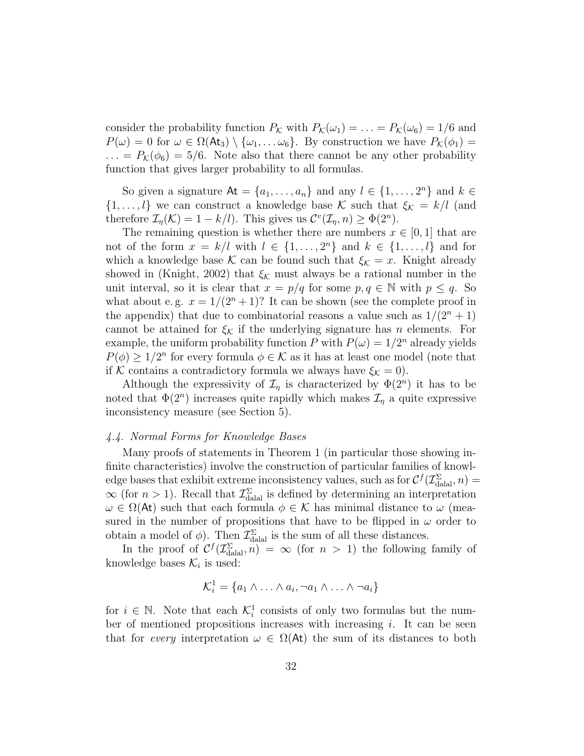consider the probability function  $P_{\mathcal{K}}$  with  $P_{\mathcal{K}}(\omega_1) = \ldots = P_{\mathcal{K}}(\omega_6) = 1/6$  and  $P(\omega) = 0$  for  $\omega \in \Omega(\mathsf{At}_3) \setminus {\omega_1, \dots \omega_6}$ . By construction we have  $P_{\mathcal{K}}(\phi_1) =$  $\ldots = P_{\mathcal{K}}(\phi_6) = 5/6$ . Note also that there cannot be any other probability function that gives larger probability to all formulas.

So given a signature  $\mathsf{At} = \{a_1, \ldots, a_n\}$  and any  $l \in \{1, \ldots, 2^n\}$  and  $k \in \mathsf{Set}$  $\{1,\ldots,l\}$  we can construct a knowledge base K such that  $\xi_{\mathcal{K}} = k/l$  (and therefore  $\mathcal{I}_{\eta}(\mathcal{K}) = 1 - k/l$ . This gives us  $\mathcal{C}^v(\mathcal{I}_{\eta}, n) \geq \Phi(2^n)$ .

The remaining question is whether there are numbers  $x \in [0,1]$  that are not of the form  $x = k/l$  with  $l \in \{1, ..., 2^n\}$  and  $k \in \{1, ..., l\}$  and for which a knowledge base K can be found such that  $\xi_{\mathcal{K}} = x$ . Knight already showed in (Knight, 2002) that  $\xi_{\mathcal{K}}$  must always be a rational number in the unit interval, so it is clear that  $x = p/q$  for some  $p, q \in \mathbb{N}$  with  $p \leq q$ . So what about e.g.  $x = 1/(2^n + 1)$ ? It can be shown (see the complete proof in the appendix) that due to combinatorial reasons a value such as  $1/(2<sup>n</sup> + 1)$ cannot be attained for  $\xi_K$  if the underlying signature has n elements. For example, the uniform probability function P with  $P(\omega) = 1/2^n$  already yields  $P(\phi) \geq 1/2^n$  for every formula  $\phi \in \mathcal{K}$  as it has at least one model (note that if K contains a contradictory formula we always have  $\xi_{\mathcal{K}} = 0$ .

Although the expressivity of  $\mathcal{I}_\eta$  is characterized by  $\Phi(2^n)$  it has to be noted that  $\Phi(2^n)$  increases quite rapidly which makes  $\mathcal{I}_\eta$  a quite expressive inconsistency measure (see Section 5).

#### 4.4. Normal Forms for Knowledge Bases

Many proofs of statements in Theorem 1 (in particular those showing infinite characteristics) involve the construction of particular families of knowledge bases that exhibit extreme inconsistency values, such as for  $C^f(\mathcal{I}_{\text{dala}}^{\Sigma}, n) =$  $\infty$  (for  $n > 1$ ). Recall that  $\mathcal{I}_{\text{dala}}^{\Sigma}$  is defined by determining an interpretation  $\omega \in \Omega(\mathsf{At})$  such that each formula  $\phi \in \mathcal{K}$  has minimal distance to  $\omega$  (measured in the number of propositions that have to be flipped in  $\omega$  order to obtain a model of  $\phi$ ). Then  $\mathcal{I}_{\text{datal}}^{\Sigma}$  is the sum of all these distances.

In the proof of  $C^f(\mathcal{I}_{\text{dala}}^{\Sigma}, n) = \infty$  (for  $n > 1$ ) the following family of knowledge bases  $\mathcal{K}_i$  is used:

$$
\mathcal{K}_i^1 = \{a_1 \wedge \ldots \wedge a_i, \neg a_1 \wedge \ldots \wedge \neg a_i\}
$$

for  $i \in \mathbb{N}$ . Note that each  $\mathcal{K}_i^1$  consists of only two formulas but the number of mentioned propositions increases with increasing  $i$ . It can be seen that for every interpretation  $\omega \in \Omega(\mathsf{At})$  the sum of its distances to both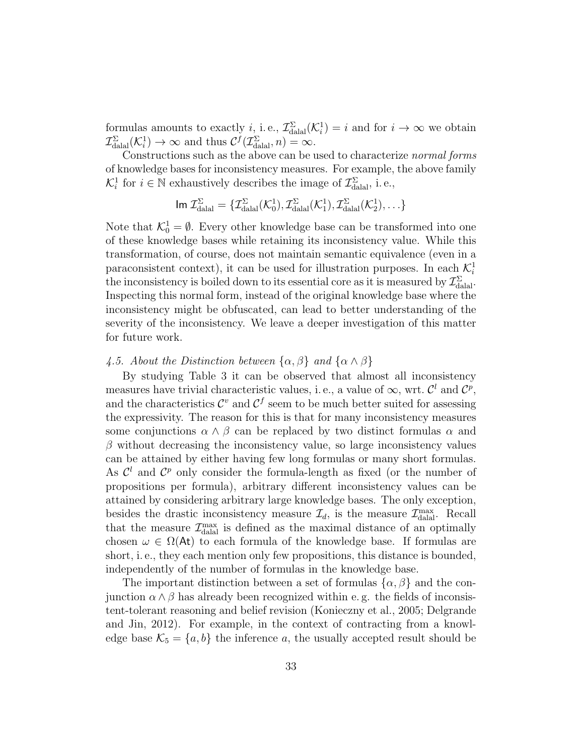formulas amounts to exactly *i*, i.e.,  $\mathcal{I}_{\text{dual}}^{\Sigma}(\mathcal{K}_i^1) = i$  and for  $i \to \infty$  we obtain  $\mathcal{I}_{\text{dala}}^{\Sigma}(\mathcal{K}_{i}^{1}) \to \infty$  and thus  $\mathcal{C}^{f}(\mathcal{I}_{\text{dala}}^{\Sigma}, n) = \infty$ .

Constructions such as the above can be used to characterize normal forms of knowledge bases for inconsistency measures. For example, the above family  $\mathcal{K}_i^1$  for  $i \in \mathbb{N}$  exhaustively describes the image of  $\mathcal{I}_{\text{datal}}^{\Sigma}$ , i.e.,

$$
\text{Im } \mathcal{I}^{\Sigma}_{\text{dala}} = \{ \mathcal{I}^{\Sigma}_{\text{dala}}(\mathcal{K}^1_0), \mathcal{I}^{\Sigma}_{\text{dala}}(\mathcal{K}^1_1), \mathcal{I}^{\Sigma}_{\text{dala}}(\mathcal{K}^1_2), \ldots \}
$$

Note that  $\mathcal{K}_0^1 = \emptyset$ . Every other knowledge base can be transformed into one of these knowledge bases while retaining its inconsistency value. While this transformation, of course, does not maintain semantic equivalence (even in a paraconsistent context), it can be used for illustration purposes. In each  $\mathcal{K}_i^1$ the inconsistency is boiled down to its essential core as it is measured by  $\mathcal{I}_{\text{dala}}^{\Sigma}$ . Inspecting this normal form, instead of the original knowledge base where the inconsistency might be obfuscated, can lead to better understanding of the severity of the inconsistency. We leave a deeper investigation of this matter for future work.

#### 4.5. About the Distinction between  $\{\alpha, \beta\}$  and  $\{\alpha \wedge \beta\}$

By studying Table 3 it can be observed that almost all inconsistency measures have trivial characteristic values, i.e., a value of  $\infty$ , wrt.  $\mathcal{C}^l$  and  $\mathcal{C}^p$ , and the characteristics  $\mathcal{C}^v$  and  $\mathcal{C}^f$  seem to be much better suited for assessing the expressivity. The reason for this is that for many inconsistency measures some conjunctions  $\alpha \wedge \beta$  can be replaced by two distinct formulas  $\alpha$  and  $\beta$  without decreasing the inconsistency value, so large inconsistency values can be attained by either having few long formulas or many short formulas. As  $\mathcal{C}^l$  and  $\mathcal{C}^p$  only consider the formula-length as fixed (or the number of propositions per formula), arbitrary different inconsistency values can be attained by considering arbitrary large knowledge bases. The only exception, besides the drastic inconsistency measure  $\mathcal{I}_d$ , is the measure  $\mathcal{I}_{\text{d\nu}}^{\text{max}}$ . Recall that the measure  $\mathcal{I}^{\max}_{\text{dual}}$  is defined as the maximal distance of an optimally chosen  $\omega \in \Omega(\mathsf{At})$  to each formula of the knowledge base. If formulas are short, i. e., they each mention only few propositions, this distance is bounded, independently of the number of formulas in the knowledge base.

The important distinction between a set of formulas  $\{\alpha, \beta\}$  and the conjunction  $\alpha \wedge \beta$  has already been recognized within e.g. the fields of inconsistent-tolerant reasoning and belief revision (Konieczny et al., 2005; Delgrande and Jin, 2012). For example, in the context of contracting from a knowledge base  $\mathcal{K}_5 = \{a, b\}$  the inference a, the usually accepted result should be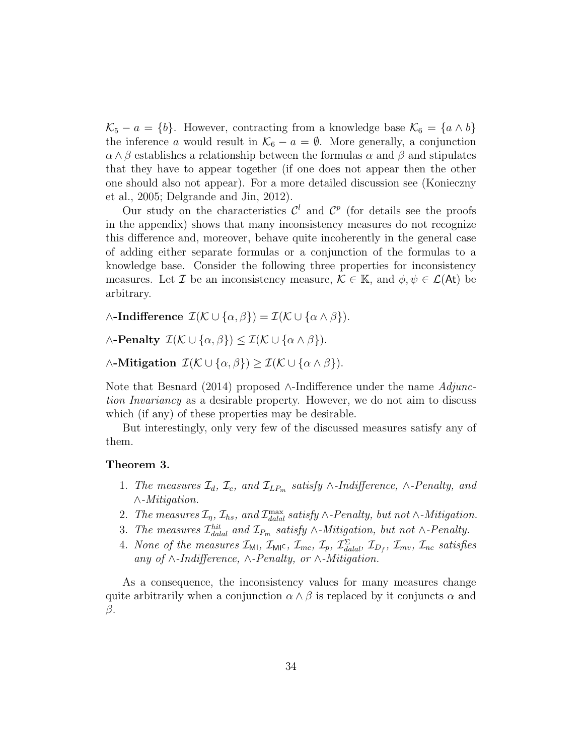$\mathcal{K}_5 - a = \{b\}.$  However, contracting from a knowledge base  $\mathcal{K}_6 = \{a \wedge b\}$ the inference a would result in  $\mathcal{K}_6 - a = \emptyset$ . More generally, a conjunction  $\alpha \wedge \beta$  establishes a relationship between the formulas  $\alpha$  and  $\beta$  and stipulates that they have to appear together (if one does not appear then the other one should also not appear). For a more detailed discussion see (Konieczny et al., 2005; Delgrande and Jin, 2012).

Our study on the characteristics  $\mathcal{C}^l$  and  $\mathcal{C}^p$  (for details see the proofs in the appendix) shows that many inconsistency measures do not recognize this difference and, moreover, behave quite incoherently in the general case of adding either separate formulas or a conjunction of the formulas to a knowledge base. Consider the following three properties for inconsistency measures. Let Z be an inconsistency measure,  $\mathcal{K} \in \mathbb{K}$ , and  $\phi, \psi \in \mathcal{L}(\mathsf{At})$  be arbitrary.

 $\wedge$ -Indifference  $\mathcal{I}(\mathcal{K} \cup {\alpha, \beta}) = \mathcal{I}(\mathcal{K} \cup {\alpha \wedge \beta}).$ 

 $\wedge$ -Penalty  $\mathcal{I}(\mathcal{K} \cup {\alpha, \beta}) \leq \mathcal{I}(\mathcal{K} \cup {\alpha \wedge \beta}).$ 

 $\wedge$ -Mitigation  $\mathcal{I}(\mathcal{K} \cup {\alpha, \beta}) > \mathcal{I}(\mathcal{K} \cup {\alpha \wedge \beta}).$ 

Note that Besnard (2014) proposed ∧-Indifference under the name  $Adi$ tion Invariancy as a desirable property. However, we do not aim to discuss which (if any) of these properties may be desirable.

But interestingly, only very few of the discussed measures satisfy any of them.

#### Theorem 3.

- 1. The measures  $\mathcal{I}_d$ ,  $\mathcal{I}_c$ , and  $\mathcal{I}_{LP_m}$  satisfy ∧-Indifference, ∧-Penalty, and ∧-Mitigation.
- 2. The measures  $\mathcal{I}_\eta$ ,  $\mathcal{I}_{hs}$ , and  $\mathcal{I}_{\text{d\nu}}^{\text{max}}$  satisfy  $\wedge$ -Penalty, but not  $\wedge$ -Mitigation.
- 3. The measures  $\mathcal{I}^{hit}_{dala}$  and  $\mathcal{I}_{P_m}$  satisfy ∧-Mitigation, but not ∧-Penalty.
- 4. None of the measures  $\mathcal{I}_{ML}$ ,  $\mathcal{I}_{ML}$ ,  $\mathcal{I}_{mc}$ ,  $\mathcal{I}_{p}$ ,  $\mathcal{I}_{\text{d}l}^{\Sigma}$ ,  $\mathcal{I}_{D_f}$ ,  $\mathcal{I}_{mv}$ ,  $\mathcal{I}_{nc}$  satisfies any of ∧-Indifference, ∧-Penalty, or ∧-Mitigation.

As a consequence, the inconsistency values for many measures change quite arbitrarily when a conjunction  $\alpha \wedge \beta$  is replaced by it conjuncts  $\alpha$  and β.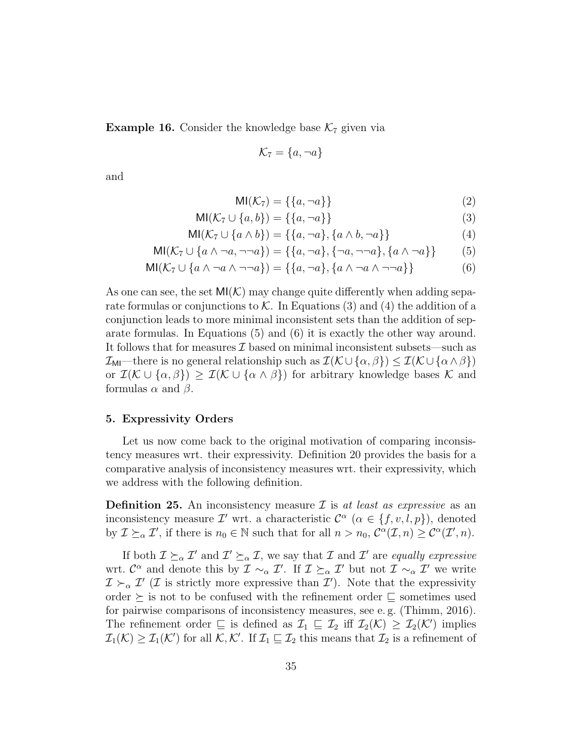**Example 16.** Consider the knowledge base  $K_7$  given via

$$
\mathcal{K}_7 = \{a, \neg a\}
$$

and

$$
MI(\mathcal{K}_7) = \{\{a, \neg a\}\}\tag{2}
$$

$$
MI(\mathcal{K}_7 \cup \{a, b\}) = \{\{a, \neg a\}\}\
$$
 (3)

$$
MI(\mathcal{K}_7 \cup \{a \wedge b\}) = \{\{a, \neg a\}, \{a \wedge b, \neg a\}\}\
$$
\n
$$
(4)
$$

$$
\text{MI}(\mathcal{K}_7 \cup \{a \wedge \neg a, \neg \neg a\}) = \{\{a, \neg a\}, \{\neg a, \neg \neg a\}, \{a \wedge \neg a\}\}\tag{5}
$$

$$
\text{MI}(\mathcal{K}_7 \cup \{a \land \neg a \land \neg \neg a\}) = \{\{a, \neg a\}, \{a \land \neg a \land \neg \neg a\}\}\
$$
(6)

As one can see, the set  $\mathsf{MI}(\mathcal{K})$  may change quite differently when adding separate formulas or conjunctions to  $K$ . In Equations (3) and (4) the addition of a conjunction leads to more minimal inconsistent sets than the addition of separate formulas. In Equations (5) and (6) it is exactly the other way around. It follows that for measures  $\mathcal I$  based on minimal inconsistent subsets—such as  $\mathcal{I}_{\text{MI}}$ —there is no general relationship such as  $\mathcal{I}(\mathcal{K} \cup {\alpha, \beta}) \leq \mathcal{I}(\mathcal{K} \cup {\alpha \wedge \beta})$ or  $\mathcal{I}(\mathcal{K} \cup {\alpha, \beta}) \geq \mathcal{I}(\mathcal{K} \cup {\alpha \wedge \beta})$  for arbitrary knowledge bases K and formulas  $\alpha$  and  $\beta$ .

#### 5. Expressivity Orders

Let us now come back to the original motivation of comparing inconsistency measures wrt. their expressivity. Definition 20 provides the basis for a comparative analysis of inconsistency measures wrt. their expressivity, which we address with the following definition.

**Definition 25.** An inconsistency measure  $\mathcal{I}$  is at least as expressive as an inconsistency measure  $\mathcal{I}'$  wrt. a characteristic  $\mathcal{C}^{\alpha}$  ( $\alpha \in \{f, v, l, p\}$ ), denoted by  $\mathcal{I} \succeq_{\alpha} \mathcal{I}'$ , if there is  $n_0 \in \mathbb{N}$  such that for all  $n > n_0$ ,  $\mathcal{C}^{\alpha}(\mathcal{I}, n) \geq \mathcal{C}^{\alpha}(\mathcal{I}', n)$ .

If both  $\mathcal{I} \succeq_{\alpha} \mathcal{I}'$  and  $\mathcal{I}' \succeq_{\alpha} \mathcal{I}$ , we say that  $\mathcal{I}$  and  $\mathcal{I}'$  are equally expressive wrt.  $\mathcal{C}^{\alpha}$  and denote this by  $\mathcal{I} \sim_{\alpha} \mathcal{I}'$ . If  $\mathcal{I} \succeq_{\alpha} \mathcal{I}'$  but not  $\mathcal{I} \sim_{\alpha} \mathcal{I}'$  we write  $\mathcal{I} \succ_{\alpha} \mathcal{I}'$  (*I* is strictly more expressive than  $\mathcal{I}'$ ). Note that the expressivity order  $\succeq$  is not to be confused with the refinement order  $\succeq$  sometimes used for pairwise comparisons of inconsistency measures, see e. g. (Thimm, 2016). The refinement order  $\subseteq$  is defined as  $\mathcal{I}_1 \subseteq \mathcal{I}_2$  iff  $\mathcal{I}_2(\mathcal{K}) \geq \mathcal{I}_2(\mathcal{K}')$  implies  $\mathcal{I}_1(\mathcal{K}) \geq \mathcal{I}_1(\mathcal{K}')$  for all  $\mathcal{K}, \mathcal{K}'$ . If  $\mathcal{I}_1 \sqsubseteq \mathcal{I}_2$  this means that  $\mathcal{I}_2$  is a refinement of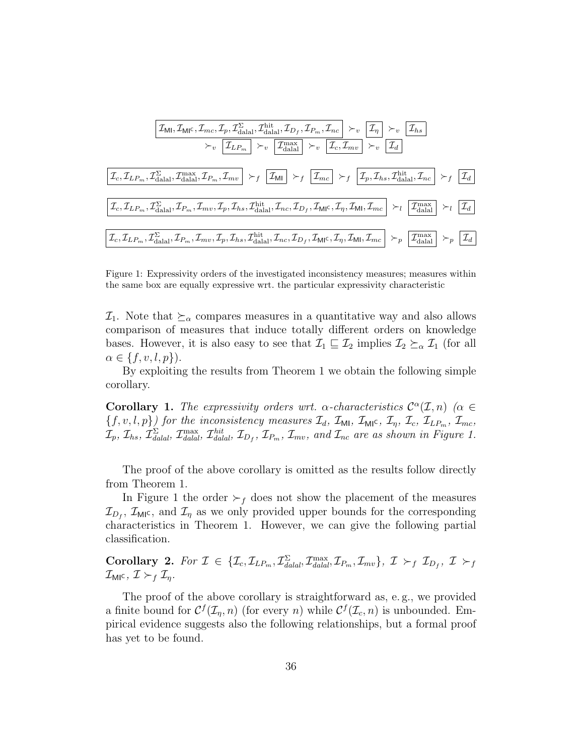$$
\boxed{\mathcal{I}_{\text{MI}}, \mathcal{I}_{\text{MIC}}, \mathcal{I}_{mc}, \mathcal{I}_{p}, \mathcal{I}_{\text{dala}}, \mathcal{I}_{\text{dala}}, \mathcal{I}_{D_f}, \mathcal{I}_{P_m}, \mathcal{I}_{nc} \rightarrow_v \boxed{\mathcal{I}_{\eta}} \succ_v \boxed{\mathcal{I}_{hs}}}
$$
\n
$$
\succ_v \boxed{\mathcal{I}_{LP_m} \succ_v \boxed{\mathcal{I}_{\text{L}}}_{\text{dala}}} \succ_v \boxed{\mathcal{I}_{\text{dala}}} \succ_v \boxed{\mathcal{I}_{\text{dala}}} \succ_v \boxed{\mathcal{I}_{\text{d}}}_{\text{dala}}, \mathcal{I}_{\text{dwa}} \rightarrow_v \boxed{\mathcal{I}_{\text{d}}}_{\text{dala}}, \mathcal{I}_{\text{dwa}} \rightarrow_v \boxed{\mathcal{I}_{\text{d}}}
$$
\n
$$
\boxed{\mathcal{I}_{c}, \mathcal{I}_{LP_m}, \mathcal{I}_{\text{dala}}^{\Sigma}, \mathcal{I}_{\text{max}}^{\max}, \mathcal{I}_{P_m}, \mathcal{I}_{mv} \rightarrow_f \boxed{\mathcal{I}_{\text{MI}}} \succ_f \boxed{\mathcal{I}_{mc}} \succ_f \boxed{\mathcal{I}_{p}, \mathcal{I}_{hs}, \mathcal{I}_{\text{dala}}, \mathcal{I}_{\text{nc}} \succ_f \boxed{\mathcal{I}_{d}}}
$$
\n
$$
\boxed{\mathcal{I}_{c}, \mathcal{I}_{LP_m}, \mathcal{I}_{\text{dala}}, \mathcal{I}_{P_m}, \mathcal{I}_{mv}, \mathcal{I}_{p}, \mathcal{I}_{hs}, \mathcal{I}_{\text{dala}}, \mathcal{I}_{nc}, \mathcal{I}_{D_f}, \mathcal{I}_{\text{MI}}, \mathcal{I}_{mc} \rightarrow_l \boxed{\mathcal{I}_{\text{dala}}}_{\text{dala}} \succ_l \boxed{\mathcal{I}_{d}}}
$$
\n
$$
\boxed{\mathcal{I}_{c}, \mathcal{I}_{LP_m}, \mathcal{I}_{\text{dala}}, \mathcal{I}_{P_m}, \mathcal{I}_{mv}, \mathcal{I}_{p}, \mathcal{I}_{hs}, \mathcal{I}_{\text{dala}}, \mathcal{I}_{nc}, \mathcal{I}_{D_f}, \mathcal{I}_{\text{MI}}, \mathcal{I}_{mc} \rightarrow_p \boxed{\mathcal{I}_{\text{dala}}}_{\text{dala}} \succ_p \boxed{\mathcal{I}_{
$$

Figure 1: Expressivity orders of the investigated inconsistency measures; measures within the same box are equally expressive wrt. the particular expressivity characteristic

 $\mathcal{I}_1$ . Note that  $\succeq_{\alpha}$  compares measures in a quantitative way and also allows comparison of measures that induce totally different orders on knowledge bases. However, it is also easy to see that  $\mathcal{I}_1 \subseteq \mathcal{I}_2$  implies  $\mathcal{I}_2 \succeq_{\alpha} \mathcal{I}_1$  (for all  $\alpha \in \{f, v, l, p\}$ ).

By exploiting the results from Theorem 1 we obtain the following simple corollary.

Corollary 1. The expressivity orders wrt.  $\alpha$ -characteristics  $\mathcal{C}^{\alpha}(\mathcal{I},n)$  ( $\alpha \in$  ${f, v, l, p}$  for the inconsistency measures  $\mathcal{I}_d$ ,  $\mathcal{I}_{\text{MI}}, \mathcal{I}_{\text{MI}^c}, \mathcal{I}_\eta, \mathcal{I}_c, \mathcal{I}_{\text{LP}_m}, \mathcal{I}_{\text{mc}}$ ,  $\mathcal{I}_p$ ,  $\mathcal{I}_{h s}$ ,  $\mathcal{I}_{\textit{d} \textit{d} \textit{a} \textit{l}}^{\Sigma}$ ,  $\mathcal{I}_{\textit{d} \textit{d} \textit{a} \textit{l}}$ ,  $\mathcal{I}_{D_f}$ ,  $\mathcal{I}_{P_m}$ ,  $\mathcal{I}_{mv}$ , and  $\mathcal{I}_{nc}$  are as shown in Figure 1.

The proof of the above corollary is omitted as the results follow directly from Theorem 1.

In Figure 1 the order  $\succ_f$  does not show the placement of the measures  $\mathcal{I}_{D_f}$ ,  $\mathcal{I}_{\text{MI}}$ c, and  $\mathcal{I}_{\eta}$  as we only provided upper bounds for the corresponding characteristics in Theorem 1. However, we can give the following partial classification.

 $\textbf{Corollary 2. } \textit{For } \mathcal{I} \in \{\mathcal{I}_c, \mathcal{I}_{LP_m}, \mathcal{I}_{dala}^{\Sigma}, \mathcal{I}_{dalal}, \mathcal{I}_{P_m}, \mathcal{I}_{mv}\}, \text{ } \mathcal{I} \succ_f \mathcal{I}_{D_f}, \text{ } \mathcal{I} \succ_f$  $\mathcal{I}_{\text{MI}}$ c,  $\mathcal{I} \succ_f \mathcal{I}_n$ .

The proof of the above corollary is straightforward as, e. g., we provided a finite bound for  $C^{f}(\mathcal{I}_n, n)$  (for every n) while  $C^{f}(\mathcal{I}_c, n)$  is unbounded. Empirical evidence suggests also the following relationships, but a formal proof has yet to be found.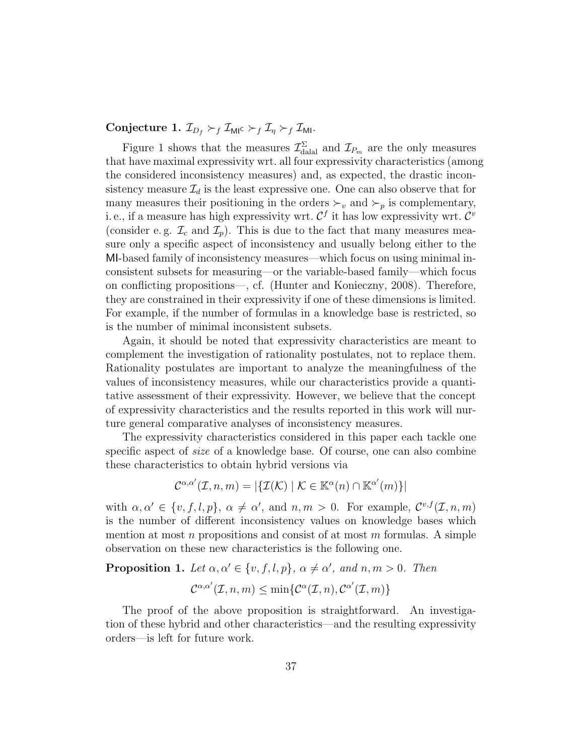Conjecture 1.  $\mathcal{I}_{D_f} \succ_f \mathcal{I}_{\text{MIC}} \succ_f \mathcal{I}_{\gamma} \succ_f \mathcal{I}_{\text{MI}}$ .

Figure 1 shows that the measures  $\mathcal{I}^{\Sigma}_{\text{datal}}$  and  $\mathcal{I}_{P_m}$  are the only measures that have maximal expressivity wrt. all four expressivity characteristics (among the considered inconsistency measures) and, as expected, the drastic inconsistency measure  $\mathcal{I}_d$  is the least expressive one. One can also observe that for many measures their positioning in the orders  $\succ_v$  and  $\succ_p$  is complementary, i. e., if a measure has high expressivity wrt.  $\mathcal{C}^f$  it has low expressivity wrt.  $\mathcal{C}^v$ (consider e.g.  $\mathcal{I}_c$  and  $\mathcal{I}_p$ ). This is due to the fact that many measures measure only a specific aspect of inconsistency and usually belong either to the MI-based family of inconsistency measures—which focus on using minimal inconsistent subsets for measuring—or the variable-based family—which focus on conflicting propositions—, cf. (Hunter and Konieczny, 2008). Therefore, they are constrained in their expressivity if one of these dimensions is limited. For example, if the number of formulas in a knowledge base is restricted, so is the number of minimal inconsistent subsets.

Again, it should be noted that expressivity characteristics are meant to complement the investigation of rationality postulates, not to replace them. Rationality postulates are important to analyze the meaningfulness of the values of inconsistency measures, while our characteristics provide a quantitative assessment of their expressivity. However, we believe that the concept of expressivity characteristics and the results reported in this work will nurture general comparative analyses of inconsistency measures.

The expressivity characteristics considered in this paper each tackle one specific aspect of size of a knowledge base. Of course, one can also combine these characteristics to obtain hybrid versions via

$$
\mathcal{C}^{\alpha,\alpha'}(\mathcal{I},n,m) = |\{\mathcal{I}(\mathcal{K}) \mid \mathcal{K} \in \mathbb{K}^{\alpha}(n) \cap \mathbb{K}^{\alpha'}(m)\}|
$$

with  $\alpha, \alpha' \in \{v, f, l, p\}, \alpha \neq \alpha'$ , and  $n, m > 0$ . For example,  $\mathcal{C}^{v,f}(\mathcal{I},n,m)$ is the number of different inconsistency values on knowledge bases which mention at most n propositions and consist of at most m formulas. A simple observation on these new characteristics is the following one.

**Proposition 1.** Let 
$$
\alpha, \alpha' \in \{v, f, l, p\}, \alpha \neq \alpha'
$$
, and  $n, m > 0$ . Then  

$$
\mathcal{C}^{\alpha, \alpha'}(\mathcal{I}, n, m) \leq \min \{ \mathcal{C}^{\alpha}(\mathcal{I}, n), \mathcal{C}^{\alpha'}(\mathcal{I}, m) \}
$$

The proof of the above proposition is straightforward. An investigation of these hybrid and other characteristics—and the resulting expressivity orders—is left for future work.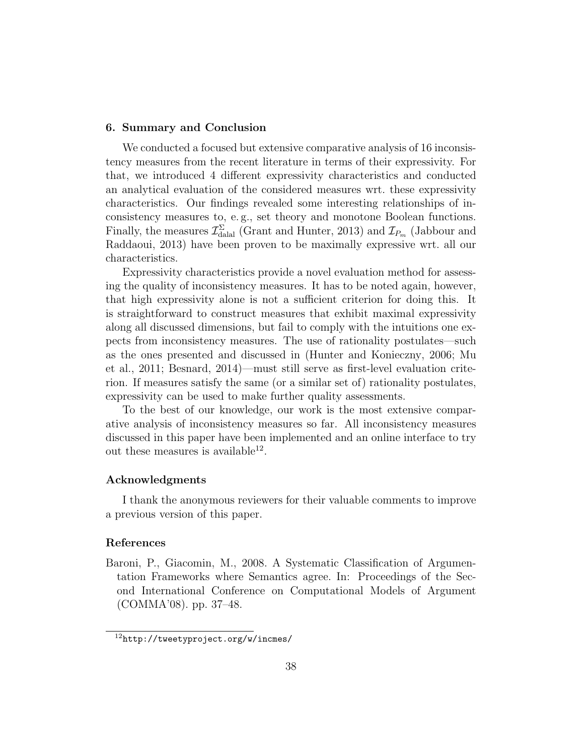#### 6. Summary and Conclusion

We conducted a focused but extensive comparative analysis of 16 inconsistency measures from the recent literature in terms of their expressivity. For that, we introduced 4 different expressivity characteristics and conducted an analytical evaluation of the considered measures wrt. these expressivity characteristics. Our findings revealed some interesting relationships of inconsistency measures to, e. g., set theory and monotone Boolean functions. Finally, the measures  $\mathcal{I}^{\Sigma}_{\text{dala}}$  (Grant and Hunter, 2013) and  $\mathcal{I}_{P_m}$  (Jabbour and Raddaoui, 2013) have been proven to be maximally expressive wrt. all our characteristics.

Expressivity characteristics provide a novel evaluation method for assessing the quality of inconsistency measures. It has to be noted again, however, that high expressivity alone is not a sufficient criterion for doing this. It is straightforward to construct measures that exhibit maximal expressivity along all discussed dimensions, but fail to comply with the intuitions one expects from inconsistency measures. The use of rationality postulates—such as the ones presented and discussed in (Hunter and Konieczny, 2006; Mu et al., 2011; Besnard, 2014)—must still serve as first-level evaluation criterion. If measures satisfy the same (or a similar set of) rationality postulates, expressivity can be used to make further quality assessments.

To the best of our knowledge, our work is the most extensive comparative analysis of inconsistency measures so far. All inconsistency measures discussed in this paper have been implemented and an online interface to try out these measures is available<sup>12</sup>.

#### Acknowledgments

I thank the anonymous reviewers for their valuable comments to improve a previous version of this paper.

#### References

Baroni, P., Giacomin, M., 2008. A Systematic Classification of Argumentation Frameworks where Semantics agree. In: Proceedings of the Second International Conference on Computational Models of Argument (COMMA'08). pp. 37–48.

<sup>12</sup>http://tweetyproject.org/w/incmes/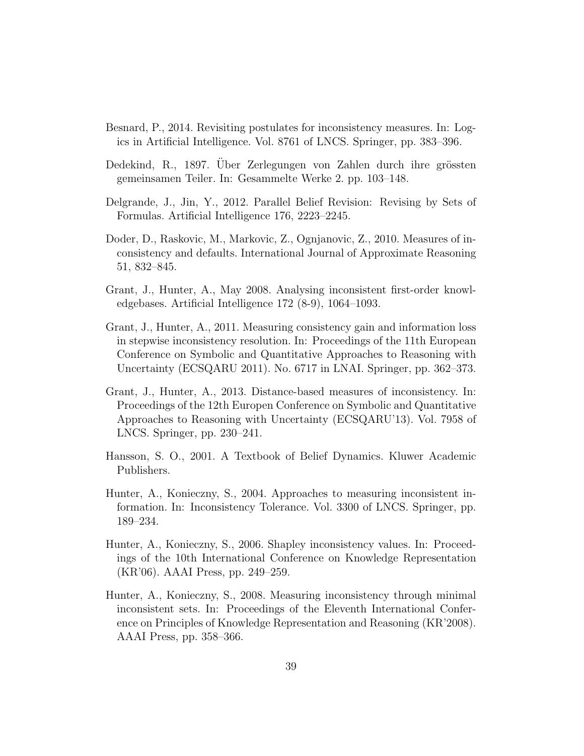- Besnard, P., 2014. Revisiting postulates for inconsistency measures. In: Logics in Artificial Intelligence. Vol. 8761 of LNCS. Springer, pp. 383–396.
- Dedekind, R., 1897. Über Zerlegungen von Zahlen durch ihre grössten gemeinsamen Teiler. In: Gesammelte Werke 2. pp. 103–148.
- Delgrande, J., Jin, Y., 2012. Parallel Belief Revision: Revising by Sets of Formulas. Artificial Intelligence 176, 2223–2245.
- Doder, D., Raskovic, M., Markovic, Z., Ognjanovic, Z., 2010. Measures of inconsistency and defaults. International Journal of Approximate Reasoning 51, 832–845.
- Grant, J., Hunter, A., May 2008. Analysing inconsistent first-order knowledgebases. Artificial Intelligence 172 (8-9), 1064–1093.
- Grant, J., Hunter, A., 2011. Measuring consistency gain and information loss in stepwise inconsistency resolution. In: Proceedings of the 11th European Conference on Symbolic and Quantitative Approaches to Reasoning with Uncertainty (ECSQARU 2011). No. 6717 in LNAI. Springer, pp. 362–373.
- Grant, J., Hunter, A., 2013. Distance-based measures of inconsistency. In: Proceedings of the 12th Europen Conference on Symbolic and Quantitative Approaches to Reasoning with Uncertainty (ECSQARU'13). Vol. 7958 of LNCS. Springer, pp. 230–241.
- Hansson, S. O., 2001. A Textbook of Belief Dynamics. Kluwer Academic Publishers.
- Hunter, A., Konieczny, S., 2004. Approaches to measuring inconsistent information. In: Inconsistency Tolerance. Vol. 3300 of LNCS. Springer, pp. 189–234.
- Hunter, A., Konieczny, S., 2006. Shapley inconsistency values. In: Proceedings of the 10th International Conference on Knowledge Representation (KR'06). AAAI Press, pp. 249–259.
- Hunter, A., Konieczny, S., 2008. Measuring inconsistency through minimal inconsistent sets. In: Proceedings of the Eleventh International Conference on Principles of Knowledge Representation and Reasoning (KR'2008). AAAI Press, pp. 358–366.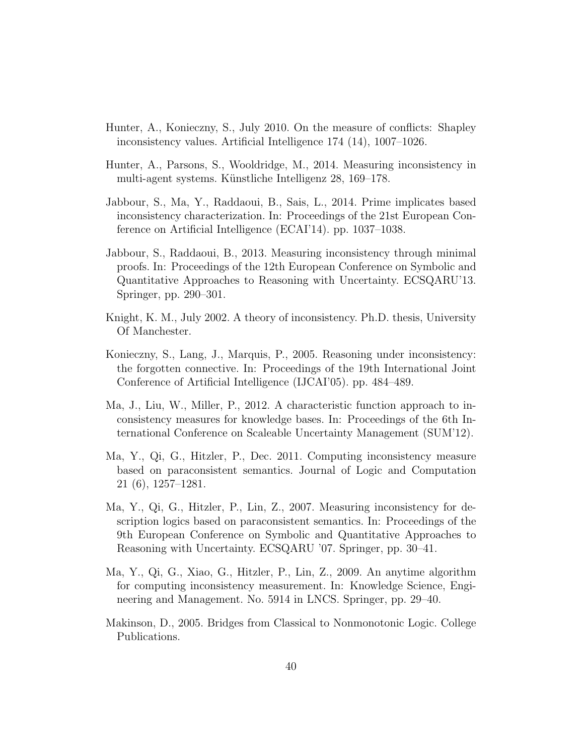- Hunter, A., Konieczny, S., July 2010. On the measure of conflicts: Shapley inconsistency values. Artificial Intelligence 174 (14), 1007–1026.
- Hunter, A., Parsons, S., Wooldridge, M., 2014. Measuring inconsistency in multi-agent systems. Künstliche Intelligenz 28, 169–178.
- Jabbour, S., Ma, Y., Raddaoui, B., Sais, L., 2014. Prime implicates based inconsistency characterization. In: Proceedings of the 21st European Conference on Artificial Intelligence (ECAI'14). pp. 1037–1038.
- Jabbour, S., Raddaoui, B., 2013. Measuring inconsistency through minimal proofs. In: Proceedings of the 12th European Conference on Symbolic and Quantitative Approaches to Reasoning with Uncertainty. ECSQARU'13. Springer, pp. 290–301.
- Knight, K. M., July 2002. A theory of inconsistency. Ph.D. thesis, University Of Manchester.
- Konieczny, S., Lang, J., Marquis, P., 2005. Reasoning under inconsistency: the forgotten connective. In: Proceedings of the 19th International Joint Conference of Artificial Intelligence (IJCAI'05). pp. 484–489.
- Ma, J., Liu, W., Miller, P., 2012. A characteristic function approach to inconsistency measures for knowledge bases. In: Proceedings of the 6th International Conference on Scaleable Uncertainty Management (SUM'12).
- Ma, Y., Qi, G., Hitzler, P., Dec. 2011. Computing inconsistency measure based on paraconsistent semantics. Journal of Logic and Computation 21 (6), 1257–1281.
- Ma, Y., Qi, G., Hitzler, P., Lin, Z., 2007. Measuring inconsistency for description logics based on paraconsistent semantics. In: Proceedings of the 9th European Conference on Symbolic and Quantitative Approaches to Reasoning with Uncertainty. ECSQARU '07. Springer, pp. 30–41.
- Ma, Y., Qi, G., Xiao, G., Hitzler, P., Lin, Z., 2009. An anytime algorithm for computing inconsistency measurement. In: Knowledge Science, Engineering and Management. No. 5914 in LNCS. Springer, pp. 29–40.
- Makinson, D., 2005. Bridges from Classical to Nonmonotonic Logic. College Publications.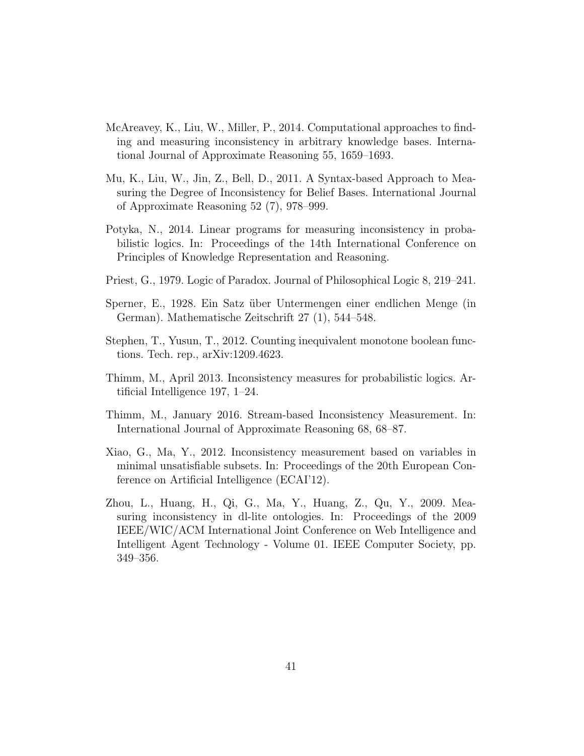- McAreavey, K., Liu, W., Miller, P., 2014. Computational approaches to finding and measuring inconsistency in arbitrary knowledge bases. International Journal of Approximate Reasoning 55, 1659–1693.
- Mu, K., Liu, W., Jin, Z., Bell, D., 2011. A Syntax-based Approach to Measuring the Degree of Inconsistency for Belief Bases. International Journal of Approximate Reasoning 52 (7), 978–999.
- Potyka, N., 2014. Linear programs for measuring inconsistency in probabilistic logics. In: Proceedings of the 14th International Conference on Principles of Knowledge Representation and Reasoning.
- Priest, G., 1979. Logic of Paradox. Journal of Philosophical Logic 8, 219–241.
- Sperner, E., 1928. Ein Satz über Untermengen einer endlichen Menge (in German). Mathematische Zeitschrift 27 (1), 544–548.
- Stephen, T., Yusun, T., 2012. Counting inequivalent monotone boolean functions. Tech. rep., arXiv:1209.4623.
- Thimm, M., April 2013. Inconsistency measures for probabilistic logics. Artificial Intelligence 197, 1–24.
- Thimm, M., January 2016. Stream-based Inconsistency Measurement. In: International Journal of Approximate Reasoning 68, 68–87.
- Xiao, G., Ma, Y., 2012. Inconsistency measurement based on variables in minimal unsatisfiable subsets. In: Proceedings of the 20th European Conference on Artificial Intelligence (ECAI'12).
- Zhou, L., Huang, H., Qi, G., Ma, Y., Huang, Z., Qu, Y., 2009. Measuring inconsistency in dl-lite ontologies. In: Proceedings of the 2009 IEEE/WIC/ACM International Joint Conference on Web Intelligence and Intelligent Agent Technology - Volume 01. IEEE Computer Society, pp. 349–356.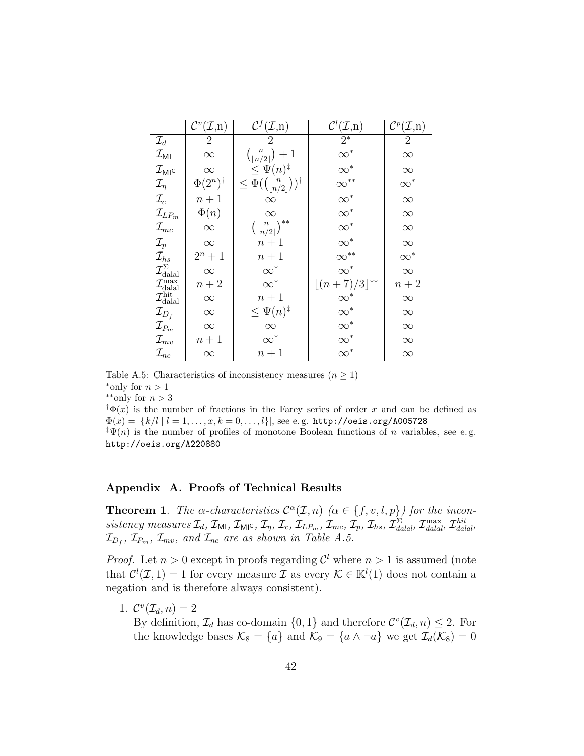|                                                                                                              | $\mathcal{C}^v(\mathcal{I},n)$ | $\mathcal{C}^f(\mathcal{I},n)$                         | $\mathcal{C}^l(\mathcal{I},n)$ | $\mathcal{C}^p(\mathcal{I},n)$ |
|--------------------------------------------------------------------------------------------------------------|--------------------------------|--------------------------------------------------------|--------------------------------|--------------------------------|
| $\mathcal{I}_d$                                                                                              | 2                              | $\overline{2}$                                         | $2^*$                          | $\overline{2}$                 |
| $\mathcal{I}_{\mathsf{MI}}$                                                                                  | $\infty$                       | $\binom{n}{\lfloor n/2\rfloor}+1$                      | $\infty^*$                     | $\infty$                       |
| $\mathcal{I}_{MI}$ c                                                                                         | $\infty$                       | $\leq \Psi(n)^{\ddagger}$                              | $\infty^*$                     | $\infty$                       |
| $\mathcal{I}_\eta$                                                                                           | $\Phi(2^n)^\dagger$            | $\leq \Phi({n \choose \lfloor n/2 \rfloor})^{\dagger}$ | $\infty^*$<br>$\infty^*$       | $\infty^*$                     |
| $\mathcal{I}_c$                                                                                              | $n+1$                          | $\infty$                                               |                                | $\infty$                       |
| $\mathcal{I}_{LPm}$                                                                                          | $\Phi(n)$                      | $\infty$                                               | $\infty^*$                     | $\infty$                       |
| $\mathcal{I}_{mc}$                                                                                           | $\infty$                       | $\binom{n}{\lfloor n/2 \rfloor}^{**}$                  | $\infty^*$                     | $\infty$                       |
| $\mathcal{I}_p$                                                                                              | $\infty$                       | $n+1$                                                  | $\infty^*$                     | $\infty$                       |
| $\mathcal{I}_{hs}$                                                                                           | $2^n + 1$                      | $n+1$                                                  | $\infty^{**}$ $\infty^*$       | $\infty^*$                     |
|                                                                                                              | $\infty$                       | $\infty^*$                                             |                                | $\infty$                       |
| $\mathcal{I}_{\rm{dala}}^{\Sigma} \ \mathcal{I}_{\rm{dala}}^{\rm{max}} \ \mathcal{I}_{\rm{dala}}^{\rm{hit}}$ | $n+2$                          | $\infty^*$                                             | $\lfloor (n+7)/3 \rfloor^{**}$ | $n+2$                          |
|                                                                                                              | $\infty$                       | $n+1$                                                  |                                | $\infty$                       |
| $\mathcal{I}_{D_f}$                                                                                          | $\infty$                       | $\leq \Psi(n)^{\ddagger}$                              | $\infty^*$                     | $\infty$                       |
| $\mathcal{I}_{P_m}$                                                                                          | $\infty$                       | $\infty$                                               | $\infty^*$                     | $\infty$                       |
| $\mathcal{I}_{mv}$                                                                                           | $n+1$                          | $\infty^*$                                             | $\infty^*$                     | $\infty$                       |
| $\mathcal{I}_{nc}$                                                                                           | $\infty$                       | $n+1$                                                  | $\infty^*$                     | $\infty$                       |

Table A.5: Characteristics of inconsistency measures  $(n \geq 1)$ \*only for  $n > 1$ 

 $*$ \*∗only for  $n > 3$ 

 $\dagger \Phi(x)$  is the number of fractions in the Farey series of order x and can be defined as  $\Phi(x) = |\{k/l \mid l = 1, \ldots, x, k = 0, \ldots, l\}|$ , see e.g. http://oeis.org/A005728 <sup>‡</sup> $\Psi(n)$  is the number of profiles of monotone Boolean functions of *n* variables, see e.g.

http://oeis.org/A220880

#### Appendix A. Proofs of Technical Results

**Theorem 1.** The  $\alpha$ -characteristics  $\mathcal{C}^{\alpha}(\mathcal{I}, n)$  ( $\alpha \in \{f, v, l, p\}$ ) for the inconsistency measures  $\mathcal{I}_d$ ,  $\mathcal{I}_{\mathsf{M1}}$ ,  $\mathcal{I}_{\mathsf{M1}}$ ,  $\mathcal{I}_{\eta}$ ,  $\mathcal{I}_c$ ,  $\mathcal{I}_{LP_m}$ ,  $\mathcal{I}_{mc}$ ,  $\mathcal{I}_p$ ,  $\mathcal{I}_{hs}$ ,  $\mathcal{I}_{\text{d}al}^{\Sigma}$ ,  $\mathcal{I}_{\text{d}al}^{\text{max}}$ ,  $\mathcal{I}_{\text{d}alal}^{\text{hit}}$ ,  $\mathcal{I}_{D_f}, \mathcal{I}_{P_m}, \mathcal{I}_{mv},$  and  $\mathcal{I}_{nc}$  are as shown in Table A.5.

*Proof.* Let  $n > 0$  except in proofs regarding  $\mathcal{C}^l$  where  $n > 1$  is assumed (note that  $\mathcal{C}^l(\mathcal{I},1) = 1$  for every measure  $\mathcal{I}$  as every  $\mathcal{K} \in \mathbb{K}^l(1)$  does not contain a negation and is therefore always consistent).

1.  $\mathcal{C}^v(\mathcal{I}_d, n) = 2$ 

By definition,  $\mathcal{I}_d$  has co-domain  $\{0, 1\}$  and therefore  $\mathcal{C}^v(\mathcal{I}_d, n) \leq 2$ . For the knowledge bases  $\mathcal{K}_8 = \{a\}$  and  $\mathcal{K}_9 = \{a \wedge \neg a\}$  we get  $\mathcal{I}_d(\mathcal{K}_8) = 0$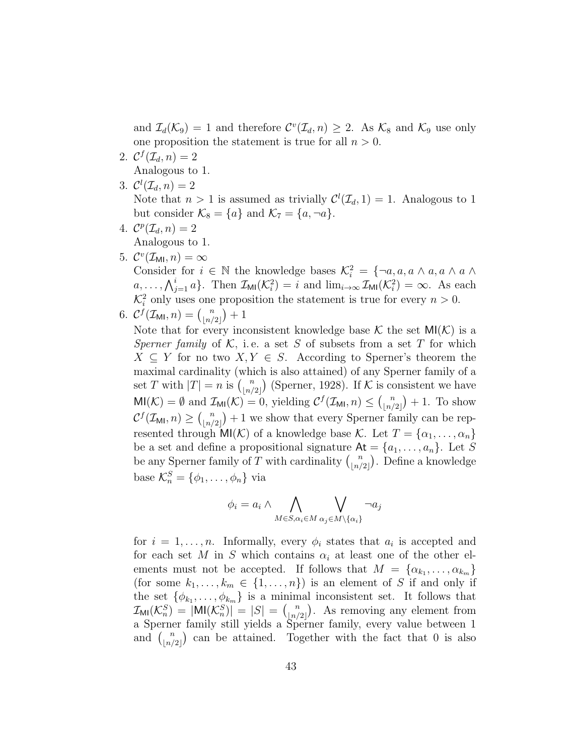and  $\mathcal{I}_d(\mathcal{K}_9) = 1$  and therefore  $\mathcal{C}^v(\mathcal{I}_d, n) \geq 2$ . As  $\mathcal{K}_8$  and  $\mathcal{K}_9$  use only one proposition the statement is true for all  $n > 0$ .

- 2.  $\mathcal{C}^f(\mathcal{I}_d, n) = 2$ Analogous to 1.
- 3.  $\mathcal{C}^l(\mathcal{I}_d,n)=2$ Note that  $n > 1$  is assumed as trivially  $\mathcal{C}^l(\mathcal{I}_d, 1) = 1$ . Analogous to 1 but consider  $\mathcal{K}_8 = \{a\}$  and  $\mathcal{K}_7 = \{a, \neg a\}.$
- 4.  $\mathcal{C}^p(\mathcal{I}_d, n) = 2$ Analogous to 1.
- 5.  $\mathcal{C}^v(\mathcal{I}_{\mathsf{MI}}, n) = \infty$

Consider for  $i \in \mathbb{N}$  the knowledge bases  $\mathcal{K}_i^2 = \{\neg a, a, a \wedge a, a \wedge a \wedge a\}$  $a, \ldots, \bigwedge_{j=1}^{i} a \}.$  Then  $\mathcal{I}_{\mathsf{MI}}(\mathcal{K}_{i}^{2}) = i$  and  $\lim_{i \to \infty} \mathcal{I}_{\mathsf{MI}}(\mathcal{K}_{i}^{2}) = \infty$ . As each  $\mathcal{K}_i^2$  only uses one proposition the statement is true for every  $n > 0$ .

6. 
$$
\mathcal{C}^f(\mathcal{I}_{\mathsf{MI}}, n) = \binom{n}{|n/2|} + 1
$$

Note that for every inconsistent knowledge base K the set  $MI(K)$  is a Sperner family of K, i.e. a set S of subsets from a set T for which  $X \subseteq Y$  for no two  $X, Y \in S$ . According to Sperner's theorem the maximal cardinality (which is also attained) of any Sperner family of a set T with  $|T| = n$  is  $\binom{n}{\lfloor n/2 \rfloor}$  $\binom{n}{\lfloor n/2 \rfloor}$  (Sperner, 1928). If K is consistent we have  $\text{MI}(\mathcal{K}) = \emptyset$  and  $\mathcal{I}_{\text{MI}}(\mathcal{K}) = 0$ , yielding  $\mathcal{C}^f(\mathcal{I}_{\text{MI}}, n) \leq {n \choose \lfloor n/2 \rfloor}$  $\binom{n}{|n/2|}+1$ . To show  $\mathcal{C}^f(\mathcal{I}_{\mathsf{MI}}, n) \geq \binom{n}{\lfloor n / 2 \rfloor}$  $\binom{n}{\lfloor n/2\rfloor}+1$  we show that every Sperner family can be represented through  $\textsf{MI}(\mathcal{K})$  of a knowledge base K. Let  $T = \{\alpha_1, \ldots, \alpha_n\}$ be a set and define a propositional signature  $At = \{a_1, \ldots, a_n\}$ . Let S be any Sperner family of T with cardinality  $\binom{n}{\lfloor n/2\rfloor}$  $\binom{n}{\lfloor n/2 \rfloor}$ . Define a knowledge base  $\mathcal{K}_n^S = \{\phi_1, \ldots, \phi_n\}$  via

$$
\phi_i = a_i \wedge \bigwedge_{M \in S, \alpha_i \in M} \bigvee_{\alpha_j \in M \setminus \{\alpha_i\}} \neg a_j
$$

for  $i = 1, \ldots, n$ . Informally, every  $\phi_i$  states that  $a_i$  is accepted and for each set M in S which contains  $\alpha_i$  at least one of the other elements must not be accepted. If follows that  $M = \{\alpha_{k_1}, \ldots, \alpha_{k_m}\}\$ (for some  $k_1, \ldots, k_m \in \{1, \ldots, n\}$ ) is an element of S if and only if the set  $\{\phi_{k_1}, \ldots, \phi_{k_m}\}\$ is a minimal inconsistent set. It follows that  $\mathcal{I}_{\textsf{MI}}(\mathcal{K}_n^S) = |\textsf{MI}(\mathcal{K}_n^S)| = |S| = \binom{n}{\lfloor n/2 \rfloor}$  $\binom{n}{|n/2|}$ . As removing any element from a Sperner family still yields a Sperner family, every value between 1 and  $\binom{n}{\lfloor n/2\rfloor}$  $\binom{n}{\lfloor n/2\rfloor}$  can be attained. Together with the fact that 0 is also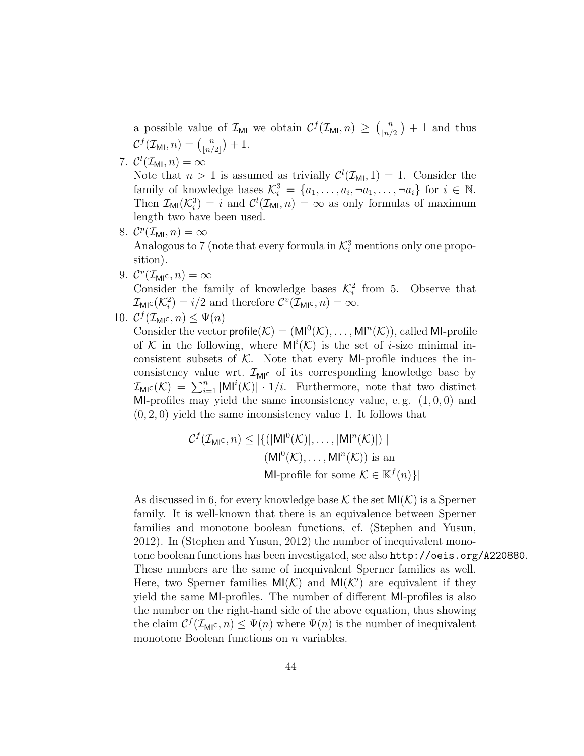a possible value of  $\mathcal{I}_{\text{MI}}$  we obtain  $\mathcal{C}^f(\mathcal{I}_{\text{MI}}, n) \geq {\binom{n}{n}}$  $\binom{n}{\lfloor n/2\rfloor}+1$  and thus  $\mathcal{C}^f(\mathcal{I}_{\mathsf{MI}}, n) = \binom{n}{\lfloor n \rfloor}$  $\binom{n}{\lfloor n/2 \rfloor} + 1.$ 

7.  $\mathcal{C}^l(\mathcal{I}_{\mathsf{MI}},n)=\infty$ 

Note that  $n > 1$  is assumed as trivially  $\mathcal{C}^l(\mathcal{I}_{\mathsf{M}^l}, 1) = 1$ . Consider the family of knowledge bases  $\mathcal{K}_i^3 = \{a_1, \ldots, a_i, \neg a_1, \ldots, \neg a_i\}$  for  $i \in \mathbb{N}$ . Then  $\mathcal{I}_{\text{MI}}(\mathcal{K}_i^3) = i$  and  $\mathcal{C}^l(\mathcal{I}_{\text{MI}}, n) = \infty$  as only formulas of maximum length two have been used.

- 8.  $\mathcal{C}^p(\mathcal{I}_{\mathsf{MI}}, n) = \infty$ Analogous to 7 (note that every formula in  $\mathcal{K}^3_i$  mentions only one proposition).
- 9.  $\mathcal{C}^v(\mathcal{I}_{\mathsf{MI}^c},n)=\infty$ Consider the family of knowledge bases  $\mathcal{K}_i^2$  from 5. Observe that  $\mathcal{I}_{\text{MIC}}(\mathcal{K}_i^2) = i/2$  and therefore  $\mathcal{C}^v(\mathcal{I}_{\text{MIC}}, n) = \infty$ .
- 10.  $C^f(\mathcal{I}_{\mathsf{MI}^{\mathsf{C}}}, n) \leq \Psi(n)$

Consider the vector  $\mathsf{profile}(\mathcal{K}) = (\mathsf{MI}^0(\mathcal{K}), \ldots, \mathsf{MI}^n(\mathcal{K}))$ , called MI-profile of K in the following, where  $\mathsf{MI}^i(\mathcal{K})$  is the set of *i*-size minimal inconsistent subsets of  $K$ . Note that every MI-profile induces the inconsistency value wrt.  $\mathcal{I}_{MI}$  of its corresponding knowledge base by  $\mathcal{I}_{\text{MIC}}(\mathcal{K}) = \sum_{i=1}^{n} |\text{MI}^{i}(\mathcal{K})| \cdot 1/i$ . Furthermore, note that two distinct MI-profiles may yield the same inconsistency value, e.g.  $(1, 0, 0)$  and  $(0, 2, 0)$  yield the same inconsistency value 1. It follows that

$$
C^{f}(\mathcal{I}_{\mathsf{M}^{\mathsf{IC}}}, n) \leq |\{ (|\mathsf{M}\mathsf{I}^0(\mathcal{K})|, \dots, |\mathsf{M}\mathsf{I}^n(\mathcal{K})|) \mid
$$
  

$$
(\mathsf{M}\mathsf{I}^0(\mathcal{K}), \dots, \mathsf{M}\mathsf{I}^n(\mathcal{K})) \text{ is an}
$$
  

$$
\mathsf{M}\mathsf{I}\text{-profile for some }\mathcal{K} \in \mathbb{K}^{f}(n)\}|
$$

As discussed in 6, for every knowledge base K the set  $M(\mathcal{K})$  is a Sperner family. It is well-known that there is an equivalence between Sperner families and monotone boolean functions, cf. (Stephen and Yusun, 2012). In (Stephen and Yusun, 2012) the number of inequivalent monotone boolean functions has been investigated, see also http://oeis.org/A220880. These numbers are the same of inequivalent Sperner families as well. Here, two Sperner families  $MI(K)$  and  $MI(K')$  are equivalent if they yield the same MI-profiles. The number of different MI-profiles is also the number on the right-hand side of the above equation, thus showing the claim  $C^{f}(\mathcal{I}_{\mathsf{MI}^{\mathsf{C}}}, n) \leq \Psi(n)$  where  $\Psi(n)$  is the number of inequivalent monotone Boolean functions on *n* variables.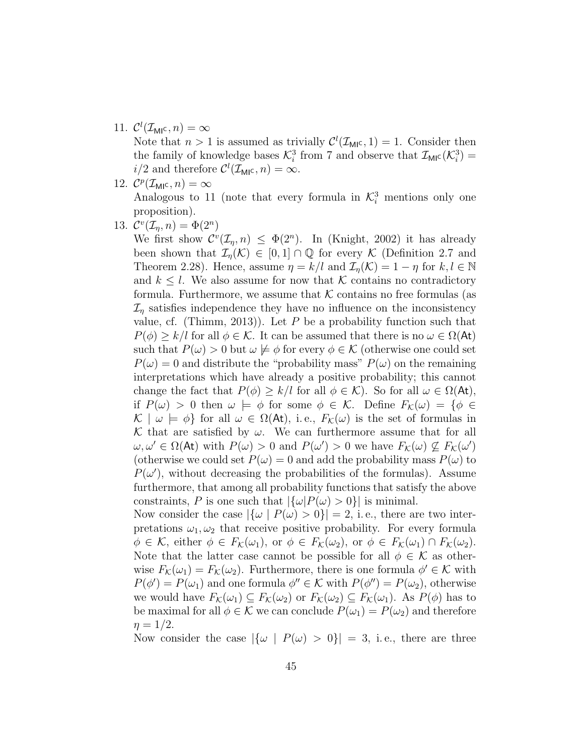11.  $\mathcal{C}^l(\mathcal{I}_{\mathsf{MI}^{\mathsf{C}}},n) = \infty$ 

Note that  $n > 1$  is assumed as trivially  $\mathcal{C}^l(\mathcal{I}_{\text{MI}^c}, 1) = 1$ . Consider then the family of knowledge bases  $\mathcal{K}_i^3$  from 7 and observe that  $\mathcal{I}_{\text{MI}^c}(\mathcal{K}_i^3)$  =  $i/2$  and therefore  $\mathcal{C}^l(\mathcal{I}_{\mathsf{MI}^{\mathsf{C}}},n) = \infty$ .

- 12.  $\mathcal{C}^p(\mathcal{I}_{\text{MI}}^c, n) = \infty$ Analogous to 11 (note that every formula in  $\mathcal{K}_i^3$  mentions only one proposition).
- 13.  $\mathcal{C}^v(\mathcal{I}_\eta,n) = \Phi(2^n)$

We first show  $\mathcal{C}^v(\mathcal{I}_n, n) \leq \Phi(2^n)$ . In (Knight, 2002) it has already been shown that  $\mathcal{I}_n(\mathcal{K}) \in [0,1] \cap \mathbb{Q}$  for every K (Definition 2.7 and Theorem 2.28). Hence, assume  $\eta = k/l$  and  $\mathcal{I}_{\eta}(\mathcal{K}) = 1 - \eta$  for  $k, l \in \mathbb{N}$ and  $k \leq l$ . We also assume for now that K contains no contradictory formula. Furthermore, we assume that  $K$  contains no free formulas (as  $\mathcal{I}_n$  satisfies independence they have no influence on the inconsistency value, cf. (Thimm, 2013)). Let  $P$  be a probability function such that  $P(\phi) \geq k/l$  for all  $\phi \in \mathcal{K}$ . It can be assumed that there is no  $\omega \in \Omega(\mathsf{At})$ such that  $P(\omega) > 0$  but  $\omega \not\models \phi$  for every  $\phi \in \mathcal{K}$  (otherwise one could set  $P(\omega) = 0$  and distribute the "probability mass"  $P(\omega)$  on the remaining interpretations which have already a positive probability; this cannot change the fact that  $P(\phi) \geq k/l$  for all  $\phi \in \mathcal{K}$ ). So for all  $\omega \in \Omega(\mathsf{At}),$ if  $P(\omega) > 0$  then  $\omega \models \phi$  for some  $\phi \in \mathcal{K}$ . Define  $F_{\mathcal{K}}(\omega) = \{ \phi \in$  $\mathcal{K} \mid \omega \models \phi$  for all  $\omega \in \Omega(\mathsf{At})$ , i.e.,  $F_{\mathcal{K}}(\omega)$  is the set of formulas in K that are satisfied by  $\omega$ . We can furthermore assume that for all  $\omega, \omega' \in \Omega(\mathsf{At})$  with  $P(\omega) > 0$  and  $P(\omega') > 0$  we have  $F_{\mathcal{K}}(\omega) \nsubseteq F_{\mathcal{K}}(\omega')$ (otherwise we could set  $P(\omega) = 0$  and add the probability mass  $P(\omega)$  to  $P(\omega')$ , without decreasing the probabilities of the formulas). Assume furthermore, that among all probability functions that satisfy the above constraints, P is one such that  $|\{\omega|P(\omega) > 0\}|$  is minimal.

Now consider the case  $|\{\omega \mid P(\omega) > 0\}| = 2$ , i.e., there are two interpretations  $\omega_1, \omega_2$  that receive positive probability. For every formula  $\phi \in \mathcal{K}$ , either  $\phi \in F_{\mathcal{K}}(\omega_1)$ , or  $\phi \in F_{\mathcal{K}}(\omega_2)$ , or  $\phi \in F_{\mathcal{K}}(\omega_1) \cap F_{\mathcal{K}}(\omega_2)$ . Note that the latter case cannot be possible for all  $\phi \in \mathcal{K}$  as otherwise  $F_{\mathcal{K}}(\omega_1) = F_{\mathcal{K}}(\omega_2)$ . Furthermore, there is one formula  $\phi' \in \mathcal{K}$  with  $P(\phi') = P(\omega_1)$  and one formula  $\phi'' \in \mathcal{K}$  with  $P(\phi'') = P(\omega_2)$ , otherwise we would have  $F_K(\omega_1) \subseteq F_K(\omega_2)$  or  $F_K(\omega_2) \subseteq F_K(\omega_1)$ . As  $P(\phi)$  has to be maximal for all  $\phi \in \mathcal{K}$  we can conclude  $P(\omega_1) = P(\omega_2)$  and therefore  $\eta = 1/2$ .

Now consider the case  $|\{\omega \mid P(\omega) > 0\}| = 3$ , i.e., there are three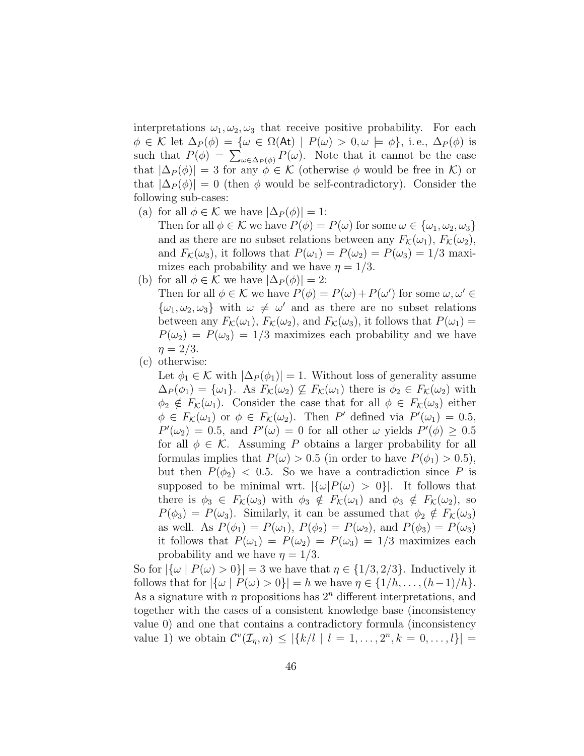interpretations  $\omega_1, \omega_2, \omega_3$  that receive positive probability. For each  $\phi \in \mathcal{K}$  let  $\Delta_P(\phi) = {\omega \in \Omega(\mathsf{At}) \mid P(\omega) > 0, \omega \models \phi}, \text{ i.e., } \Delta_P(\phi) \text{ is}$ such that  $P(\phi) = \sum_{\omega \in \Delta_P(\phi)} P(\omega)$ . Note that it cannot be the case that  $|\Delta_P(\phi)| = 3$  for any  $\phi \in \mathcal{K}$  (otherwise  $\phi$  would be free in  $\mathcal{K}$ ) or that  $|\Delta_P(\phi)| = 0$  (then  $\phi$  would be self-contradictory). Consider the following sub-cases:

(a) for all  $\phi \in \mathcal{K}$  we have  $|\Delta_P(\phi)| = 1$ :

Then for all  $\phi \in \mathcal{K}$  we have  $P(\phi) = P(\omega)$  for some  $\omega \in {\omega_1, \omega_2, \omega_3}$ and as there are no subset relations between any  $F_K(\omega_1)$ ,  $F_K(\omega_2)$ , and  $F_K(\omega_3)$ , it follows that  $P(\omega_1) = P(\omega_2) = P(\omega_3) = 1/3$  maximizes each probability and we have  $\eta = 1/3$ .

- (b) for all  $\phi \in \mathcal{K}$  we have  $|\Delta_P(\phi)| = 2$ : Then for all  $\phi \in \mathcal{K}$  we have  $P(\phi) = P(\omega) + P(\omega')$  for some  $\omega, \omega' \in$  $\{\omega_1, \omega_2, \omega_3\}$  with  $\omega \neq \omega'$  and as there are no subset relations between any  $F_{\mathcal{K}}(\omega_1)$ ,  $F_{\mathcal{K}}(\omega_2)$ , and  $F_{\mathcal{K}}(\omega_3)$ , it follows that  $P(\omega_1)$  =  $P(\omega_2) = P(\omega_3) = 1/3$  maximizes each probability and we have  $\eta = 2/3$ .
- (c) otherwise:

Let  $\phi_1 \in \mathcal{K}$  with  $|\Delta_P(\phi_1)| = 1$ . Without loss of generality assume  $\Delta_P(\phi_1) = {\omega_1}$ . As  $F_K(\omega_2) \not\subseteq F_K(\omega_1)$  there is  $\phi_2 \in F_K(\omega_2)$  with  $\phi_2 \notin F_{\mathcal{K}}(\omega_1)$ . Consider the case that for all  $\phi \in F_{\mathcal{K}}(\omega_3)$  either  $\phi \in F_{\mathcal{K}}(\omega_1)$  or  $\phi \in F_{\mathcal{K}}(\omega_2)$ . Then P' defined via  $P'(\omega_1) = 0.5$ ,  $P'(\omega_2) = 0.5$ , and  $P'(\omega) = 0$  for all other  $\omega$  yields  $P'(\phi) \geq 0.5$ for all  $\phi \in \mathcal{K}$ . Assuming P obtains a larger probability for all formulas implies that  $P(\omega) > 0.5$  (in order to have  $P(\phi_1) > 0.5$ ), but then  $P(\phi_2)$  < 0.5. So we have a contradiction since P is supposed to be minimal wrt.  $|\{\omega|P(\omega) > 0\}|$ . It follows that there is  $\phi_3 \in F_K(\omega_3)$  with  $\phi_3 \notin F_K(\omega_1)$  and  $\phi_3 \notin F_K(\omega_2)$ , so  $P(\phi_3) = P(\omega_3)$ . Similarly, it can be assumed that  $\phi_2 \notin F_K(\omega_3)$ as well. As  $P(\phi_1) = P(\omega_1)$ ,  $P(\phi_2) = P(\omega_2)$ , and  $P(\phi_3) = P(\omega_3)$ it follows that  $P(\omega_1) = P(\omega_2) = P(\omega_3) = 1/3$  maximizes each probability and we have  $\eta = 1/3$ .

So for  $|\{\omega \mid P(\omega) > 0\}| = 3$  we have that  $\eta \in \{1/3, 2/3\}$ . Inductively it follows that for  $|\{\omega \mid P(\omega) > 0\}| = h$  we have  $\eta \in \{1/h, \ldots, (h-1)/h\}.$ As a signature with *n* propositions has  $2<sup>n</sup>$  different interpretations, and together with the cases of a consistent knowledge base (inconsistency value 0) and one that contains a contradictory formula (inconsistency value 1) we obtain  $C^{v}(\mathcal{I}_{\eta}, n) \leq |\{k/l \mid l = 1, ..., 2^{n}, k = 0, ..., l\}|$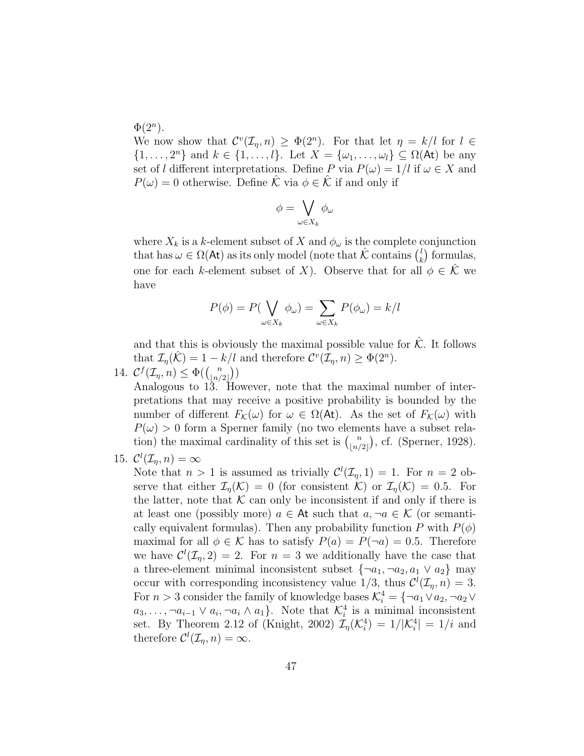$\Phi(2^n)$ .

We now show that  $\mathcal{C}^v(\mathcal{I}_\eta,n) \geq \Phi(2^n)$ . For that let  $\eta = k/l$  for  $l \in$  $\{1,\ldots,2^n\}$  and  $k \in \{1,\ldots,l\}$ . Let  $X = \{\omega_1,\ldots,\omega_l\} \subseteq \Omega(\mathsf{At})$  be any set of l different interpretations. Define P via  $P(\omega) = 1/l$  if  $\omega \in X$  and  $P(\omega) = 0$  otherwise. Define K via  $\phi \in \mathcal{K}$  if and only if

$$
\phi = \bigvee_{\omega \in X_k} \phi_{\omega}
$$

where  $X_k$  is a k-element subset of X and  $\phi_\omega$  is the complete conjunction that has  $\omega \in \Omega(\mathsf{At})$  as its only model (note that  $\hat{\mathcal{K}}$  contains  $\binom{l}{k}$  $\binom{l}{k}$  formulas, one for each k-element subset of X). Observe that for all  $\phi \in \mathcal{K}$  we have

$$
P(\phi) = P(\bigvee_{\omega \in X_k} \phi_{\omega}) = \sum_{\omega \in X_k} P(\phi_{\omega}) = k/l
$$

and that this is obviously the maximal possible value for  $\hat{K}$ . It follows that  $\mathcal{I}_{\eta}(\hat{\mathcal{K}}) = 1 - k/l$  and therefore  $\mathcal{C}^v(\mathcal{I}_{\eta}, n) \geq \Phi(2^n)$ .

14.  $C^f(\mathcal{I}_\eta,n) \leq \Phi(\binom{n}{\lfloor n/\ell\rfloor})$  $\binom{n}{\lfloor n/2 \rfloor}$ 

Analogous to 13. However, note that the maximal number of interpretations that may receive a positive probability is bounded by the number of different  $F_K(\omega)$  for  $\omega \in \Omega(\mathsf{At})$ . As the set of  $F_K(\omega)$  with  $P(\omega) > 0$  form a Sperner family (no two elements have a subset relation) the maximal cardinality of this set is  $\binom{n}{\lfloor n/2 \rfloor}$  $\binom{n}{|n/2|}$ , cf. (Sperner, 1928).

15.  $\mathcal{C}^l(\mathcal{I}_\eta,n) = \infty$ 

Note that  $n > 1$  is assumed as trivially  $\mathcal{C}^l(\mathcal{I}_n, 1) = 1$ . For  $n = 2$  observe that either  $\mathcal{I}_n(\mathcal{K}) = 0$  (for consistent  $\mathcal{K}$ ) or  $\mathcal{I}_n(\mathcal{K}) = 0.5$ . For the latter, note that  $K$  can only be inconsistent if and only if there is at least one (possibly more)  $a \in \mathsf{At}$  such that  $a, \neg a \in \mathcal{K}$  (or semantically equivalent formulas). Then any probability function P with  $P(\phi)$ maximal for all  $\phi \in \mathcal{K}$  has to satisfy  $P(a) = P(\neg a) = 0.5$ . Therefore we have  $\mathcal{C}^l(\mathcal{I}_n, 2) = 2$ . For  $n = 3$  we additionally have the case that a three-element minimal inconsistent subset  $\{\neg a_1, \neg a_2, a_1 \lor a_2\}$  may occur with corresponding inconsistency value  $1/3$ , thus  $\mathcal{C}^l(\mathcal{I}_\eta,n) = 3$ . For  $n > 3$  consider the family of knowledge bases  $\mathcal{K}_i^4 = \{\neg a_1 \lor a_2, \neg a_2 \lor a_3\}$  $a_3, \ldots, \neg a_{i-1} \lor a_i, \neg a_i \land a_1$ . Note that  $\mathcal{K}_i^4$  is a minimal inconsistent set. By Theorem 2.12 of (Knight, 2002)  $\mathcal{I}_{\eta}(\mathcal{K}_{i}^{4}) = 1/|\mathcal{K}_{i}^{4}| = 1/i$  and therefore  $\mathcal{C}^l(\mathcal{I}_\eta,n) = \infty$ .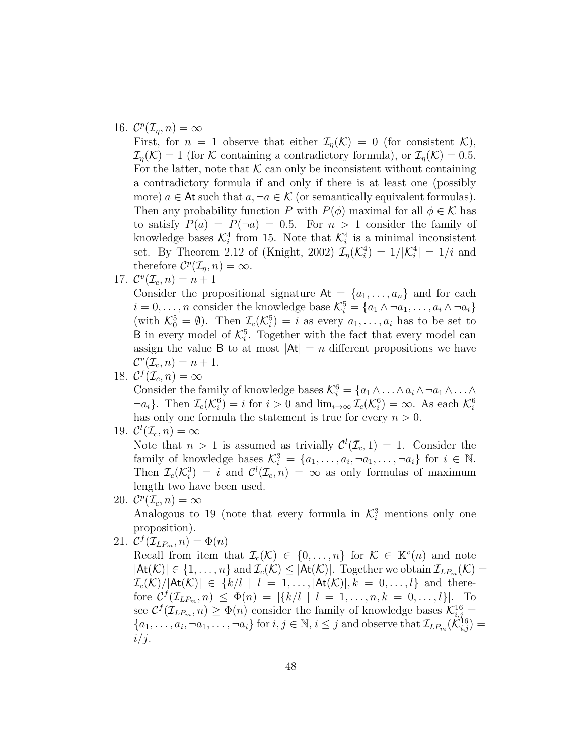# 16.  $\mathcal{C}^p(\mathcal{I}_\eta,n) = \infty$

First, for  $n = 1$  observe that either  $\mathcal{I}_n(\mathcal{K}) = 0$  (for consistent  $\mathcal{K}$ ),  $\mathcal{I}_{\eta}(\mathcal{K}) = 1$  (for K containing a contradictory formula), or  $\mathcal{I}_{\eta}(\mathcal{K}) = 0.5$ . For the latter, note that  $K$  can only be inconsistent without containing a contradictory formula if and only if there is at least one (possibly more)  $a \in \mathsf{At}$  such that  $a, \neg a \in \mathcal{K}$  (or semantically equivalent formulas). Then any probability function P with  $P(\phi)$  maximal for all  $\phi \in \mathcal{K}$  has to satisfy  $P(a) = P(\neg a) = 0.5$ . For  $n > 1$  consider the family of knowledge bases  $\mathcal{K}_i^4$  from 15. Note that  $\mathcal{K}_i^4$  is a minimal inconsistent set. By Theorem 2.12 of (Knight, 2002)  $\mathcal{I}_{\eta}(\mathcal{K}_{i}^{4}) = 1/|\mathcal{K}_{i}^{4}| = 1/i$  and therefore  $\mathcal{C}^p(\mathcal{I}_\eta,n) = \infty$ .

17.  $\mathcal{C}^{v}(\mathcal{I}_{c}, n) = n + 1$ 

Consider the propositional signature  $At = \{a_1, \ldots, a_n\}$  and for each  $i = 0, \ldots, n$  consider the knowledge base  $\mathcal{K}_i^5 = \{a_1 \wedge \neg a_1, \ldots, a_i \wedge \neg a_i\}$ (with  $\mathcal{K}_0^5 = \emptyset$ ). Then  $\mathcal{I}_c(\mathcal{K}_i^5) = i$  as every  $a_1, \ldots, a_i$  has to be set to **B** in every model of  $\mathcal{K}_i^5$ . Together with the fact that every model can assign the value B to at most  $|At| = n$  different propositions we have  $\mathcal{C}^v(\mathcal{I}_c, n) = n + 1.$ 

18.  $\mathcal{C}^f(\mathcal{I}_c, n) = \infty$ 

Consider the family of knowledge bases  $\mathcal{K}_i^6 = \{a_1 \wedge \ldots \wedge a_i \wedge \neg a_1 \wedge \ldots \wedge a_i\}$  $\neg a_i$ . Then  $\mathcal{I}_c(\mathcal{K}_i^6) = i$  for  $i > 0$  and  $\lim_{i \to \infty} \mathcal{I}_c(\mathcal{K}_i^6) = \infty$ . As each  $\mathcal{K}_i^6$ has only one formula the statement is true for every  $n > 0$ .

19.  $\mathcal{C}^l(\mathcal{I}_c, n) = \infty$ 

Note that  $n > 1$  is assumed as trivially  $\mathcal{C}^l(\mathcal{I}_c, 1) = 1$ . Consider the family of knowledge bases  $\mathcal{K}_i^3 = \{a_1, \ldots, a_i, \neg a_1, \ldots, \neg a_i\}$  for  $i \in \mathbb{N}$ . Then  $\mathcal{I}_c(\mathcal{K}_i^3) = i$  and  $\mathcal{C}^l(\mathcal{I}_c, n) = \infty$  as only formulas of maximum length two have been used.

20.  $\mathcal{C}^p(\mathcal{I}_c, n) = \infty$ 

Analogous to 19 (note that every formula in  $\mathcal{K}_i^3$  mentions only one proposition).

21.  $\mathcal{C}^f(\mathcal{I}_{LP_m}, n) = \Phi(n)$ 

Recall from item that  $\mathcal{I}_c(\mathcal{K}) \in \{0,\ldots,n\}$  for  $\mathcal{K} \in \mathbb{K}^v(n)$  and note  $|\mathsf{At}(\mathcal{K})| \in \{1,\ldots,n\}$  and  $\mathcal{I}_c(\mathcal{K}) \leq |\mathsf{At}(\mathcal{K})|$ . Together we obtain  $\mathcal{I}_{LP_m}(\mathcal{K}) =$  $\mathcal{I}_c(\mathcal{K})/|\mathsf{At}(\mathcal{K})| \in \{k/l \mid l = 1,\ldots, |\mathsf{At}(\mathcal{K})|, k = 0,\ldots,l\}$  and therefore  $C^f(\mathcal{I}_{LP_m}, n) \leq \Phi(n) = |\{k/l \mid l = 1, \ldots, n, k = 0, \ldots, l\}|.$  To see  $C^{f}(\mathcal{I}_{LP_m}, n) \geq \Phi(n)$  consider the family of knowledge bases  $\mathcal{K}_{i,j}^{16} =$  ${a_1,\ldots,a_i,\neg a_1,\ldots,\neg a_i}$  for  $i,j\in\mathbb{N}, i\leq j$  and observe that  $\mathcal{I}_{LP_m}(\widetilde{\mathcal{K}}_{i,j}^{16})=$  $i/j$ .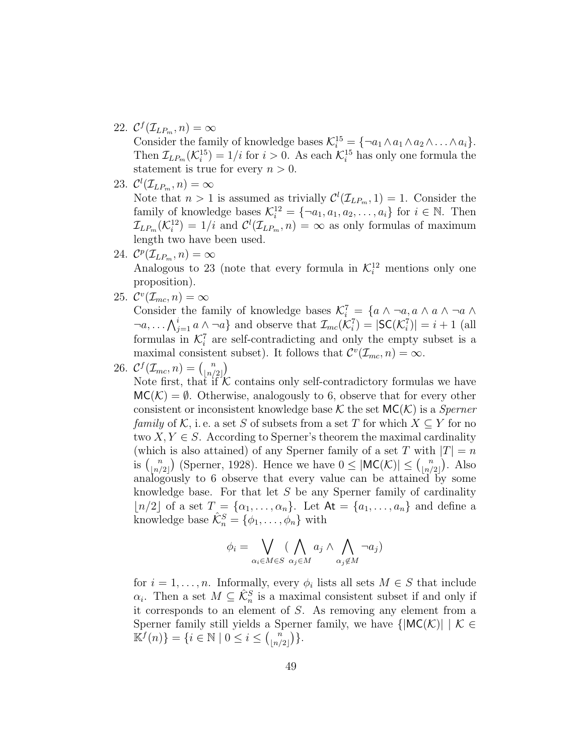22.  $\mathcal{C}^f(\mathcal{I}_{LP_m}, n) = \infty$ 

Consider the family of knowledge bases  $\mathcal{K}_i^{15} = \{\neg a_1 \land a_1 \land a_2 \land \dots \land a_i\}.$ Then  $\mathcal{I}_{LP_m}(\mathcal{K}_i^{15}) = 1/i$  for  $i > 0$ . As each  $\mathcal{K}_i^{15}$  has only one formula the statement is true for every  $n > 0$ .

- 23.  $\mathcal{C}^l(\mathcal{I}_{LP_m}, n) = \infty$ Note that  $n > 1$  is assumed as trivially  $\mathcal{C}^l(\mathcal{I}_{LP_m}, 1) = 1$ . Consider the family of knowledge bases  $\mathcal{K}_i^{12} = \{\neg a_1, a_1, a_2, \ldots, a_i\}$  for  $i \in \mathbb{N}$ . Then  $\mathcal{I}_{LP_m}(\mathcal{K}_i^{12}) = 1/i$  and  $\mathcal{C}^l(\mathcal{I}_{LP_m}, n) = \infty$  as only formulas of maximum length two have been used.
- 24.  $\mathcal{C}^p(\mathcal{I}_{LP_m}, n) = \infty$ Analogous to 23 (note that every formula in  $\mathcal{K}_i^{12}$  mentions only one proposition).
- 25.  $\mathcal{C}^v(\mathcal{I}_{mc}, n) = \infty$

Consider the family of knowledge bases  $\mathcal{K}_i^7 = \{a \land \neg a, a \land a \land \neg a \land a\}$  $\neg a, \ldots \bigwedge_{j=1}^{i} a \wedge \neg a$  and observe that  $\mathcal{I}_{mc}(\mathcal{K}_i^7) = |\mathsf{SC}(\mathcal{K}_i^7)| = i+1$  (all formulas in  $\mathcal{K}_i^7$  are self-contradicting and only the empty subset is a maximal consistent subset). It follows that  $\mathcal{C}^v(\mathcal{I}_{mc}, n) = \infty$ .

26.  $\mathcal{C}^f(\mathcal{I}_{mc}, n) = \binom{n}{\lfloor n / n \rfloor}$  $\binom{n}{|n/2|}$ 

Note first, that if  $K$  contains only self-contradictory formulas we have  $MC(\mathcal{K}) = \emptyset$ . Otherwise, analogously to 6, observe that for every other consistent or inconsistent knowledge base  $\mathcal K$  the set  $MC(\mathcal K)$  is a *Sperner* family of K, i.e. a set S of subsets from a set T for which  $X \subseteq Y$  for no two  $X, Y \in S$ . According to Sperner's theorem the maximal cardinality (which is also attained) of any Sperner family of a set T with  $|T| = n$ is  $\binom{n}{\lfloor n/2\rfloor}$  $\binom{n}{\lfloor n/2 \rfloor}$  (Sperner, 1928). Hence we have  $0 \leq |\mathsf{MC}(\mathcal{K})| \leq \binom{n}{\lfloor n/2 \rfloor}$  $\binom{n}{\lfloor n/2 \rfloor}$ . Also analogously to 6 observe that every value can be attained by some knowledge base. For that let  $S$  be any Sperner family of cardinality  $\lfloor n/2 \rfloor$  of a set  $T = \{\alpha_1, \ldots, \alpha_n\}$ . Let  $\mathsf{At} = \{a_1, \ldots, a_n\}$  and define a knowledge base  $\hat{\mathcal{K}}_n^S = \{\phi_1, \ldots, \phi_n\}$  with

$$
\phi_i = \bigvee_{\alpha_i \in M \in S} (\bigwedge_{\alpha_j \in M} a_j \wedge \bigwedge_{\alpha_j \notin M} \neg a_j)
$$

for  $i = 1, \ldots, n$ . Informally, every  $\phi_i$  lists all sets  $M \in S$  that include  $\alpha_i$ . Then a set  $M \subseteq \hat{\mathcal{K}}_n^S$  is a maximal consistent subset if and only if it corresponds to an element of S. As removing any element from a Sperner family still yields a Sperner family, we have  $\{|MC(\mathcal{K})| \mid \mathcal{K} \in$  $\mathbb{K}^f(n)$  =  $\{i \in \mathbb{N} \mid 0 \leq i \leq {n \choose n}$  $\binom{n}{|n/2|}$ .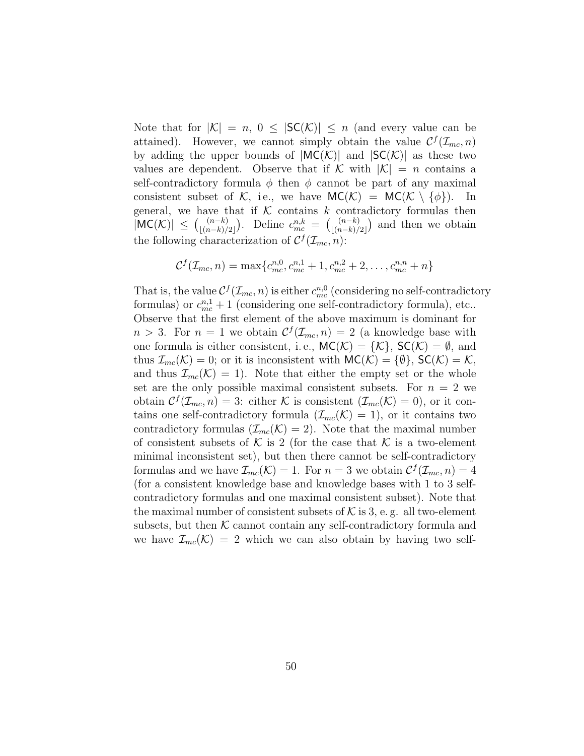Note that for  $|K| = n$ ,  $0 \leq |SC(K)| \leq n$  (and every value can be attained). However, we cannot simply obtain the value  $\mathcal{C}^f(\mathcal{I}_{mc}, n)$ by adding the upper bounds of  $|MC(\mathcal{K})|$  and  $|SC(\mathcal{K})|$  as these two values are dependent. Observe that if K with  $|\mathcal{K}| = n$  contains a self-contradictory formula  $\phi$  then  $\phi$  cannot be part of any maximal consistent subset of K, i.e., we have  $MC(K) = MC(K \setminus \{\phi\})$ . In general, we have that if  $K$  contains k contradictory formulas then  $|\textsf{MC}(\mathcal{K})| \leq {n-k \choose (n-k)!}$  $\binom{(n-k)}{|(n-k)/2|}$ . Define  $c_{mc}^{n,k} = \binom{(n-k)}{|(n-k)/2|}$ .  $\binom{(n-k)}{(n-k)/2}$  and then we obtain the following characterization of  $\mathcal{C}^f(\mathcal{I}_{mc}, n)$ :

$$
C^{f}(\mathcal{I}_{mc}, n) = \max\{c_{mc}^{n,0}, c_{mc}^{n,1} + 1, c_{mc}^{n,2} + 2, \dots, c_{mc}^{n,n} + n\}
$$

That is, the value  $C^{f}(\mathcal{I}_{mc}, n)$  is either  $c_{mc}^{n,0}$  (considering no self-contradictory formulas) or  $c_{mc}^{n,1} + 1$  (considering one self-contradictory formula), etc.. Observe that the first element of the above maximum is dominant for  $n > 3$ . For  $n = 1$  we obtain  $C^{f}(\mathcal{I}_{mc}, n) = 2$  (a knowledge base with one formula is either consistent, i.e.,  $MC(\mathcal{K}) = {\mathcal{K}}$ ,  $SC(\mathcal{K}) = \emptyset$ , and thus  $\mathcal{I}_{mc}(\mathcal{K})=0$ ; or it is inconsistent with  $MC(\mathcal{K})=\{\emptyset\}$ ,  $SC(\mathcal{K})=\mathcal{K}$ , and thus  $\mathcal{I}_{mc}(\mathcal{K})=1$ . Note that either the empty set or the whole set are the only possible maximal consistent subsets. For  $n = 2$  we obtain  $\mathcal{C}^f(\mathcal{I}_{mc}, n) = 3$ : either K is consistent  $(\mathcal{I}_{mc}(\mathcal{K}) = 0)$ , or it contains one self-contradictory formula  $(\mathcal{I}_{mc}(\mathcal{K}) = 1)$ , or it contains two contradictory formulas  $(\mathcal{I}_{mc}(\mathcal{K})=2)$ . Note that the maximal number of consistent subsets of K is 2 (for the case that K is a two-element minimal inconsistent set), but then there cannot be self-contradictory formulas and we have  $\mathcal{I}_{mc}(\mathcal{K}) = 1$ . For  $n = 3$  we obtain  $\mathcal{C}^{f}(\mathcal{I}_{mc}, n) = 4$ (for a consistent knowledge base and knowledge bases with 1 to 3 selfcontradictory formulas and one maximal consistent subset). Note that the maximal number of consistent subsets of  $K$  is 3, e.g. all two-element subsets, but then  $K$  cannot contain any self-contradictory formula and we have  $\mathcal{I}_{mc}(\mathcal{K}) = 2$  which we can also obtain by having two self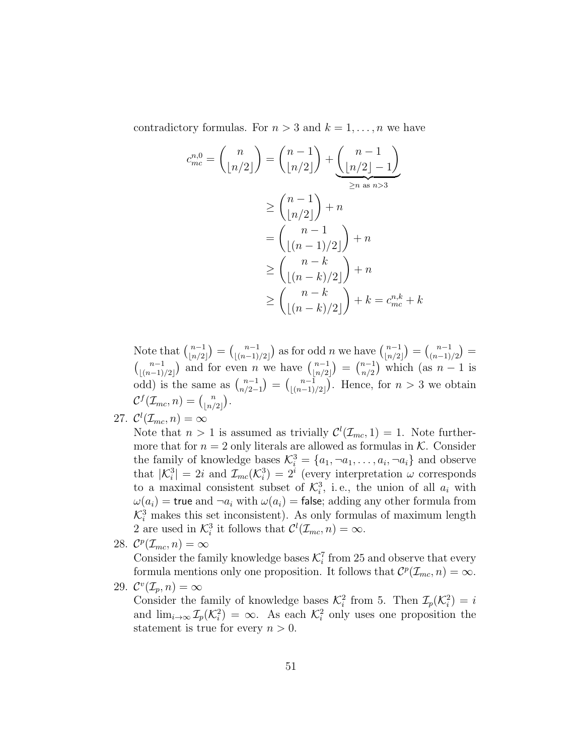contradictory formulas. For  $n > 3$  and  $k = 1, ..., n$  we have

$$
c_{mc}^{n,0} = {n \choose \lfloor n/2 \rfloor} = {n-1 \choose \lfloor n/2 \rfloor} + \underbrace{{n-1 \choose \lfloor n/2 \rfloor - 1}}_{\geq n \text{ as } n>3}
$$
  
\n
$$
\geq {n-1 \choose \lfloor n/2 \rfloor} + n
$$
  
\n
$$
= {n-1 \choose \lfloor (n-1)/2 \rfloor} + n
$$
  
\n
$$
\geq {n-k \choose \lfloor (n-k)/2 \rfloor} + n
$$
  
\n
$$
\geq {n-k \choose \lfloor (n-k)/2 \rfloor} + k = c_{mc}^{n,k} + k
$$

Note that  $\binom{n-1}{n}$  $\binom{n-1}{\lfloor n/2 \rfloor} = \binom{n-1}{\lfloor (n-1) \rfloor}$  $\binom{n-1}{\lfloor (n-1)/2 \rfloor}$  as for odd n we have  $\binom{n-1}{\lfloor n/2 \rfloor}$  $\binom{n-1}{\lfloor n/2 \rfloor} = \binom{n-1}{\binom{n-1}}$  $\binom{n-1}{(n-1)/2} =$  $\binom{n-1}{\binom{n-1}{n}}$  $\binom{n-1}{\lfloor (n-1)/2 \rfloor}$  and for even n we have  $\binom{n-1}{\lfloor n/2 \rfloor}$  $\binom{n-1}{\lfloor n/2 \rfloor} = \binom{n-1}{n/2}$  $\binom{n-1}{n/2}$  which (as  $n-1$  is odd) is the same as  $\binom{n-1}{n/2}$  $\binom{n-1}{n/2-1} = \binom{n-1}{(n-1)}$  $\binom{n-1}{(n-1)/2}$ . Hence, for  $n > 3$  we obtain  $\mathcal{C}^f(\mathcal{I}_{mc}, n) = \binom{n}{\lfloor n \rfloor}$  $\binom{n}{\lfloor n/2 \rfloor}$ .

27.  $\mathcal{C}^l(\mathcal{I}_{mc}, n) = \infty$ 

Note that  $n > 1$  is assumed as trivially  $\mathcal{C}^l(\mathcal{I}_{mc}, 1) = 1$ . Note furthermore that for  $n = 2$  only literals are allowed as formulas in K. Consider the family of knowledge bases  $\mathcal{K}_i^3 = \{a_1, \neg a_1, \dots, a_i, \neg a_i\}$  and observe that  $|\mathcal{K}_i^3| = 2i$  and  $\mathcal{I}_{mc}(\mathcal{K}_i^3) = 2^i$  (every interpretation  $\omega$  corresponds to a maximal consistent subset of  $\mathcal{K}_i^3$ , i.e., the union of all  $a_i$  with  $\omega(a_i)$  = true and  $\neg a_i$  with  $\omega(a_i)$  = false; adding any other formula from  $\mathcal{K}_i^3$  makes this set inconsistent). As only formulas of maximum length 2 are used in  $\mathcal{K}_i^3$  it follows that  $\mathcal{C}^l(\mathcal{I}_{mc}, n) = \infty$ .

28.  $\mathcal{C}^p(\mathcal{I}_{mc}, n) = \infty$ 

Consider the family knowledge bases  $\mathcal{K}_i^7$  from 25 and observe that every formula mentions only one proposition. It follows that  $\mathcal{C}^p(\mathcal{I}_{mc}, n) = \infty$ .

29.  $\mathcal{C}^v(\mathcal{I}_p,n) = \infty$ Consider the family of knowledge bases  $\mathcal{K}_i^2$  from 5. Then  $\mathcal{I}_p(\mathcal{K}_i^2) = i$ and  $\lim_{i\to\infty} \mathcal{I}_p(\mathcal{K}_i^2) = \infty$ . As each  $\mathcal{K}_i^2$  only uses one proposition the statement is true for every  $n > 0$ .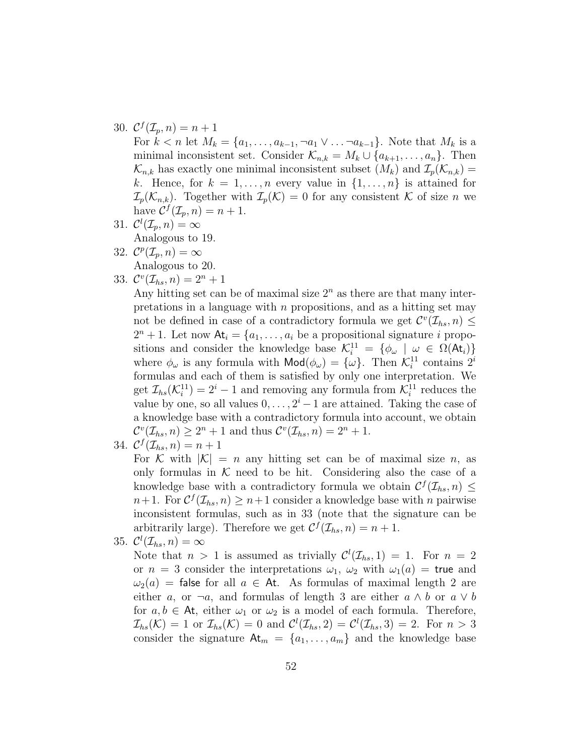# 30.  $\mathcal{C}^f(\mathcal{I}_p, n) = n + 1$

For  $k < n$  let  $M_k = \{a_1, \ldots, a_{k-1}, \neg a_1 \vee \ldots \neg a_{k-1}\}\$ . Note that  $M_k$  is a minimal inconsistent set. Consider  $\mathcal{K}_{n,k} = M_k \cup \{a_{k+1}, \ldots, a_n\}$ . Then  $\mathcal{K}_{n,k}$  has exactly one minimal inconsistent subset  $(M_k)$  and  $\mathcal{I}_p(\mathcal{K}_{n,k}) =$ k. Hence, for  $k = 1, \ldots, n$  every value in  $\{1, \ldots, n\}$  is attained for  $\mathcal{I}_p(\mathcal{K}_{n,k})$ . Together with  $\mathcal{I}_p(\mathcal{K})=0$  for any consistent K of size n we have  $\mathcal{C}^f(\mathcal{I}_p, n) = n + 1$ .

- 31.  $\mathcal{C}^l(\mathcal{I}_p,n) = \infty$ Analogous to 19.
- 32.  $\mathcal{C}^p(\mathcal{I}_p,n) = \infty$ Analogous to 20.

$$
33. \mathcal{C}^v(\mathcal{I}_{hs}, n) = 2^n + 1
$$

Any hitting set can be of maximal size  $2<sup>n</sup>$  as there are that many interpretations in a language with  $n$  propositions, and as a hitting set may not be defined in case of a contradictory formula we get  $\mathcal{C}^v(\mathcal{I}_{hs}, n) \leq$  $2^{n}+1$ . Let now  $\mathsf{At}_{i} = \{a_{1}, \ldots, a_{i} \text{ be a propositional signature } i \text{ propo-} \}$ sitions and consider the knowledge base  $\mathcal{K}_i^{11} = \{ \phi_\omega \mid \omega \in \Omega(\mathsf{At}_i) \}$ where  $\phi_{\omega}$  is any formula with  $\textsf{Mod}(\phi_{\omega}) = {\{\omega\}}$ . Then  $\mathcal{K}_i^{11}$  contains  $2^i$ formulas and each of them is satisfied by only one interpretation. We get  $\mathcal{I}_{hs}(\mathcal{K}_i^{11}) = 2^i - 1$  and removing any formula from  $\mathcal{K}_i^{11}$  reduces the value by one, so all values  $0, \ldots, 2^{i} - 1$  are attained. Taking the case of a knowledge base with a contradictory formula into account, we obtain  $\mathcal{C}^{v}(\mathcal{I}_{hs}, n) \geq 2^{n} + 1$  and thus  $\mathcal{C}^{v}(\mathcal{I}_{hs}, n) = 2^{n} + 1$ .

34. 
$$
\mathcal{C}^f(\mathcal{I}_{hs}, n) = n+1
$$

For K with  $|K| = n$  any hitting set can be of maximal size n, as only formulas in  $K$  need to be hit. Considering also the case of a knowledge base with a contradictory formula we obtain  $\mathcal{C}^f(\mathcal{I}_{hs}, n) \leq$  $n+1$ . For  $C^{f}(\mathcal{I}_{hs}, n) \geq n+1$  consider a knowledge base with n pairwise inconsistent formulas, such as in 33 (note that the signature can be arbitrarily large). Therefore we get  $C^{f}(\mathcal{I}_{hs}, n) = n + 1$ .

35. 
$$
\mathcal{C}^l(\mathcal{I}_{hs},n)=\infty
$$

Note that  $n > 1$  is assumed as trivially  $\mathcal{C}^l(\mathcal{I}_{hs}, 1) = 1$ . For  $n = 2$ or  $n = 3$  consider the interpretations  $\omega_1$ ,  $\omega_2$  with  $\omega_1(a) =$  true and  $\omega_2(a)$  = false for all  $a \in$  At. As formulas of maximal length 2 are either a, or  $\neg a$ , and formulas of length 3 are either  $a \wedge b$  or  $a \vee b$ for  $a, b \in At$ , either  $\omega_1$  or  $\omega_2$  is a model of each formula. Therefore,  $\mathcal{I}_{hs}(\mathcal{K}) = 1$  or  $\mathcal{I}_{hs}(\mathcal{K}) = 0$  and  $\mathcal{C}^l(\mathcal{I}_{hs}, 2) = \mathcal{C}^l(\mathcal{I}_{hs}, 3) = 2$ . For  $n > 3$ consider the signature  $At_m = \{a_1, \ldots, a_m\}$  and the knowledge base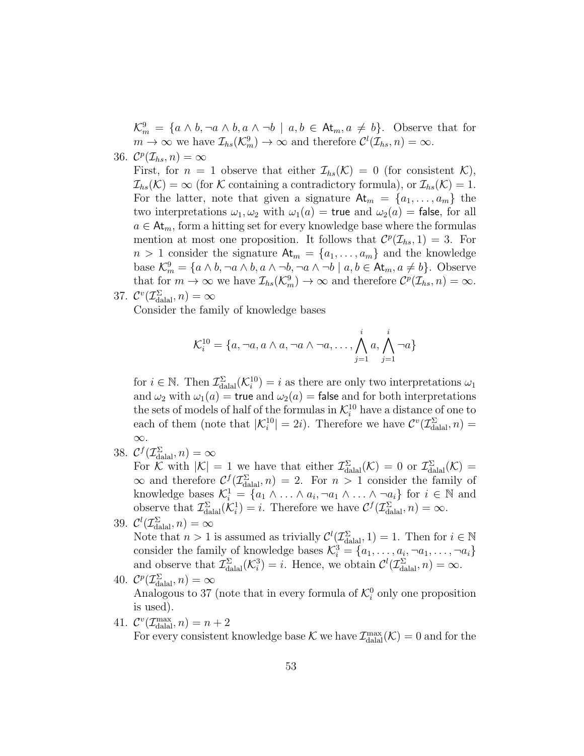$\mathcal{K}_m^9 = \{a \wedge b, \neg a \wedge b, a \wedge \neg b \mid a, b \in \mathsf{At}_m, a \neq b\}.$  Observe that for  $m \to \infty$  we have  $\mathcal{I}_{hs}(\mathcal{K}_m^9) \to \infty$  and therefore  $\mathcal{C}^l(\mathcal{I}_{hs},n) = \infty$ .

36.  $\mathcal{C}^p(\mathcal{I}_{hs},n) = \infty$ 

First, for  $n = 1$  observe that either  $\mathcal{I}_{hs}(\mathcal{K}) = 0$  (for consistent  $\mathcal{K}$ ),  $\mathcal{I}_{hs}(\mathcal{K}) = \infty$  (for  $\mathcal K$  containing a contradictory formula), or  $\mathcal I_{hs}(\mathcal{K}) = 1$ . For the latter, note that given a signature  $\mathsf{At}_{m} = \{a_1, \ldots, a_m\}$  the two interpretations  $\omega_1, \omega_2$  with  $\omega_1(a) =$  true and  $\omega_2(a) =$  false, for all  $a \in \mathsf{At}_{m}$ , form a hitting set for every knowledge base where the formulas mention at most one proposition. It follows that  $\mathcal{C}^p(\mathcal{I}_{hs}, 1) = 3$ . For  $n > 1$  consider the signature  $\mathsf{At}_{m} = \{a_1, \ldots, a_m\}$  and the knowledge base  $\mathcal{K}_m^9 = \{a \wedge b, \neg a \wedge b, a \wedge \neg b, \neg a \wedge \neg b \mid a, b \in \mathsf{At}_m, a \neq b\}$ . Observe that for  $m \to \infty$  we have  $\mathcal{I}_{hs}(\mathcal{K}_m^9) \to \infty$  and therefore  $\mathcal{C}^p(\mathcal{I}_{hs},n) = \infty$ .

37.  $\mathcal{C}^v(\mathcal{I}_{\text{dala}}^{\Sigma}, n) = \infty$ Consider the family of knowledge bases

$$
\mathcal{K}_i^{10} = \{a, \neg a, a \wedge a, \neg a \wedge \neg a, \dots, \bigwedge_{j=1}^i a, \bigwedge_{j=1}^i \neg a\}
$$

for  $i \in \mathbb{N}$ . Then  $\mathcal{I}_{\text{datal}}^{\Sigma}(\mathcal{K}_i^{10}) = i$  as there are only two interpretations  $\omega_1$ and  $\omega_2$  with  $\omega_1(a) =$  true and  $\omega_2(a) =$  false and for both interpretations the sets of models of half of the formulas in  $\mathcal{K}_i^{10}$  have a distance of one to each of them (note that  $|\mathcal{K}_i^{10}| = 2i$ ). Therefore we have  $\mathcal{C}^v(\mathcal{I}_{\text{dala}}, n) =$ ∞.

38.  $C^f(\mathcal{I}_{\text{dala}}^{\Sigma}, n) = \infty$ 

For K with  $|K| = 1$  we have that either  $\mathcal{I}_{\text{dual}}^{\Sigma}(\mathcal{K}) = 0$  or  $\mathcal{I}_{\text{dual}}^{\Sigma}(\mathcal{K}) =$  $\infty$  and therefore  $C^{f}(\mathcal{I}_{\text{dala}}^{\Sigma}, n) = 2$ . For  $n > 1$  consider the family of knowledge bases  $\mathcal{K}_i^1 = \{a_1 \wedge \ldots \wedge a_i, \neg a_1 \wedge \ldots \wedge \neg a_i\}$  for  $i \in \mathbb{N}$  and observe that  $\mathcal{I}_{\text{dala}}^{\Sigma}(\mathcal{K}_{i}^{1})=i$ . Therefore we have  $\mathcal{C}^f(\mathcal{I}_{\text{dala}}^{\Sigma}, n) = \infty$ .

- 39.  $\mathcal{C}^l(\mathcal{I}_{\text{dala}}^{\Sigma}, n) = \infty$ Note that  $n > 1$  is assumed as trivially  $\mathcal{C}^l(\mathcal{I}_{\text{dala}}^{\Sigma}, 1) = 1$ . Then for  $i \in \mathbb{N}$ consider the family of knowledge bases  $\mathcal{K}_i^3 = \{a_1, \ldots, a_i, \neg a_1, \ldots, \neg a_i\}$ and observe that  $\mathcal{I}_{\text{dala}}^{\Sigma}(\mathcal{K}_{i}^{3})=i$ . Hence, we obtain  $\mathcal{C}^{l}(\mathcal{I}_{\text{dala}}^{\Sigma}, n) = \infty$ . 40.  $C^p(\mathcal{I}_{\text{dala}}^{\Sigma}, n) = \infty$
- Analogous to 37 (note that in every formula of  $\mathcal{K}_i^0$  only one proposition is used).
- 41.  $\mathcal{C}^v(\mathcal{I}_{\text{dala}}^{\text{max}}, n) = n + 2$ For every consistent knowledge base  $K$  we have  $\mathcal{I}_{\text{dala}}^{\text{max}}(\mathcal{K})=0$  and for the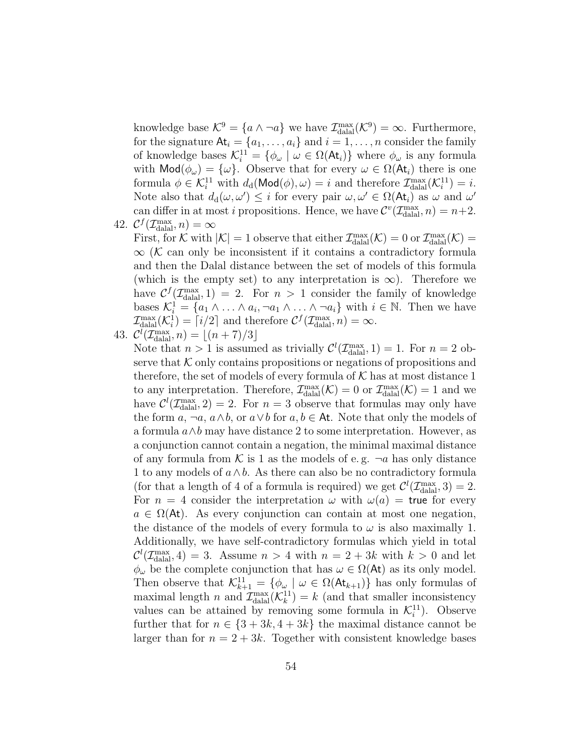knowledge base  $\mathcal{K}^9 = \{a \wedge \neg a\}$  we have  $\mathcal{I}_{\text{dala}}^{\text{max}}(\mathcal{K}^9) = \infty$ . Furthermore, for the signature  $At_i = \{a_1, \ldots, a_i\}$  and  $i = 1, \ldots, n$  consider the family of knowledge bases  $\mathcal{K}_i^{11} = \{\phi_\omega \mid \omega \in \Omega(\mathsf{At}_i)\}\$  where  $\phi_\omega$  is any formula with  $\text{Mod}(\phi_\omega) = {\omega}$ . Observe that for every  $\omega \in \Omega(\mathsf{At}_i)$  there is one formula  $\phi \in \mathcal{K}_i^{11}$  with  $d_d(\text{Mod}(\phi), \omega) = i$  and therefore  $\mathcal{I}_{\text{datal}}^{\text{max}}(\mathcal{K}_i^{11}) = i$ . Note also that  $d_d(\omega, \omega') \leq i$  for every pair  $\omega, \omega' \in \Omega(\mathsf{At}_i)$  as  $\omega$  and  $\omega'$ can differ in at most *i* propositions. Hence, we have  $\mathcal{C}^v(\mathcal{I}_{\text{dala}}^{\text{max}}, n) = n+2$ .

42.  $C^f(\mathcal{I}_{\text{dala}}^{\text{max}}, n) = \infty$ 

First, for K with  $|K| = 1$  observe that either  $\mathcal{I}_{\text{datal}}^{\text{max}}(\mathcal{K}) = 0$  or  $\mathcal{I}_{\text{datal}}^{\text{max}}(\mathcal{K}) =$  $\infty$  (K can only be inconsistent if it contains a contradictory formula and then the Dalal distance between the set of models of this formula (which is the empty set) to any interpretation is  $\infty$ ). Therefore we have  $C^f(\mathcal{I}_{\text{dala}}^{\text{max}}, 1) = 2$ . For  $n > 1$  consider the family of knowledge bases  $\mathcal{K}_i^1 = \{a_1 \wedge \ldots \wedge a_i, \neg a_1 \wedge \ldots \wedge \neg a_i\}$  with  $i \in \mathbb{N}$ . Then we have  $\mathcal{I}_{\text{dala}}^{\text{max}}(\mathcal{K}_i^1) = \lceil i/2 \rceil$  and therefore  $\mathcal{C}^f(\mathcal{I}_{\text{dala}}^{\text{max}}, n) = \infty$ .

43. 
$$
\mathcal{C}^l(\mathcal{I}_{\text{dala}}^{\text{max}}, n) = \lfloor (n+7)/3 \rfloor
$$

Note that  $n > 1$  is assumed as trivially  $\mathcal{C}^l(\mathcal{I}_{\text{dala}}^{max}, 1) = 1$ . For  $n = 2$  observe that  $K$  only contains propositions or negations of propositions and therefore, the set of models of every formula of  $K$  has at most distance 1 to any interpretation. Therefore,  $\mathcal{I}_{\text{dala}}^{\text{max}}(\mathcal{K}) = 0$  or  $\mathcal{I}_{\text{dala}}^{\text{max}}(\mathcal{K}) = 1$  and we have  $\mathcal{C}^l(\mathcal{I}_{\text{dala}}^{\text{max}}, 2) = 2$ . For  $n = 3$  observe that formulas may only have the form  $a, \neg a, a \wedge b$ , or  $a \vee b$  for  $a, b \in \mathsf{At}$ . Note that only the models of a formula  $a \wedge b$  may have distance 2 to some interpretation. However, as a conjunction cannot contain a negation, the minimal maximal distance of any formula from K is 1 as the models of e.g.  $\neg a$  has only distance 1 to any models of  $a \wedge b$ . As there can also be no contradictory formula (for that a length of 4 of a formula is required) we get  $\mathcal{C}^l(\mathcal{I}_{\text{dala}}, 3) = 2$ . For  $n = 4$  consider the interpretation  $\omega$  with  $\omega(a) =$  true for every  $a \in \Omega(\mathsf{At})$ . As every conjunction can contain at most one negation, the distance of the models of every formula to  $\omega$  is also maximally 1. Additionally, we have self-contradictory formulas which yield in total  $\mathcal{C}^l(\mathcal{I}_{\text{dala}}^{\text{max}}, 4) = 3$ . Assume  $n > 4$  with  $n = 2 + 3k$  with  $k > 0$  and let  $\phi_{\omega}$  be the complete conjunction that has  $\omega \in \Omega(\mathsf{At})$  as its only model. Then observe that  $\mathcal{K}_{k+1}^{11} = \{ \phi_\omega \mid \omega \in \Omega(\mathsf{At}_{k+1}) \}$  has only formulas of maximal length n and  $\mathcal{I}_{\text{dala}}^{\text{max}}(\mathcal{K}_k^{11}) = k$  (and that smaller inconsistency values can be attained by removing some formula in  $\mathcal{K}_i^{11}$ ). Observe further that for  $n \in \{3+3k, 4+3k\}$  the maximal distance cannot be larger than for  $n = 2 + 3k$ . Together with consistent knowledge bases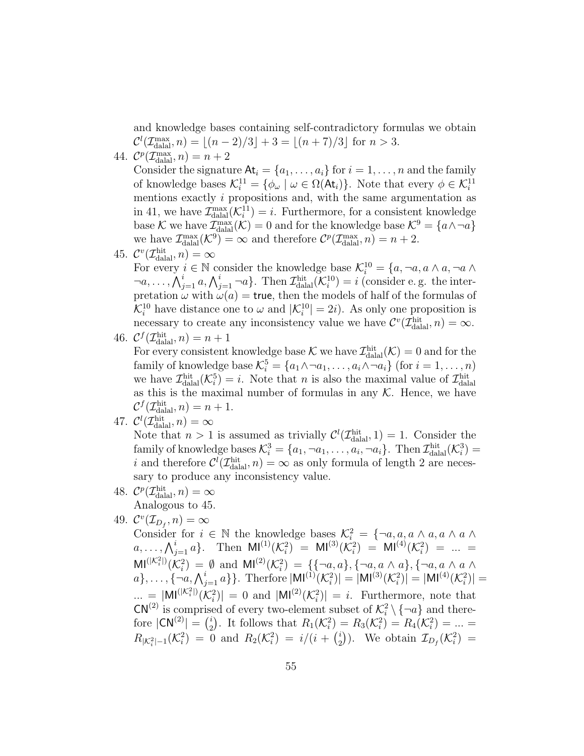and knowledge bases containing self-contradictory formulas we obtain  $\mathcal{C}^l(\mathcal{I}_{\text{dala}}^{\text{max}}, n) = \lfloor (n-2)/3 \rfloor + 3 = \lfloor (n+7)/3 \rfloor \text{ for } n > 3.$ 

44.  $\mathcal{C}^p(\mathcal{I}_{\text{dala}}^{\text{max}}, n) = n + 2$ 

Consider the signature  $\mathsf{At}_i = \{a_1, \ldots, a_i\}$  for  $i = 1, \ldots, n$  and the family of knowledge bases  $\mathcal{K}_i^{11} = \{\phi_\omega \mid \omega \in \Omega(\mathsf{At}_i)\}\.$  Note that every  $\phi \in \mathcal{K}_i^{11}$ mentions exactly i propositions and, with the same argumentation as in 41, we have  $\mathcal{I}_{\text{dual}}^{\text{max}}(\mathcal{K}_i^{11}) = i$ . Furthermore, for a consistent knowledge base K we have  $\mathcal{I}_{\text{dala}}^{\text{max}}(\mathcal{K})=0$  and for the knowledge base  $\mathcal{K}^9 = \{a \wedge \neg a\}$ we have  $\mathcal{I}_{\text{dala}}^{\text{max}}(\mathcal{K}^9) = \infty$  and therefore  $\mathcal{C}^p(\mathcal{I}_{\text{dala}}^{\text{max}}, n) = n + 2$ .

45.  $\mathcal{C}^v(\mathcal{I}_{\text{dala}}^{\text{hit}}, n) = \infty$ 

For every  $i \in \mathbb{N}$  consider the knowledge base  $\mathcal{K}_i^{10} = \{a, \neg a, a \wedge a, \neg a \wedge a\}$  $\lnot a, \ldots, \bigwedge_{j=1}^i a, \bigwedge_{j=1}^i \lnot a \}$ . Then  $\mathcal{I}_{\text{dalal}}^{\text{hit}}(\mathcal{K}_i^{10}) = i$  (consider e.g. the interpretation  $\omega$  with  $\omega(a)$  = true, then the models of half of the formulas of  $\mathcal{K}_i^{10}$  have distance one to  $\omega$  and  $|\mathcal{K}_i^{10}| = 2i$ . As only one proposition is necessary to create any inconsistency value we have  $\mathcal{C}^v(\mathcal{I}_{\text{dala}}^{\text{hit}}, n) = \infty$ .

46. 
$$
C^f(\mathcal{I}_{\text{dala}}^{\text{hit}}, n) = n + 1
$$

For every consistent knowledge base  $K$  we have  $\mathcal{I}_{\text{dala}}^{\text{hit}}(\mathcal{K})=0$  and for the family of knowledge base  $\mathcal{K}_i^5 = \{a_1 \wedge \neg a_1, \dots, a_i \wedge \neg a_i\}$  (for  $i = 1, \dots, n$ ) we have  $\mathcal{I}^{\text{hit}}_{\text{dala}}(\mathcal{K}^5_i) = i$ . Note that *n* is also the maximal value of  $\mathcal{I}^{\text{hit}}_{\text{dala}}$ as this is the maximal number of formulas in any  $K$ . Hence, we have  $\mathcal{C}^f(\mathcal{I}_{\text{datal}}^{\text{hit}}, n) = n + 1.$ 

- 47.  $\mathcal{C}^l(\mathcal{I}_{\text{dala}}^{\text{hit}}, n) = \infty$ Note that  $n > 1$  is assumed as trivially  $\mathcal{C}^l(\mathcal{I}_{\text{dala}}^{\text{hit}}, 1) = 1$ . Consider the family of knowledge bases  $\mathcal{K}_i^3 = \{a_1, \neg a_1, \dots, a_i, \neg a_i\}$ . Then  $\mathcal{I}_{\text{dala}}^{\text{hit}}(\mathcal{K}_i^3) =$ i and therefore  $\mathcal{C}^l(\mathcal{I}_{\text{dala}}^{\text{hit}}, n) = \infty$  as only formula of length 2 are neces-
- sary to produce any inconsistency value. 48.  $C^p(\mathcal{I}_{\text{dala}}^{\text{hit}}, n) = \infty$

Analogous to 45.

49.  $\mathcal{C}^v(\mathcal{I}_{D_f}, n) = \infty$ 

Consider for  $i \in \mathbb{N}$  the knowledge bases  $\mathcal{K}_i^2 = \{\neg a, a, a \wedge a, a \wedge a \wedge a\}$  $a, \ldots, \bigwedge_{j=1}^{i} a \}.$  Then  $\text{MI}^{(1)}(\mathcal{K}_i^2) = \text{MI}^{(3)}(\mathcal{K}_i^2) = \text{MI}^{(4)}(\mathcal{K}_i^2) = \ldots =$  $\text{MI}^{(|\mathcal{K}_i^2|)}(\mathcal{K}_i^2) = \emptyset$  and  $\text{MI}^{(2)}(\mathcal{K}_i^2) = \{\{\neg a, a\}, \{\neg a, a \wedge a\}, \{\neg a, a \wedge a \wedge a\} \}$  $a\},\ldots,\{-a,\bigwedge_{j=1}^{i}a_j\}$ . Therfore  $|\text{MI}^{(1)}(\mathcal{K}_i^2)| = |\text{MI}^{(3)}(\mathcal{K}_i^2)| = |\text{MI}^{(4)}(\mathcal{K}_i^2)| =$  $\ldots = |M|^{(|\mathcal{K}_i^2|)}(\mathcal{K}_i^2)| = 0$  and  $|M|^{(2)}(\mathcal{K}_i^2)| = i$ . Furthermore, note that  $CN^{(2)}$  is comprised of every two-element subset of  $\mathcal{K}_i^2 \setminus {\{\neg a\}}$  and therefore  $|CN^{(2)}| = \binom{i}{2}$  $R_2^{i}$ ). It follows that  $R_1(\mathcal{K}_i^2) = R_3(\mathcal{K}_i^2) = R_4(\mathcal{K}_i^2) = ... =$  $R_{|\mathcal{K}_i^2|-1}(\mathcal{K}_i^2) = 0$  and  $R_2(\mathcal{K}_i^2) = i/(i + \binom{i}{2})$  $\mathcal{I}_{2}^{i}$ ). We obtain  $\mathcal{I}_{D_f}(\mathcal{K}_i^2)$  =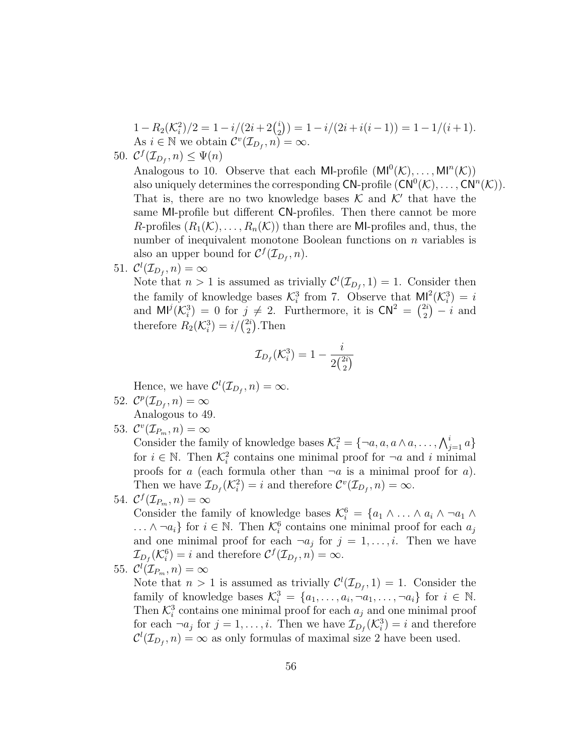$$
1 - R_2(\mathcal{K}_i^2)/2 = 1 - i/(2i + 2\binom{i}{2}) = 1 - i/(2i + i(i - 1)) = 1 - 1/(i + 1).
$$
  
As  $i \in \mathbb{N}$  we obtain  $\mathcal{C}^v(\mathcal{I}_{D_f}, n) = \infty$ .

50.  $\mathcal{C}^f(\mathcal{I}_{D_f}, n) \leq \Psi(n)$ 

Analogous to 10. Observe that each MI-profile  $(M^0(\mathcal{K}), \ldots, M^n(\mathcal{K}))$ also uniquely determines the corresponding  $\mathsf{CN}\text{-}\mathrm{profile}\left(\mathsf{CN}^0(\mathcal{K}),\ldots,\mathsf{CN}^n(\mathcal{K})\right).$ That is, there are no two knowledge bases  $K$  and  $K'$  that have the same MI-profile but different CN-profiles. Then there cannot be more R-profiles  $(R_1(\mathcal{K}), \ldots, R_n(\mathcal{K}))$  than there are MI-profiles and, thus, the number of inequivalent monotone Boolean functions on *n* variables is also an upper bound for  $C^f(\mathcal{I}_{D_f}, n)$ .

51.  $\mathcal{C}^l(\mathcal{I}_{D_f}, n) = \infty$ 

Note that  $n > 1$  is assumed as trivially  $\mathcal{C}^l(\mathcal{I}_{D_f}, 1) = 1$ . Consider then the family of knowledge bases  $\mathcal{K}_i^3$  from 7. Observe that  $M_i^2(\mathcal{K}_i^3) = i$ and  $\mathsf{M}^{j}(\mathcal{K}_{i}^{3})=0$  for  $j\neq 2$ . Furthermore, it is  $\mathsf{CN}^{2}=\binom{2i}{2}$  $2i \choose 2 - i$  and therefore  $R_2(\mathcal{K}_i^3) = i/(\frac{2i}{2})$  $_2^{2i}$ ). Then

$$
\mathcal{I}_{D_f}(\mathcal{K}_i^3) = 1 - \frac{i}{2\binom{2i}{2}}
$$

Hence, we have  $\mathcal{C}^l(\mathcal{I}_{D_f}, n) = \infty$ .

- 52.  $\mathcal{C}^p(\mathcal{I}_{D_f}, n) = \infty$ Analogous to 49.
- 53.  $\mathcal{C}^v(\mathcal{I}_{P_m}, n) = \infty$

Consider the family of knowledge bases  $\mathcal{K}_i^2 = \{\neg a, a, a \wedge a, \dots, \bigwedge_{j=1}^i a\}$ for  $i \in \mathbb{N}$ . Then  $\mathcal{K}_i^2$  contains one minimal proof for  $\neg a$  and i minimal proofs for a (each formula other than  $\neg a$  is a minimal proof for a). Then we have  $\mathcal{I}_{D_f}(\mathcal{K}_i^2) = i$  and therefore  $\mathcal{C}^v(\mathcal{I}_{D_f}, n) = \infty$ .

54.  $\mathcal{C}^f(\mathcal{I}_{P_m}, n) = \infty$ 

Consider the family of knowledge bases  $\mathcal{K}_i^6 = \{a_1 \wedge \ldots \wedge a_i \wedge \neg a_1 \wedge \neg a_2 \}$ ...  $\land \neg a_i$ } for  $i \in \mathbb{N}$ . Then  $\mathcal{K}_i^6$  contains one minimal proof for each  $a_j$ and one minimal proof for each  $\neg a_j$  for  $j = 1, \ldots, i$ . Then we have  $\mathcal{I}_{D_f}(\mathcal{K}_i^6) = i$  and therefore  $\mathcal{C}^f(\mathcal{I}_{D_f}, n) = \infty$ .

55.  $\mathcal{C}^l(\mathcal{I}_{P_m},n)=\infty$ 

Note that  $n > 1$  is assumed as trivially  $\mathcal{C}^l(\mathcal{I}_{D_f}, 1) = 1$ . Consider the family of knowledge bases  $\mathcal{K}_i^3 = \{a_1, \ldots, a_i, \neg a_1, \ldots, \neg a_i\}$  for  $i \in \mathbb{N}$ . Then  $\mathcal{K}_i^3$  contains one minimal proof for each  $a_j$  and one minimal proof for each  $\neg a_j$  for  $j = 1, \ldots, i$ . Then we have  $\mathcal{I}_{D_f}(\mathcal{K}_i^3) = i$  and therefore  $\mathcal{C}^l(\mathcal{I}_{D_f}, n) = \infty$  as only formulas of maximal size 2 have been used.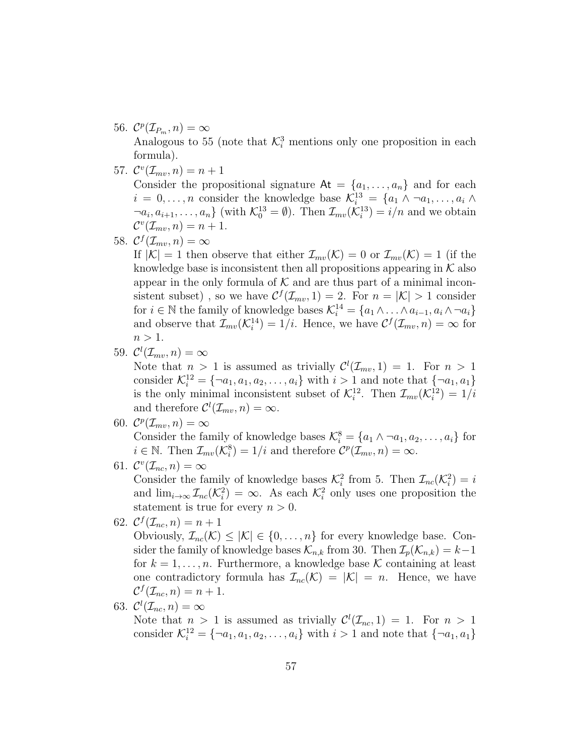- 56.  $\mathcal{C}^p(\mathcal{I}_{P_m}, n) = \infty$ Analogous to 55 (note that  $\mathcal{K}_i^3$  mentions only one proposition in each formula).
- 57.  $\mathcal{C}^{v}(\mathcal{I}_{mv}, n) = n + 1$

Consider the propositional signature  $At = \{a_1, \ldots, a_n\}$  and for each  $i = 0, \ldots, n$  consider the knowledge base  $\mathcal{K}_i^{13} = \{a_1 \wedge \neg a_1, \ldots, a_i \wedge \neg a_i\}$  $\{\neg a_i, a_{i+1}, \dots, a_n\}$  (with  $\mathcal{K}_0^{13} = \emptyset$ ). Then  $\mathcal{I}_{mv}(\mathcal{K}_i^{13}) = i/n$  and we obtain  $\mathcal{C}^v(\mathcal{I}_{mv}, n) = n + 1.$ 

58.  $C^f(\mathcal{I}_{mv}, n) = \infty$ 

If  $|K| = 1$  then observe that either  $\mathcal{I}_{mv}(\mathcal{K}) = 0$  or  $\mathcal{I}_{mv}(\mathcal{K}) = 1$  (if the knowledge base is inconsistent then all propositions appearing in  $K$  also appear in the only formula of  $K$  and are thus part of a minimal inconsistent subset), so we have  $C^{f}(\mathcal{I}_{mv}, 1) = 2$ . For  $n = |\mathcal{K}| > 1$  consider for  $i \in \mathbb{N}$  the family of knowledge bases  $\mathcal{K}_i^{14} = \{a_1 \wedge \ldots \wedge a_{i-1}, a_i \wedge \neg a_i\}$ and observe that  $\mathcal{I}_{mv}(\mathcal{K}_i^{14}) = 1/i$ . Hence, we have  $\mathcal{C}^f(\mathcal{I}_{mv}, n) = \infty$  for  $n > 1$ .

59.  $\mathcal{C}^l(\mathcal{I}_{mv}, n) = \infty$ 

Note that  $n > 1$  is assumed as trivially  $\mathcal{C}^l(\mathcal{I}_{mv}, 1) = 1$ . For  $n > 1$ consider  $\mathcal{K}_i^{12} = \{ \neg a_1, a_1, a_2, \dots, a_i \}$  with  $i > 1$  and note that  $\{ \neg a_1, a_1 \}$ is the only minimal inconsistent subset of  $\mathcal{K}_i^{12}$ . Then  $\mathcal{I}_{mv}(\mathcal{K}_i^{12}) = 1/i$ and therefore  $\mathcal{C}^l(\mathcal{I}_{mv}, n) = \infty$ .

- 60.  $\mathcal{C}^p(\mathcal{I}_{mv}, n) = \infty$ Consider the family of knowledge bases  $\mathcal{K}_i^8 = \{a_1 \wedge \neg a_1, a_2, \dots, a_i\}$  for  $i \in \mathbb{N}$ . Then  $\mathcal{I}_{mv}(\mathcal{K}_{i}^{8}) = 1/i$  and therefore  $\mathcal{C}^{p}(\mathcal{I}_{mv}, n) = \infty$ .
- 61.  $\mathcal{C}^v(\mathcal{I}_{nc}, n) = \infty$

Consider the family of knowledge bases  $\mathcal{K}_i^2$  from 5. Then  $\mathcal{I}_{nc}(\mathcal{K}_i^2) = i$ and  $\lim_{i\to\infty} \mathcal{I}_{nc}(\mathcal{K}_i^2) = \infty$ . As each  $\mathcal{K}_i^2$  only uses one proposition the statement is true for every  $n > 0$ .

62.  $C^f(\mathcal{I}_{nc}, n) = n + 1$ 

Obviously,  $\mathcal{I}_{nc}(\mathcal{K}) \leq |\mathcal{K}| \in \{0,\ldots,n\}$  for every knowledge base. Consider the family of knowledge bases  $\mathcal{K}_{n,k}$  from 30. Then  $\mathcal{I}_p(\mathcal{K}_{n,k}) = k-1$ for  $k = 1, \ldots, n$ . Furthermore, a knowledge base K containing at least one contradictory formula has  $\mathcal{I}_{nc}(\mathcal{K}) = |\mathcal{K}| = n$ . Hence, we have  $\mathcal{C}^f(\mathcal{I}_{nc}, n) = n + 1.$ 

63.  $\mathcal{C}^l(\mathcal{I}_{nc}, n) = \infty$ 

Note that  $n > 1$  is assumed as trivially  $\mathcal{C}^l(\mathcal{I}_{nc}, 1) = 1$ . For  $n > 1$ consider  $\mathcal{K}_i^{12} = \{ \neg a_1, a_1, a_2, \dots, a_i \}$  with  $i > 1$  and note that  $\{ \neg a_1, a_1 \}$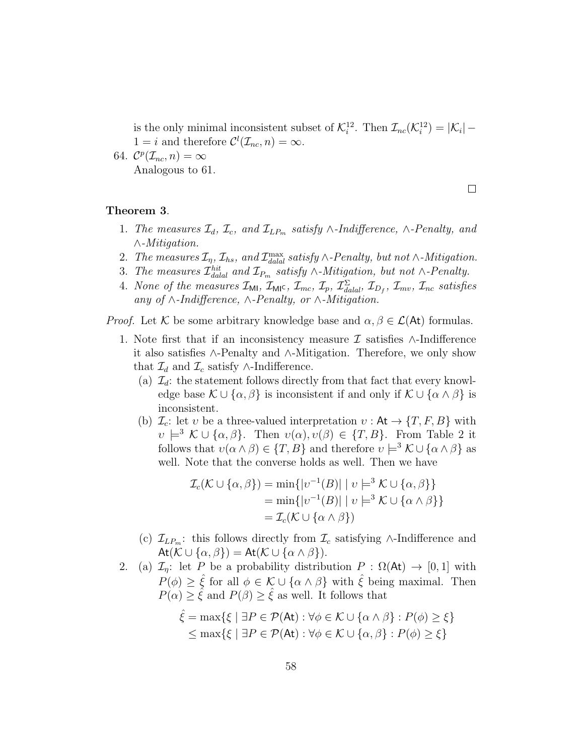is the only minimal inconsistent subset of  $\mathcal{K}_i^{12}$ . Then  $\mathcal{I}_{nc}(\mathcal{K}_i^{12}) = |\mathcal{K}_i|$  –  $1 = i$  and therefore  $\mathcal{C}^l(\mathcal{I}_{nc}, n) = \infty$ .

64.  $\mathcal{C}^p(\mathcal{I}_{nc}, n) = \infty$ Analogous to 61.

 $\Box$ 

### Theorem 3.

- 1. The measures  $\mathcal{I}_d$ ,  $\mathcal{I}_c$ , and  $\mathcal{I}_{LP_m}$  satisfy ∧-Indifference, ∧-Penalty, and ∧-Mitigation.
- 2. The measures  $\mathcal{I}_\eta$ ,  $\mathcal{I}_{hs}$ , and  $\mathcal{I}_{\text{d\nu}}^{\text{max}}$  satisfy  $\wedge$ -Penalty, but not  $\wedge$ -Mitigation.
- 3. The measures  $\mathcal{I}^{hit}_{dala}$  and  $\mathcal{I}_{P_m}$  satisfy ∧-Mitigation, but not ∧-Penalty.
- 4. None of the measures  $\mathcal{I}_{ML}$ ,  $\mathcal{I}_{ML}$ ,  $\mathcal{I}_{mc}$ ,  $\mathcal{I}_{p}$ ,  $\mathcal{I}_{\text{d}l}^{\Sigma}$ ,  $\mathcal{I}_{D_f}$ ,  $\mathcal{I}_{mv}$ ,  $\mathcal{I}_{nc}$  satisfies any of  $\land$ -Indifference,  $\land$ -Penalty, or  $\land$ -Mitigation.

*Proof.* Let K be some arbitrary knowledge base and  $\alpha, \beta \in \mathcal{L}(A_t)$  formulas.

- 1. Note first that if an inconsistency measure  $\mathcal I$  satisfies ∧-Indifference it also satisfies ∧-Penalty and ∧-Mitigation. Therefore, we only show that  $\mathcal{I}_d$  and  $\mathcal{I}_c$  satisfy ∧-Indifference.
	- (a)  $\mathcal{I}_d$ : the statement follows directly from that fact that every knowledge base  $\mathcal{K} \cup {\alpha, \beta}$  is inconsistent if and only if  $\mathcal{K} \cup {\alpha \wedge \beta}$  is inconsistent.
	- (b)  $\mathcal{I}_c$ : let v be a three-valued interpretation  $v : \mathsf{At} \to \{T, F, B\}$  with  $v \models^3 \mathcal{K} \cup {\alpha, \beta}$ . Then  $v(\alpha), v(\beta) \in {\{T, B\}}$ . From Table 2 it follows that  $v(\alpha \wedge \beta) \in \{T, B\}$  and therefore  $v \models^3 \mathcal{K} \cup \{\alpha \wedge \beta\}$  as well. Note that the converse holds as well. Then we have

$$
\mathcal{I}_c(\mathcal{K} \cup \{ \alpha, \beta \}) = \min \{ |v^{-1}(B)| \mid v \models^3 \mathcal{K} \cup \{ \alpha, \beta \} \}
$$
  
= 
$$
\min \{ |v^{-1}(B)| \mid v \models^3 \mathcal{K} \cup \{ \alpha \land \beta \} \}
$$
  
= 
$$
\mathcal{I}_c(\mathcal{K} \cup \{ \alpha \land \beta \})
$$

- (c)  $\mathcal{I}_{LP_m}$ : this follows directly from  $\mathcal{I}_c$  satisfying ∧-Indifference and  $At(\mathcal{K} \cup {\alpha, \beta}) = At(\mathcal{K} \cup {\alpha \wedge \beta}).$
- 2. (a)  $\mathcal{I}_n$ : let P be a probability distribution  $P : \Omega(\mathsf{At}) \to [0,1]$  with  $P(\phi) \geq \hat{\xi}$  for all  $\phi \in \mathcal{K} \cup \{\alpha \wedge \beta\}$  with  $\hat{\xi}$  being maximal. Then  $P(\alpha) \geq \hat{\xi}$  and  $P(\beta) \geq \hat{\xi}$  as well. It follows that

$$
\hat{\xi} = \max\{\xi \mid \exists P \in \mathcal{P}(\mathsf{At}) : \forall \phi \in \mathcal{K} \cup \{\alpha \wedge \beta\} : P(\phi) \ge \xi\}
$$
  

$$
\le \max\{\xi \mid \exists P \in \mathcal{P}(\mathsf{At}) : \forall \phi \in \mathcal{K} \cup \{\alpha, \beta\} : P(\phi) \ge \xi\}
$$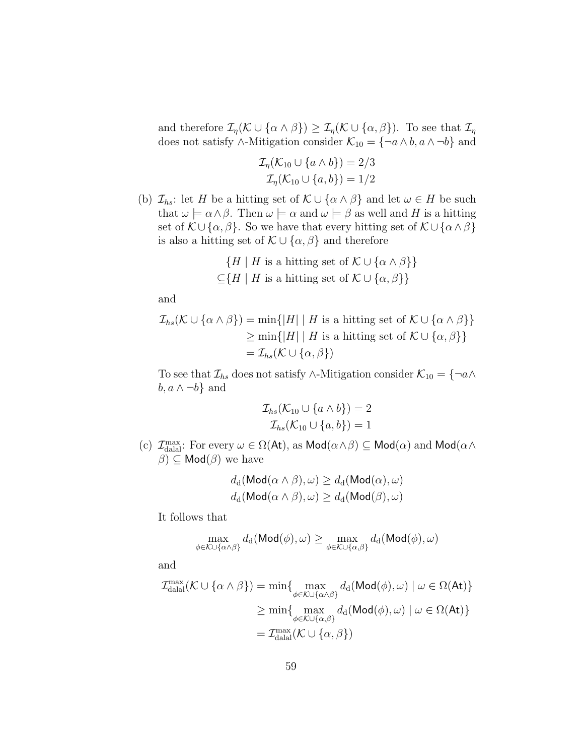and therefore  $\mathcal{I}_{\eta}(\mathcal{K} \cup {\alpha \wedge \beta}) \geq \mathcal{I}_{\eta}(\mathcal{K} \cup {\alpha, \beta})$ . To see that  $\mathcal{I}_{\eta}$ does not satisfy ∧-Mitigation consider  $\mathcal{K}_{10} = \{ \neg a \wedge b, a \wedge \neg b \}$  and

$$
\mathcal{I}_{\eta}(\mathcal{K}_{10} \cup \{a \wedge b\}) = 2/3
$$
  

$$
\mathcal{I}_{\eta}(\mathcal{K}_{10} \cup \{a, b\}) = 1/2
$$

(b)  $\mathcal{I}_{hs}$ : let H be a hitting set of  $\mathcal{K} \cup {\alpha \wedge \beta}$  and let  $\omega \in H$  be such that  $\omega \models \alpha \land \beta$ . Then  $\omega \models \alpha$  and  $\omega \models \beta$  as well and H is a hitting set of  $\mathcal{K} \cup {\alpha, \beta}$ . So we have that every hitting set of  $\mathcal{K} \cup {\alpha \wedge \beta}$ is also a hitting set of  $\mathcal{K} \cup {\alpha, \beta}$  and therefore

$$
\{H \mid H \text{ is a hitting set of } \mathcal{K} \cup \{\alpha \land \beta\}\}\
$$

$$
\subseteq \{H \mid H \text{ is a hitting set of } \mathcal{K} \cup \{\alpha, \beta\}\}\
$$

and

$$
\mathcal{I}_{hs}(\mathcal{K} \cup {\alpha \wedge \beta}) = \min\{|H| \mid H \text{ is a hitting set of } \mathcal{K} \cup {\alpha \wedge \beta}\}\
$$
  
\n
$$
\geq \min\{|H| \mid H \text{ is a hitting set of } \mathcal{K} \cup {\alpha, \beta}\}\
$$
  
\n
$$
= \mathcal{I}_{hs}(\mathcal{K} \cup {\alpha, \beta})
$$

To see that  $\mathcal{I}_{hs}$  does not satisfy ∧-Mitigation consider  $\mathcal{K}_{10} = \{\neg a \land a\}$  $b, a \wedge \neg b$  and

$$
\mathcal{I}_{hs}(\mathcal{K}_{10} \cup \{a \wedge b\}) = 2
$$
  

$$
\mathcal{I}_{hs}(\mathcal{K}_{10} \cup \{a, b\}) = 1
$$

(c)  $\mathcal{I}_{\text{dala}}^{\text{max}}$ : For every  $\omega \in \Omega(\mathsf{At})$ , as  $\mathsf{Mod}(\alpha \wedge \beta) \subseteq \mathsf{Mod}(\alpha)$  and  $\mathsf{Mod}(\alpha \wedge \beta)$  $\beta$ )  $\subseteq$  Mod( $\beta$ ) we have

$$
d_{\mathbf{d}}(\mathsf{Mod}(\alpha \land \beta), \omega) \geq d_{\mathbf{d}}(\mathsf{Mod}(\alpha), \omega)
$$
  

$$
d_{\mathbf{d}}(\mathsf{Mod}(\alpha \land \beta), \omega) \geq d_{\mathbf{d}}(\mathsf{Mod}(\beta), \omega)
$$

It follows that

$$
\max_{\phi \in \mathcal{K} \cup \{\alpha \wedge \beta\}} d_{\mathrm{d}}(\mathsf{Mod}(\phi), \omega) \ge \max_{\phi \in \mathcal{K} \cup \{\alpha, \beta\}} d_{\mathrm{d}}(\mathsf{Mod}(\phi), \omega)
$$

and

$$
\mathcal{I}_{\text{dala}}^{\text{max}}(\mathcal{K} \cup \{\alpha \wedge \beta\}) = \min \{ \max_{\phi \in \mathcal{K} \cup \{\alpha \wedge \beta\}} d_d(\text{Mod}(\phi), \omega) \mid \omega \in \Omega(\text{At}) \}
$$

$$
\geq \min \{ \max_{\phi \in \mathcal{K} \cup \{\alpha, \beta\}} d_d(\text{Mod}(\phi), \omega) \mid \omega \in \Omega(\text{At}) \}
$$

$$
= \mathcal{I}_{\text{dala}}^{\text{max}}(\mathcal{K} \cup \{\alpha, \beta\})
$$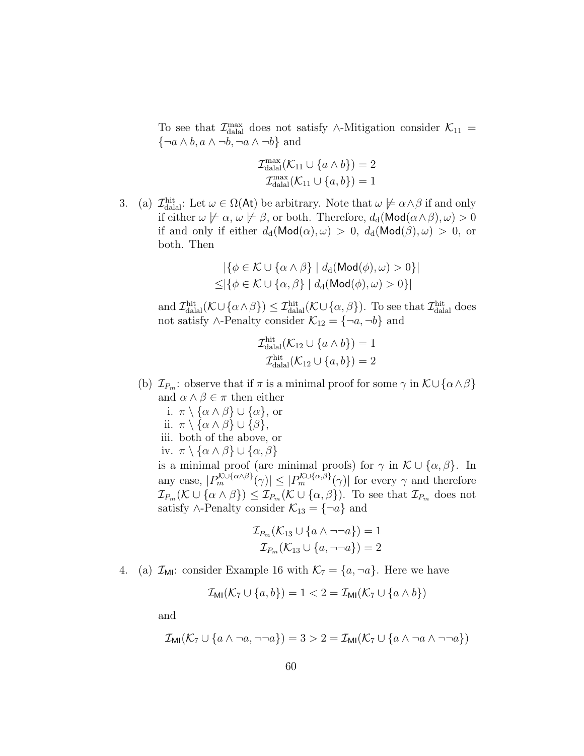To see that  $\mathcal{I}_{\text{dala}}^{\text{max}}$  does not satisfy ∧-Mitigation consider  $\mathcal{K}_{11}$  =  $\{\neg a \wedge b, a \wedge \neg b, \neg a \wedge \neg b\}$  and

$$
\mathcal{I}_{\text{dala}}^{\text{max}}(\mathcal{K}_{11} \cup \{a \wedge b\}) = 2
$$

$$
\mathcal{I}_{\text{dala}}^{\text{max}}(\mathcal{K}_{11} \cup \{a, b\}) = 1
$$

3. (a)  $\mathcal{I}_{\text{dala}}^{\text{hit}}$ : Let  $\omega \in \Omega(\mathsf{At})$  be arbitrary. Note that  $\omega \not\models \alpha \wedge \beta$  if and only if either  $\omega \not\models \alpha, \omega \not\models \beta$ , or both. Therefore,  $d_d(\mathsf{Mod}(\alpha \wedge \beta), \omega) > 0$ if and only if either  $d_d(\text{Mod}(\alpha), \omega) > 0$ ,  $d_d(\text{Mod}(\beta), \omega) > 0$ , or both. Then

$$
|\{\phi \in \mathcal{K} \cup \{\alpha \wedge \beta\} \mid d_{\mathrm{d}}(\mathsf{Mod}(\phi), \omega) > 0\}|
$$
  

$$
\leq |\{\phi \in \mathcal{K} \cup \{\alpha, \beta\} \mid d_{\mathrm{d}}(\mathsf{Mod}(\phi), \omega) > 0\}|
$$

and  $\mathcal{I}_{\text{dala}}^{\text{hit}}(\mathcal{K}\cup\{\alpha\land\beta\}) \leq \mathcal{I}_{\text{dala}}^{\text{hit}}(\mathcal{K}\cup\{\alpha,\beta\})$ . To see that  $\mathcal{I}_{\text{dala}}^{\text{hit}}$  does not satisfy ∧-Penalty consider  $\mathcal{K}_{12} = \{\neg a, \neg b\}$  and

$$
\mathcal{I}_{\text{dala}}^{\text{hit}}(\mathcal{K}_{12} \cup \{a \wedge b\}) = 1
$$

$$
\mathcal{I}_{\text{dala}}^{\text{hit}}(\mathcal{K}_{12} \cup \{a, b\}) = 2
$$

- (b)  $\mathcal{I}_{P_m}$ : observe that if  $\pi$  is a minimal proof for some  $\gamma$  in  $\mathcal{K}\cup\{\alpha\land\beta\}$ and  $\alpha \wedge \beta \in \pi$  then either
	- i.  $\pi \setminus {\alpha \wedge \beta} \cup {\alpha}$ , or ii.  $\pi \setminus {\alpha \wedge \beta} \cup {\beta},$ iii. both of the above, or iv.  $\pi \setminus {\alpha \wedge \beta} \cup {\alpha, \beta}$ is a minimal proof (are minimal proofs) for  $\gamma$  in  $\mathcal{K} \cup {\alpha, \beta}$ . In any case,  $|P_m^{\mathcal{K}\cup{\{\alpha,\beta\}}}(\gamma)| \leq |P_m^{\mathcal{K}\cup{\{\alpha,\beta\}}}(\gamma)|$  for every  $\gamma$  and therefore  $\mathcal{I}_{P_m}(\mathcal{K} \cup {\alpha \wedge \beta}) \leq \mathcal{I}_{P_m}(\mathcal{K} \cup {\alpha, \beta}).$  To see that  $\mathcal{I}_{P_m}$  does not satisfy ∧-Penalty consider  $\mathcal{K}_{13} = \{\neg a\}$  and

$$
\mathcal{I}_{P_m}(\mathcal{K}_{13} \cup \{a \wedge \neg \neg a\}) = 1
$$

$$
\mathcal{I}_{P_m}(\mathcal{K}_{13} \cup \{a, \neg \neg a\}) = 2
$$

4. (a)  $\mathcal{I}_{\text{MI}}$ : consider Example 16 with  $\mathcal{K}_7 = \{a, \neg a\}$ . Here we have

$$
\mathcal{I}_{\text{MI}}(\mathcal{K}_7 \cup \{a, b\}) = 1 < 2 = \mathcal{I}_{\text{MI}}(\mathcal{K}_7 \cup \{a \wedge b\})
$$

and

$$
\mathcal{I}_{\text{MI}}(\mathcal{K}_7 \cup \{a \wedge \neg a, \neg \neg a\}) = 3 > 2 = \mathcal{I}_{\text{MI}}(\mathcal{K}_7 \cup \{a \wedge \neg a \wedge \neg \neg a\})
$$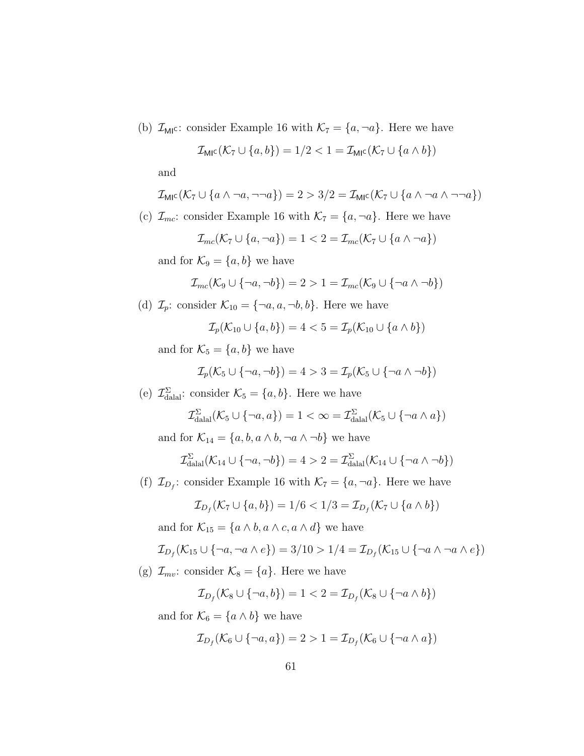(b)  $\mathcal{I}_{\text{MI}}$ c: consider Example 16 with  $\mathcal{K}_7 = \{a, \neg a\}$ . Here we have

$$
\mathcal{I}_{\text{MIC}}(\mathcal{K}_7 \cup \{a, b\}) = 1/2 < 1 = \mathcal{I}_{\text{MIC}}(\mathcal{K}_7 \cup \{a \wedge b\})
$$

and

$$
\mathcal{I}_{\text{MIC}}(\mathcal{K}_7 \cup \{a \wedge \neg a, \neg \neg a\}) = 2 > 3/2 = \mathcal{I}_{\text{MIC}}(\mathcal{K}_7 \cup \{a \wedge \neg a \wedge \neg \neg a\})
$$

(c)  $\mathcal{I}_{mc}$ : consider Example 16 with  $\mathcal{K}_7 = \{a, \neg a\}$ . Here we have

$$
\mathcal{I}_{mc}(\mathcal{K}_7 \cup \{a, \neg a\}) = 1 < 2 = \mathcal{I}_{mc}(\mathcal{K}_7 \cup \{a \land \neg a\})
$$

and for  $\mathcal{K}_9 = \{a, b\}$  we have

$$
\mathcal{I}_{mc}(\mathcal{K}_9 \cup \{\neg a, \neg b\}) = 2 > 1 = \mathcal{I}_{mc}(\mathcal{K}_9 \cup \{\neg a \land \neg b\})
$$

(d)  $\mathcal{I}_p$ : consider  $\mathcal{K}_{10} = \{\neg a, a, \neg b, b\}$ . Here we have

$$
\mathcal{I}_p(\mathcal{K}_{10} \cup \{a, b\}) = 4 < 5 = \mathcal{I}_p(\mathcal{K}_{10} \cup \{a \land b\})
$$

and for  $\mathcal{K}_5 = \{a, b\}$  we have

$$
\mathcal{I}_p(\mathcal{K}_5 \cup \{\neg a, \neg b\}) = 4 > 3 = \mathcal{I}_p(\mathcal{K}_5 \cup \{\neg a \land \neg b\})
$$

(e)  $\mathcal{I}_{\text{dala}}^{\Sigma}$ : consider  $\mathcal{K}_{5} = \{a, b\}$ . Here we have

$$
\mathcal{I}_{\text{dala}}^{\Sigma}(\mathcal{K}_5 \cup \{\neg a, a\}) = 1 < \infty = \mathcal{I}_{\text{dala}}^{\Sigma}(\mathcal{K}_5 \cup \{\neg a \wedge a\})
$$

and for  $\mathcal{K}_{14} = \{a, b, a \wedge b, \neg a \wedge \neg b\}$  we have

$$
\mathcal{I}_{\text{dala}}^{\Sigma}(\mathcal{K}_{14} \cup \{\neg a, \neg b\}) = 4 > 2 = \mathcal{I}_{\text{dala}}^{\Sigma}(\mathcal{K}_{14} \cup \{\neg a \land \neg b\})
$$

(f)  $\mathcal{I}_{D_f}$ : consider Example 16 with  $\mathcal{K}_7 = \{a, \neg a\}$ . Here we have

$$
\mathcal{I}_{D_f}(\mathcal{K}_7 \cup \{a, b\}) = 1/6 < 1/3 = \mathcal{I}_{D_f}(\mathcal{K}_7 \cup \{a \wedge b\})
$$

and for  $\mathcal{K}_{15} = \{a \wedge b, a \wedge c, a \wedge d\}$  we have

$$
\mathcal{I}_{D_f}(\mathcal{K}_{15} \cup \{\neg a, \neg a \wedge e\}) = 3/10 > 1/4 = \mathcal{I}_{D_f}(\mathcal{K}_{15} \cup \{\neg a \wedge \neg a \wedge e\})
$$

(g)  $\mathcal{I}_{mv}$ : consider  $\mathcal{K}_8 = \{a\}$ . Here we have

$$
\mathcal{I}_{D_f}(\mathcal{K}_8 \cup \{\neg a, b\}) = 1 < 2 = \mathcal{I}_{D_f}(\mathcal{K}_8 \cup \{\neg a \land b\})
$$

and for  $\mathcal{K}_6 = \{a \wedge b\}$  we have

$$
\mathcal{I}_{D_f}(\mathcal{K}_6 \cup \{\neg a, a\}) = 2 > 1 = \mathcal{I}_{D_f}(\mathcal{K}_6 \cup \{\neg a \land a\})
$$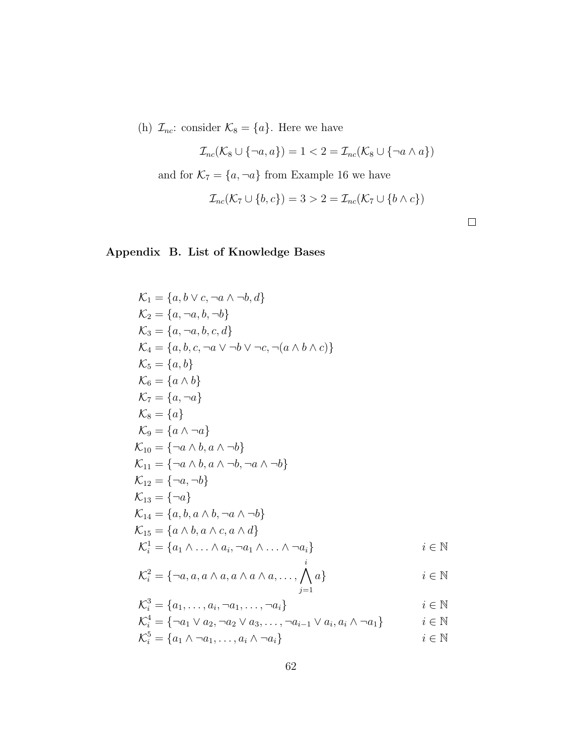(h)  $\mathcal{I}_{nc}$ : consider  $\mathcal{K}_8 = \{a\}$ . Here we have

$$
\mathcal{I}_{nc}(\mathcal{K}_8 \cup \{\neg a, a\}) = 1 < 2 = \mathcal{I}_{nc}(\mathcal{K}_8 \cup \{\neg a \land a\})
$$

and for  $\mathcal{K}_7=\{a,\neg a\}$  from Example 16 we have

$$
\mathcal{I}_{nc}(\mathcal{K}_7 \cup \{b,c\}) = 3 > 2 = \mathcal{I}_{nc}(\mathcal{K}_7 \cup \{b \wedge c\})
$$

# Appendix B. List of Knowledge Bases

K<sup>1</sup> = {a, b ∨ c, ¬a ∧ ¬b, d} K<sup>2</sup> = {a, ¬a, b, ¬b} K<sup>3</sup> = {a, ¬a, b, c, d} K<sup>4</sup> = {a, b, c, ¬a ∨ ¬b ∨ ¬c, ¬(a ∧ b ∧ c)} K<sup>5</sup> = {a, b} K<sup>6</sup> = {a ∧ b} K<sup>7</sup> = {a, ¬a} K<sup>8</sup> = {a} K<sup>9</sup> = {a ∧ ¬a} K<sup>10</sup> = {¬a ∧ b, a ∧ ¬b} K<sup>11</sup> = {¬a ∧ b, a ∧ ¬b, ¬a ∧ ¬b} K<sup>12</sup> = {¬a, ¬b} K<sup>13</sup> = {¬a} K<sup>14</sup> = {a, b, a ∧ b, ¬a ∧ ¬b} K<sup>15</sup> = {a ∧ b, a ∧ c, a ∧ d} K 1 <sup>i</sup> = {a<sup>1</sup> ∧ . . . ∧ a<sup>i</sup> , ¬a<sup>1</sup> ∧ . . . ∧ ¬ai} i ∈ N i

$$
\mathcal{K}_i^2 = \{ \neg a, a, a \land a, a \land a \land a, \dots, \bigwedge_{j=1} a \} \qquad i \in \mathbb{N}
$$

$$
\mathcal{K}_i^3 = \{a_1, \ldots, a_i, \neg a_1, \ldots, \neg a_i\}
$$
  $i \in \mathbb{N}$ 

$$
\mathcal{K}_i^4 = \{ \neg a_1 \lor a_2, \neg a_2 \lor a_3, \dots, \neg a_{i-1} \lor a_i, a_i \land \neg a_1 \} \qquad i \in \mathbb{N}
$$
  

$$
\mathcal{K}_i^5 = \{ a_1 \land \neg a_1, \dots, a_i \land \neg a_i \}
$$
  

$$
i \in \mathbb{N}
$$